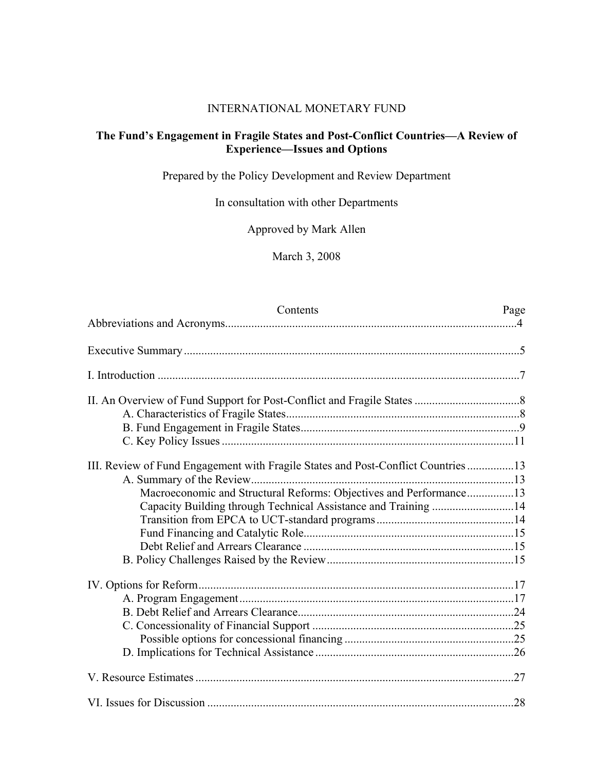### INTERNATIONAL MONETARY FUND

## **The Fund's Engagement in Fragile States and Post-Conflict Countries—A Review of Experience—Issues and Options**

Prepared by the Policy Development and Review Department

In consultation with other Departments

Approved by Mark Allen

March 3, 2008

| Contents                                                                         | Page |
|----------------------------------------------------------------------------------|------|
|                                                                                  |      |
|                                                                                  |      |
|                                                                                  |      |
|                                                                                  |      |
|                                                                                  |      |
|                                                                                  |      |
|                                                                                  |      |
|                                                                                  |      |
| III. Review of Fund Engagement with Fragile States and Post-Conflict Countries13 |      |
|                                                                                  |      |
| Macroeconomic and Structural Reforms: Objectives and Performance13               |      |
| Capacity Building through Technical Assistance and Training 14                   |      |
|                                                                                  |      |
|                                                                                  |      |
|                                                                                  |      |
|                                                                                  |      |
|                                                                                  |      |
|                                                                                  |      |
|                                                                                  |      |
|                                                                                  |      |
|                                                                                  |      |
|                                                                                  |      |
|                                                                                  |      |
|                                                                                  |      |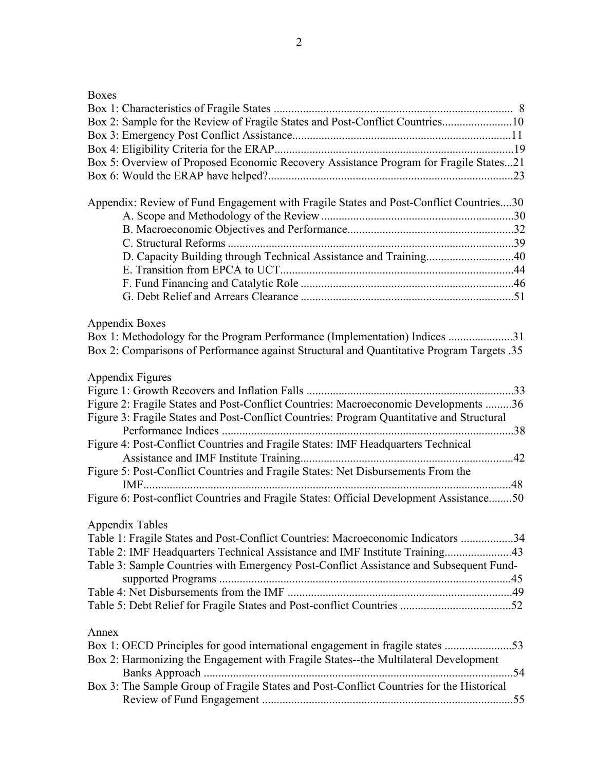| ×<br>۰,<br>۰. |
|---------------|
|---------------|

| Box 2: Sample for the Review of Fragile States and Post-Conflict Countries10              |  |
|-------------------------------------------------------------------------------------------|--|
|                                                                                           |  |
|                                                                                           |  |
| Box 5: Overview of Proposed Economic Recovery Assistance Program for Fragile States21     |  |
|                                                                                           |  |
|                                                                                           |  |
| Appendix: Review of Fund Engagement with Fragile States and Post-Conflict Countries30     |  |
|                                                                                           |  |
|                                                                                           |  |
|                                                                                           |  |
| D. Capacity Building through Technical Assistance and Training40                          |  |
|                                                                                           |  |
|                                                                                           |  |
|                                                                                           |  |
| Appendix Boxes                                                                            |  |
| Box 1: Methodology for the Program Performance (Implementation) Indices 31                |  |
| Box 2: Comparisons of Performance against Structural and Quantitative Program Targets .35 |  |
|                                                                                           |  |
| Appendix Figures                                                                          |  |
|                                                                                           |  |
| Figure 2: Fragile States and Post-Conflict Countries: Macroeconomic Developments 36       |  |
| Figure 3: Fragile States and Post-Conflict Countries: Program Quantitative and Structural |  |
|                                                                                           |  |
| Figure 4: Post-Conflict Countries and Fragile States: IMF Headquarters Technical          |  |
|                                                                                           |  |
| Figure 5: Post-Conflict Countries and Fragile States: Net Disbursements From the          |  |
|                                                                                           |  |
| Figure 6: Post-conflict Countries and Fragile States: Official Development Assistance50   |  |
| <b>Appendix Tables</b>                                                                    |  |
| Table 1: Fragile States and Post-Conflict Countries: Macroeconomic Indicators 34          |  |
| Table 2: IMF Headquarters Technical Assistance and IMF Institute Training43               |  |
| Table 3: Sample Countries with Emergency Post-Conflict Assistance and Subsequent Fund-    |  |
|                                                                                           |  |
|                                                                                           |  |
|                                                                                           |  |
|                                                                                           |  |
| Annex                                                                                     |  |
| Box 1: OECD Principles for good international engagement in fragile states 53             |  |
| Box 2: Harmonizing the Engagement with Fragile States--the Multilateral Development       |  |
|                                                                                           |  |
| Box 3: The Sample Group of Fragile States and Post-Conflict Countries for the Historical  |  |
|                                                                                           |  |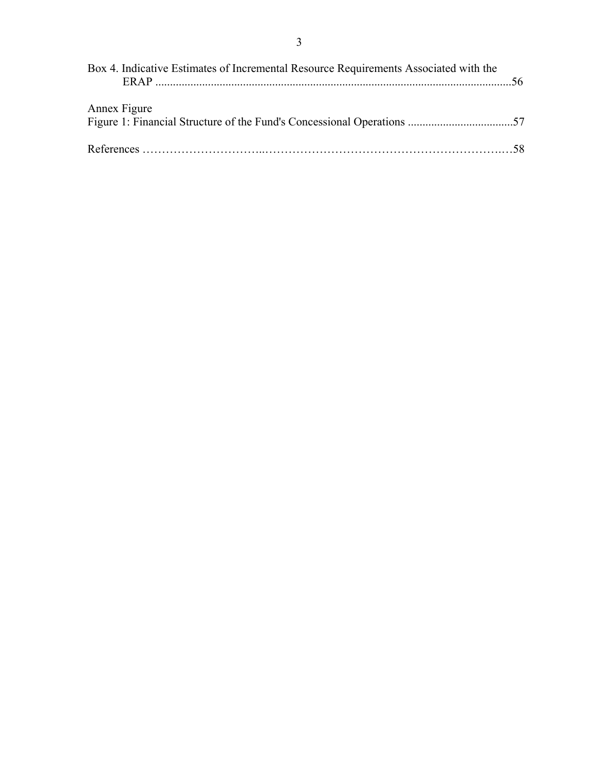| Box 4. Indicative Estimates of Incremental Resource Requirements Associated with the |  |
|--------------------------------------------------------------------------------------|--|
| Annex Figure                                                                         |  |
|                                                                                      |  |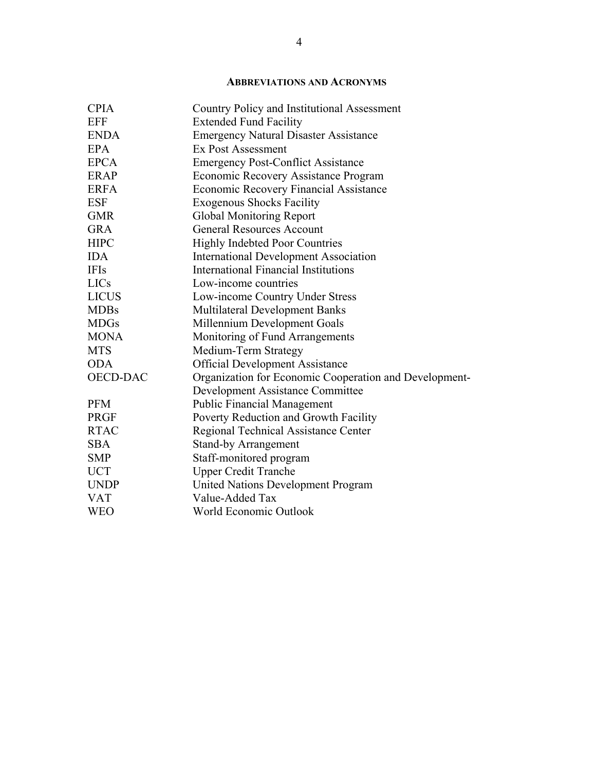## **ABBREVIATIONS AND ACRONYMS**

| <b>CPIA</b>     | Country Policy and Institutional Assessment            |
|-----------------|--------------------------------------------------------|
| <b>EFF</b>      | <b>Extended Fund Facility</b>                          |
| <b>ENDA</b>     | <b>Emergency Natural Disaster Assistance</b>           |
| <b>EPA</b>      | <b>Ex Post Assessment</b>                              |
| <b>EPCA</b>     | <b>Emergency Post-Conflict Assistance</b>              |
| <b>ERAP</b>     | Economic Recovery Assistance Program                   |
| <b>ERFA</b>     | <b>Economic Recovery Financial Assistance</b>          |
| <b>ESF</b>      | <b>Exogenous Shocks Facility</b>                       |
| <b>GMR</b>      | <b>Global Monitoring Report</b>                        |
| <b>GRA</b>      | <b>General Resources Account</b>                       |
| <b>HIPC</b>     | <b>Highly Indebted Poor Countries</b>                  |
| <b>IDA</b>      | <b>International Development Association</b>           |
| <b>IFIs</b>     | <b>International Financial Institutions</b>            |
| <b>LICs</b>     | Low-income countries                                   |
| <b>LICUS</b>    | Low-income Country Under Stress                        |
| <b>MDBs</b>     | <b>Multilateral Development Banks</b>                  |
| <b>MDGs</b>     | Millennium Development Goals                           |
| <b>MONA</b>     | Monitoring of Fund Arrangements                        |
| <b>MTS</b>      | Medium-Term Strategy                                   |
| <b>ODA</b>      | <b>Official Development Assistance</b>                 |
| <b>OECD-DAC</b> | Organization for Economic Cooperation and Development- |
|                 | <b>Development Assistance Committee</b>                |
| <b>PFM</b>      | <b>Public Financial Management</b>                     |
| <b>PRGF</b>     | Poverty Reduction and Growth Facility                  |
| <b>RTAC</b>     | Regional Technical Assistance Center                   |
| <b>SBA</b>      | <b>Stand-by Arrangement</b>                            |
| <b>SMP</b>      | Staff-monitored program                                |
| <b>UCT</b>      | <b>Upper Credit Tranche</b>                            |
| <b>UNDP</b>     | United Nations Development Program                     |
| <b>VAT</b>      | Value-Added Tax                                        |
| <b>WEO</b>      | World Economic Outlook                                 |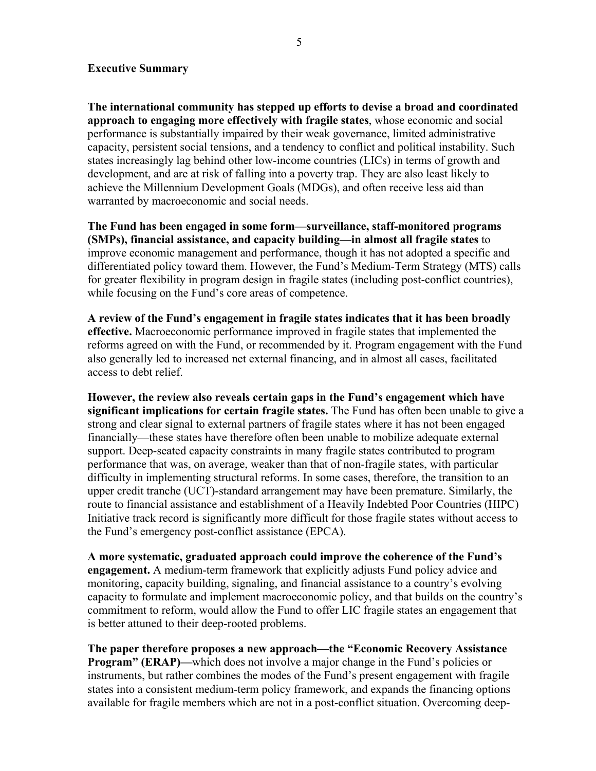#### **Executive Summary**

**The international community has stepped up efforts to devise a broad and coordinated approach to engaging more effectively with fragile states**, whose economic and social performance is substantially impaired by their weak governance, limited administrative capacity, persistent social tensions, and a tendency to conflict and political instability. Such states increasingly lag behind other low-income countries (LICs) in terms of growth and development, and are at risk of falling into a poverty trap. They are also least likely to achieve the Millennium Development Goals (MDGs), and often receive less aid than warranted by macroeconomic and social needs.

**The Fund has been engaged in some form—surveillance, staff-monitored programs (SMPs), financial assistance, and capacity building—in almost all fragile states** to improve economic management and performance, though it has not adopted a specific and differentiated policy toward them. However, the Fund's Medium-Term Strategy (MTS) calls for greater flexibility in program design in fragile states (including post-conflict countries), while focusing on the Fund's core areas of competence.

**A review of the Fund's engagement in fragile states indicates that it has been broadly effective.** Macroeconomic performance improved in fragile states that implemented the reforms agreed on with the Fund, or recommended by it. Program engagement with the Fund also generally led to increased net external financing, and in almost all cases, facilitated access to debt relief.

**However, the review also reveals certain gaps in the Fund's engagement which have significant implications for certain fragile states.** The Fund has often been unable to give a strong and clear signal to external partners of fragile states where it has not been engaged financially—these states have therefore often been unable to mobilize adequate external support. Deep-seated capacity constraints in many fragile states contributed to program performance that was, on average, weaker than that of non-fragile states, with particular difficulty in implementing structural reforms. In some cases, therefore, the transition to an upper credit tranche (UCT)-standard arrangement may have been premature. Similarly, the route to financial assistance and establishment of a Heavily Indebted Poor Countries (HIPC) Initiative track record is significantly more difficult for those fragile states without access to the Fund's emergency post-conflict assistance (EPCA).

**A more systematic, graduated approach could improve the coherence of the Fund's engagement.** A medium-term framework that explicitly adjusts Fund policy advice and monitoring, capacity building, signaling, and financial assistance to a country's evolving capacity to formulate and implement macroeconomic policy, and that builds on the country's commitment to reform, would allow the Fund to offer LIC fragile states an engagement that is better attuned to their deep-rooted problems.

**The paper therefore proposes a new approach—the "Economic Recovery Assistance Program" (ERAP)—which does not involve a major change in the Fund's policies or** instruments, but rather combines the modes of the Fund's present engagement with fragile states into a consistent medium-term policy framework, and expands the financing options available for fragile members which are not in a post-conflict situation. Overcoming deep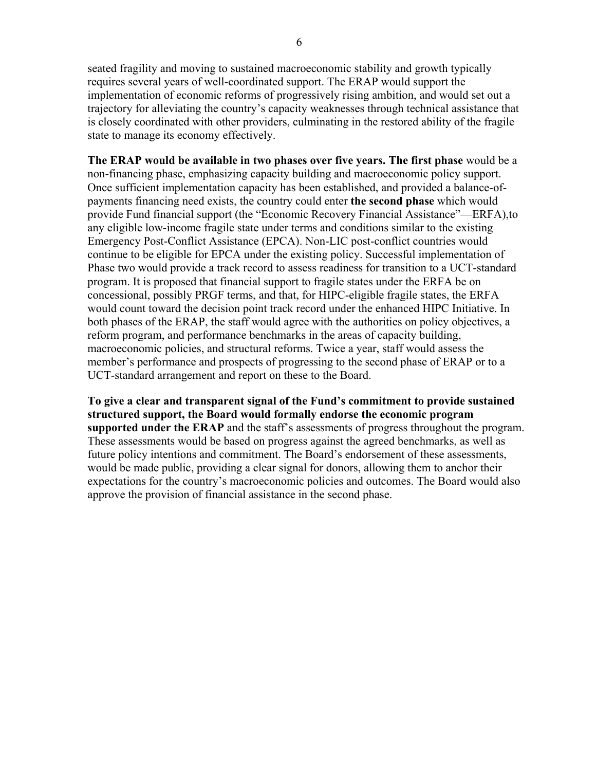6

seated fragility and moving to sustained macroeconomic stability and growth typically requires several years of well-coordinated support. The ERAP would support the implementation of economic reforms of progressively rising ambition, and would set out a trajectory for alleviating the country's capacity weaknesses through technical assistance that is closely coordinated with other providers, culminating in the restored ability of the fragile state to manage its economy effectively.

**The ERAP would be available in two phases over five years. The first phase** would be a non-financing phase, emphasizing capacity building and macroeconomic policy support. Once sufficient implementation capacity has been established, and provided a balance-ofpayments financing need exists, the country could enter **the second phase** which would provide Fund financial support (the "Economic Recovery Financial Assistance"—ERFA),to any eligible low-income fragile state under terms and conditions similar to the existing Emergency Post-Conflict Assistance (EPCA). Non-LIC post-conflict countries would continue to be eligible for EPCA under the existing policy. Successful implementation of Phase two would provide a track record to assess readiness for transition to a UCT-standard program. It is proposed that financial support to fragile states under the ERFA be on concessional, possibly PRGF terms, and that, for HIPC-eligible fragile states, the ERFA would count toward the decision point track record under the enhanced HIPC Initiative. In both phases of the ERAP, the staff would agree with the authorities on policy objectives, a reform program, and performance benchmarks in the areas of capacity building, macroeconomic policies, and structural reforms. Twice a year, staff would assess the member's performance and prospects of progressing to the second phase of ERAP or to a UCT-standard arrangement and report on these to the Board.

**To give a clear and transparent signal of the Fund's commitment to provide sustained structured support, the Board would formally endorse the economic program supported under the ERAP** and the staff's assessments of progress throughout the program. These assessments would be based on progress against the agreed benchmarks, as well as future policy intentions and commitment. The Board's endorsement of these assessments, would be made public, providing a clear signal for donors, allowing them to anchor their expectations for the country's macroeconomic policies and outcomes. The Board would also approve the provision of financial assistance in the second phase.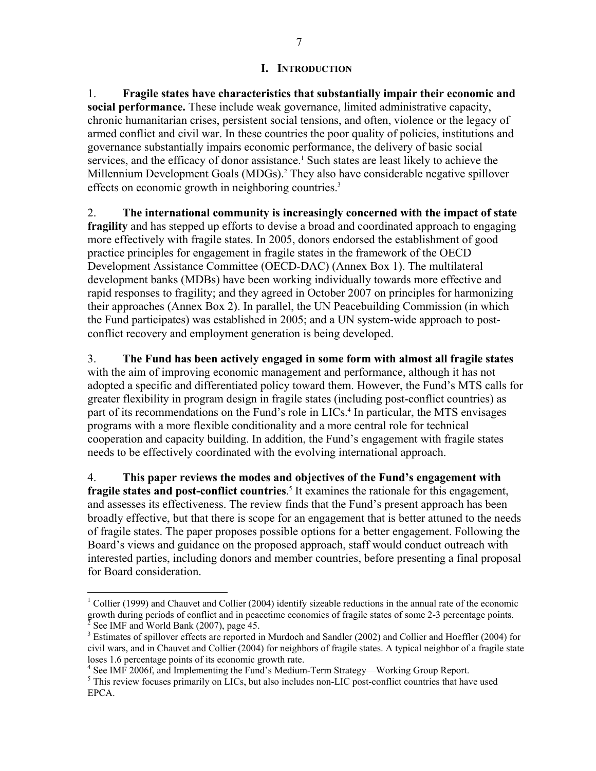#### **I. INTRODUCTION**

1. **Fragile states have characteristics that substantially impair their economic and social performance.** These include weak governance, limited administrative capacity, chronic humanitarian crises, persistent social tensions, and often, violence or the legacy of armed conflict and civil war. In these countries the poor quality of policies, institutions and governance substantially impairs economic performance, the delivery of basic social services, and the efficacy of donor assistance.<sup>1</sup> Such states are least likely to achieve the Millennium Development Goals (MDGs).<sup>2</sup> They also have considerable negative spillover effects on economic growth in neighboring countries.<sup>3</sup>

2. **The international community is increasingly concerned with the impact of state fragility** and has stepped up efforts to devise a broad and coordinated approach to engaging more effectively with fragile states. In 2005, donors endorsed the establishment of good practice principles for engagement in fragile states in the framework of the OECD Development Assistance Committee (OECD-DAC) (Annex Box 1). The multilateral development banks (MDBs) have been working individually towards more effective and rapid responses to fragility; and they agreed in October 2007 on principles for harmonizing their approaches (Annex Box 2). In parallel, the UN Peacebuilding Commission (in which the Fund participates) was established in 2005; and a UN system-wide approach to postconflict recovery and employment generation is being developed.

3. **The Fund has been actively engaged in some form with almost all fragile states**  with the aim of improving economic management and performance, although it has not adopted a specific and differentiated policy toward them. However, the Fund's MTS calls for greater flexibility in program design in fragile states (including post-conflict countries) as part of its recommendations on the Fund's role in LICs.<sup>4</sup> In particular, the MTS envisages programs with a more flexible conditionality and a more central role for technical cooperation and capacity building. In addition, the Fund's engagement with fragile states needs to be effectively coordinated with the evolving international approach.

4. **This paper reviews the modes and objectives of the Fund's engagement with fragile states and post-conflict countries**. 5 It examines the rationale for this engagement, and assesses its effectiveness. The review finds that the Fund's present approach has been broadly effective, but that there is scope for an engagement that is better attuned to the needs of fragile states. The paper proposes possible options for a better engagement. Following the Board's views and guidance on the proposed approach, staff would conduct outreach with interested parties, including donors and member countries, before presenting a final proposal for Board consideration.

 $\overline{a}$ 

<sup>&</sup>lt;sup>1</sup> Collier (1999) and Chauvet and Collier (2004) identify sizeable reductions in the annual rate of the economic growth during periods of conflict and in peacetime economies of fragile states of some 2-3 percentage points. 2 See IMF and World Bank (2007), page 45.

<sup>&</sup>lt;sup>3</sup> Estimates of spillover effects are reported in Murdoch and Sandler (2002) and Collier and Hoeffler (2004) for civil wars, and in Chauvet and Collier (2004) for neighbors of fragile states. A typical neighbor of a fragile state loses 1.6 percentage points of its economic growth rate.

<sup>&</sup>lt;sup>4</sup> See IMF 2006f, and Implementing the Fund's Medium-Term Strategy—Working Group Report.

<sup>&</sup>lt;sup>5</sup> This review focuses primarily on LICs, but also includes non-LIC post-conflict countries that have used EPCA.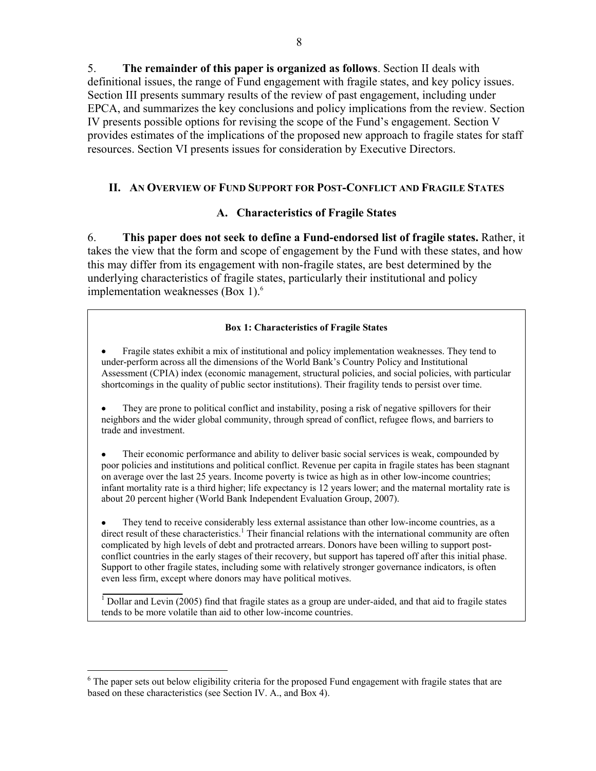5. **The remainder of this paper is organized as follows**. Section II deals with definitional issues, the range of Fund engagement with fragile states, and key policy issues. Section III presents summary results of the review of past engagement, including under EPCA, and summarizes the key conclusions and policy implications from the review. Section IV presents possible options for revising the scope of the Fund's engagement. Section V provides estimates of the implications of the proposed new approach to fragile states for staff resources. Section VI presents issues for consideration by Executive Directors.

## **II. AN OVERVIEW OF FUND SUPPORT FOR POST-CONFLICT AND FRAGILE STATES**

## **A. Characteristics of Fragile States**

6. **This paper does not seek to define a Fund-endorsed list of fragile states.** Rather, it takes the view that the form and scope of engagement by the Fund with these states, and how this may differ from its engagement with non-fragile states, are best determined by the underlying characteristics of fragile states, particularly their institutional and policy implementation weaknesses  $(Box 1)$ .<sup>6</sup>

#### **Box 1: Characteristics of Fragile States**

• Fragile states exhibit a mix of institutional and policy implementation weaknesses. They tend to under-perform across all the dimensions of the World Bank's Country Policy and Institutional Assessment (CPIA) index (economic management, structural policies, and social policies, with particular shortcomings in the quality of public sector institutions). Their fragility tends to persist over time.

• They are prone to political conflict and instability, posing a risk of negative spillovers for their neighbors and the wider global community, through spread of conflict, refugee flows, and barriers to trade and investment.

• Their economic performance and ability to deliver basic social services is weak, compounded by poor policies and institutions and political conflict. Revenue per capita in fragile states has been stagnant on average over the last 25 years. Income poverty is twice as high as in other low-income countries; infant mortality rate is a third higher; life expectancy is 12 years lower; and the maternal mortality rate is about 20 percent higher (World Bank Independent Evaluation Group, 2007).

They tend to receive considerably less external assistance than other low-income countries, as a direct result of these characteristics.<sup>1</sup> Their financial relations with the international community are often complicated by high levels of debt and protracted arrears. Donors have been willing to support postconflict countries in the early stages of their recovery, but support has tapered off after this initial phase. Support to other fragile states, including some with relatively stronger governance indicators, is often even less firm, except where donors may have political motives.

<sup>1</sup> Dollar and Levin (2005) find that fragile states as a group are under-aided, and that aid to fragile states tends to be more volatile than aid to other low-income countries.

 $\overline{a}$ 

<sup>&</sup>lt;sup>6</sup> The paper sets out below eligibility criteria for the proposed Fund engagement with fragile states that are based on these characteristics (see Section IV. A., and Box 4).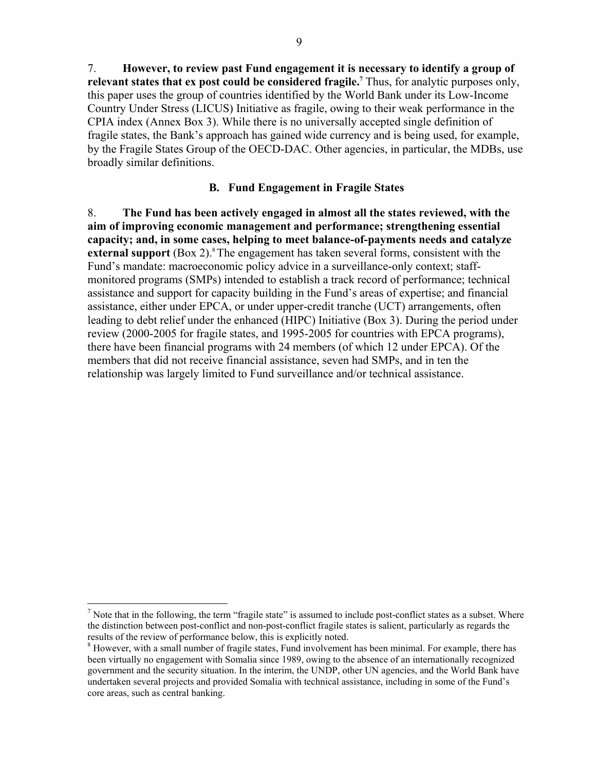7. **However, to review past Fund engagement it is necessary to identify a group of**  relevant states that ex post could be considered fragile.<sup>7</sup> Thus, for analytic purposes only, this paper uses the group of countries identified by the World Bank under its Low-Income Country Under Stress (LICUS) Initiative as fragile, owing to their weak performance in the CPIA index (Annex Box 3). While there is no universally accepted single definition of fragile states, the Bank's approach has gained wide currency and is being used, for example, by the Fragile States Group of the OECD-DAC. Other agencies, in particular, the MDBs, use broadly similar definitions.

#### **B. Fund Engagement in Fragile States**

8. **The Fund has been actively engaged in almost all the states reviewed, with the aim of improving economic management and performance; strengthening essential capacity; and, in some cases, helping to meet balance-of-payments needs and catalyze external support** (Box 2).<sup>8</sup> The engagement has taken several forms, consistent with the Fund's mandate: macroeconomic policy advice in a surveillance-only context; staffmonitored programs (SMPs) intended to establish a track record of performance; technical assistance and support for capacity building in the Fund's areas of expertise; and financial assistance, either under EPCA, or under upper-credit tranche (UCT) arrangements, often leading to debt relief under the enhanced (HIPC) Initiative (Box 3). During the period under review (2000-2005 for fragile states, and 1995-2005 for countries with EPCA programs), there have been financial programs with 24 members (of which 12 under EPCA). Of the members that did not receive financial assistance, seven had SMPs, and in ten the relationship was largely limited to Fund surveillance and/or technical assistance.

1

<sup>&</sup>lt;sup>7</sup> Note that in the following, the term "fragile state" is assumed to include post-conflict states as a subset. Where the distinction between post-conflict and non-post-conflict fragile states is salient, particularly as regards the results of the review of performance below, this is explicitly noted. 8

<sup>&</sup>lt;sup>8</sup> However, with a small number of fragile states, Fund involvement has been minimal. For example, there has been virtually no engagement with Somalia since 1989, owing to the absence of an internationally recognized government and the security situation. In the interim, the UNDP, other UN agencies, and the World Bank have undertaken several projects and provided Somalia with technical assistance, including in some of the Fund's core areas, such as central banking.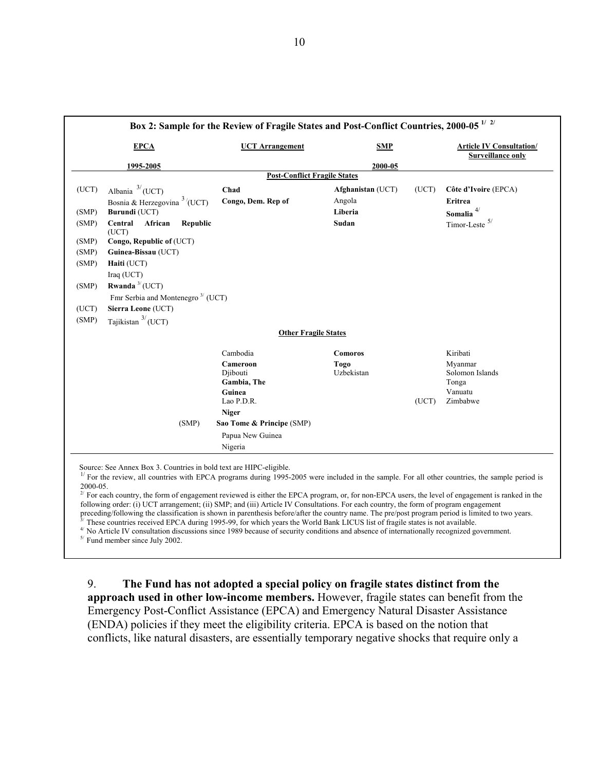|       |                                                            | Box 2: Sample for the Review of Fragile States and Post-Conflict Countries, 2000-05 <sup>1/2/</sup> |                    |       |                                                             |
|-------|------------------------------------------------------------|-----------------------------------------------------------------------------------------------------|--------------------|-------|-------------------------------------------------------------|
|       | <b>EPCA</b>                                                | <b>UCT Arrangement</b>                                                                              | <b>SMP</b>         |       | <b>Article IV Consultation/</b><br><b>Surveillance only</b> |
|       | 1995-2005                                                  |                                                                                                     | 2000-05            |       |                                                             |
|       |                                                            | <b>Post-Conflict Fragile States</b>                                                                 |                    |       |                                                             |
| (UCT) | Albania $^{3/}$ (UCT)                                      | Chad                                                                                                | Afghanistan (UCT)  | (UCT) | Côte d'Ivoire (EPCA)                                        |
|       | Bosnia & Herzegovina $3/(UCT)$                             | Congo, Dem. Rep of                                                                                  | Angola             |       | Eritrea                                                     |
| (SMP) | Burundi (UCT)                                              |                                                                                                     | Liberia            |       | Somalia $^{4\!}/$                                           |
| (SMP) | Central<br>African<br><b>Republic</b><br>(UCT)             |                                                                                                     | Sudan              |       | Timor-Leste $5/$                                            |
| (SMP) | Congo, Republic of (UCT)                                   |                                                                                                     |                    |       |                                                             |
| (SMP) | Guinea-Bissau (UCT)                                        |                                                                                                     |                    |       |                                                             |
| (SMP) | Haiti (UCT)                                                |                                                                                                     |                    |       |                                                             |
|       | Iraq (UCT)                                                 |                                                                                                     |                    |       |                                                             |
| (SMP) | Rwanda $3/$ (UCT)                                          |                                                                                                     |                    |       |                                                             |
|       | Fmr Serbia and Montenegro <sup><math>3/</math></sup> (UCT) |                                                                                                     |                    |       |                                                             |
| (UCT) | Sierra Leone (UCT)                                         |                                                                                                     |                    |       |                                                             |
| (SMP) | Tajikistan $3/(UCT)$                                       |                                                                                                     |                    |       |                                                             |
|       |                                                            | <b>Other Fragile States</b>                                                                         |                    |       |                                                             |
|       |                                                            | Cambodia                                                                                            | <b>Comoros</b>     |       | Kiribati                                                    |
|       |                                                            | Cameroon<br>Djibouti<br>Gambia, The                                                                 | Togo<br>Uzbekistan |       | Myanmar<br>Solomon Islands<br>Tonga                         |
|       |                                                            | Guinea<br>Lao P.D.R.                                                                                |                    | (UCT) | Vanuatu<br>Zimbabwe                                         |
|       |                                                            | <b>Niger</b>                                                                                        |                    |       |                                                             |
|       | (SMP)                                                      | Sao Tome & Principe (SMP)                                                                           |                    |       |                                                             |
|       |                                                            | Papua New Guinea                                                                                    |                    |       |                                                             |
|       |                                                            | Nigeria                                                                                             |                    |       |                                                             |

Source: See Annex Box 3. Countries in bold text are HIPC-eligible.<br><sup>1/</sup> For the review, all countries with EPCA programs during 1995-2005 were included in the sample. For all other countries, the sample period is 2000-05.

 $2^{2}$  For each country, the form of engagement reviewed is either the EPCA program, or, for non-EPCA users, the level of engagement is ranked in the following order: (i) UCT arrangement; (ii) SMP; and (iii) Article IV Consultations. For each country, the form of program engagement preceding/following the classification is shown in parenthesis before/after the country n

<sup>3/</sup> These countries received EPCA during 1995-99, for which years the World Bank LICUS list of fragile states is not available.<br><sup>4/</sup> No Article IV consultation discussions since 1989 because of security conditions and ab

9. **The Fund has not adopted a special policy on fragile states distinct from the approach used in other low-income members.** However, fragile states can benefit from the Emergency Post-Conflict Assistance (EPCA) and Emergency Natural Disaster Assistance (ENDA) policies if they meet the eligibility criteria. EPCA is based on the notion that conflicts, like natural disasters, are essentially temporary negative shocks that require only a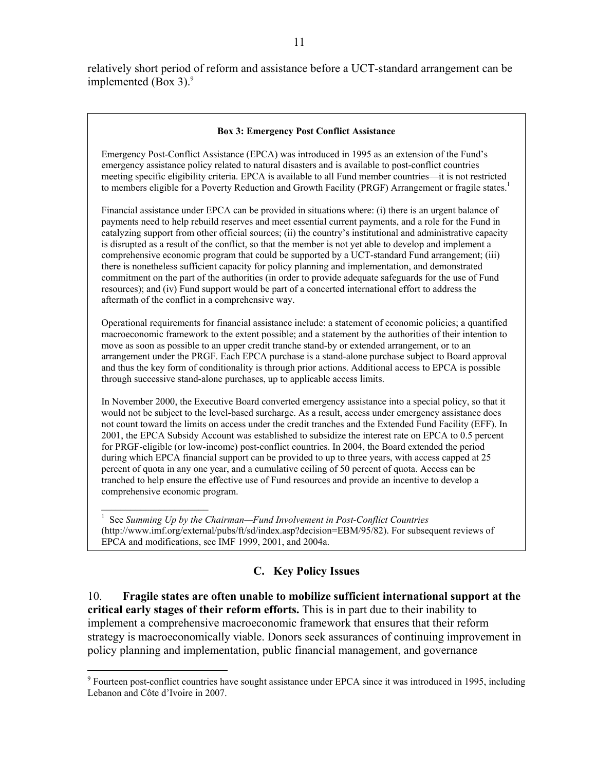relatively short period of reform and assistance before a UCT-standard arrangement can be implemented (Box 3). $9$ 

#### **Box 3: Emergency Post Conflict Assistance**

Emergency Post-Conflict Assistance (EPCA) was introduced in 1995 as an extension of the Fund's emergency assistance policy related to natural disasters and is available to post-conflict countries meeting specific eligibility criteria. EPCA is available to all Fund member countries—it is not restricted to members eligible for a Poverty Reduction and Growth Facility (PRGF) Arrangement or fragile states.<sup>1</sup>

Financial assistance under EPCA can be provided in situations where: (i) there is an urgent balance of payments need to help rebuild reserves and meet essential current payments, and a role for the Fund in catalyzing support from other official sources; (ii) the country's institutional and administrative capacity is disrupted as a result of the conflict, so that the member is not yet able to develop and implement a comprehensive economic program that could be supported by a UCT-standard Fund arrangement; (iii) there is nonetheless sufficient capacity for policy planning and implementation, and demonstrated commitment on the part of the authorities (in order to provide adequate safeguards for the use of Fund resources); and (iv) Fund support would be part of a concerted international effort to address the aftermath of the conflict in a comprehensive way.

Operational requirements for financial assistance include: a statement of economic policies; a quantified macroeconomic framework to the extent possible; and a statement by the authorities of their intention to move as soon as possible to an upper credit tranche stand-by or extended arrangement, or to an arrangement under the PRGF. Each EPCA purchase is a stand-alone purchase subject to Board approval and thus the key form of conditionality is through prior actions. Additional access to EPCA is possible through successive stand-alone purchases, up to applicable access limits.

In November 2000, the Executive Board converted emergency assistance into a special policy, so that it would not be subject to the level-based surcharge. As a result, access under emergency assistance does not count toward the limits on access under the credit tranches and the Extended Fund Facility (EFF). In 2001, the EPCA Subsidy Account was established to subsidize the interest rate on EPCA to 0.5 percent for PRGF-eligible (or low-income) post-conflict countries. In 2004, the Board extended the period during which EPCA financial support can be provided to up to three years, with access capped at 25 percent of quota in any one year, and a cumulative ceiling of 50 percent of quota. Access can be tranched to help ensure the effective use of Fund resources and provide an incentive to develop a comprehensive economic program.

<sup>1</sup> See Summing Up by the Chairman—Fund Involvement in Post-Conflict Countries (http://www.imf.org/external/pubs/ft/sd/index.asp?decision=EBM/95/82). For subsequent reviews of EPCA and modifications, see IMF 1999, 2001, and 2004a.

## **C. Key Policy Issues**

10. **Fragile states are often unable to mobilize sufficient international support at the critical early stages of their reform efforts.** This is in part due to their inability to implement a comprehensive macroeconomic framework that ensures that their reform strategy is macroeconomically viable. Donors seek assurances of continuing improvement in policy planning and implementation, public financial management, and governance

<sup>&</sup>lt;sup>9</sup> Fourteen post-conflict countries have sought assistance under EPCA since it was introduced in 1995, including Lebanon and Côte d'Ivoire in 2007.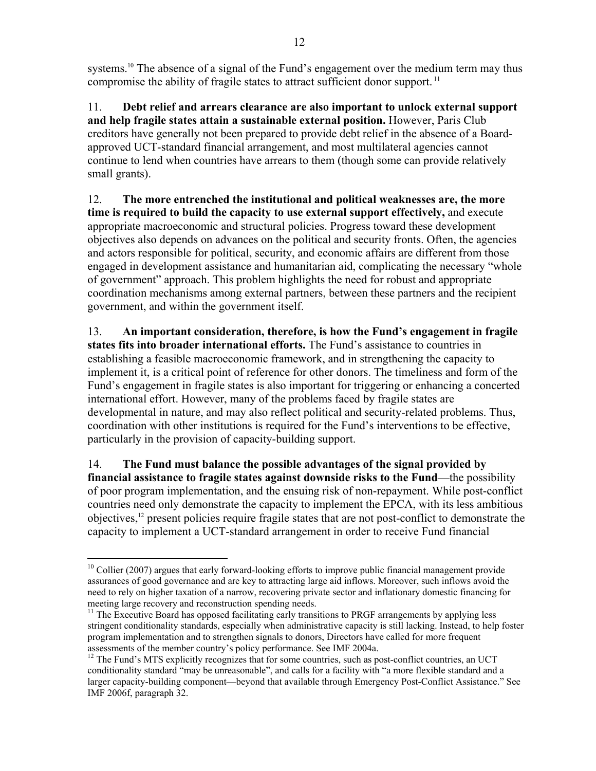systems.<sup>10</sup> The absence of a signal of the Fund's engagement over the medium term may thus compromise the ability of fragile states to attract sufficient donor support.<sup>11</sup>

11. **Debt relief and arrears clearance are also important to unlock external support and help fragile states attain a sustainable external position.** However, Paris Club creditors have generally not been prepared to provide debt relief in the absence of a Boardapproved UCT-standard financial arrangement, and most multilateral agencies cannot continue to lend when countries have arrears to them (though some can provide relatively small grants).

12. **The more entrenched the institutional and political weaknesses are, the more time is required to build the capacity to use external support effectively,** and execute appropriate macroeconomic and structural policies. Progress toward these development objectives also depends on advances on the political and security fronts. Often, the agencies and actors responsible for political, security, and economic affairs are different from those engaged in development assistance and humanitarian aid, complicating the necessary "whole of government" approach. This problem highlights the need for robust and appropriate coordination mechanisms among external partners, between these partners and the recipient government, and within the government itself.

13. **An important consideration, therefore, is how the Fund's engagement in fragile states fits into broader international efforts.** The Fund's assistance to countries in establishing a feasible macroeconomic framework, and in strengthening the capacity to implement it, is a critical point of reference for other donors. The timeliness and form of the Fund's engagement in fragile states is also important for triggering or enhancing a concerted international effort. However, many of the problems faced by fragile states are developmental in nature, and may also reflect political and security-related problems. Thus, coordination with other institutions is required for the Fund's interventions to be effective, particularly in the provision of capacity-building support.

14. **The Fund must balance the possible advantages of the signal provided by financial assistance to fragile states against downside risks to the Fund**—the possibility of poor program implementation, and the ensuing risk of non-repayment. While post-conflict countries need only demonstrate the capacity to implement the EPCA, with its less ambitious objectives,12 present policies require fragile states that are not post-conflict to demonstrate the capacity to implement a UCT-standard arrangement in order to receive Fund financial

 $\overline{a}$  $10$  Collier (2007) argues that early forward-looking efforts to improve public financial management provide assurances of good governance and are key to attracting large aid inflows. Moreover, such inflows avoid the need to rely on higher taxation of a narrow, recovering private sector and inflationary domestic financing for meeting large recovery and reconstruction spending needs.

 $11$  The Executive Board has opposed facilitating early transitions to PRGF arrangements by applying less stringent conditionality standards, especially when administrative capacity is still lacking. Instead, to help foster program implementation and to strengthen signals to donors, Directors have called for more frequent assessments of the member country's policy performance. See IMF 2004a.<br><sup>12</sup> The Fund's MTS explicitly recognizes that for some countries, such as post-conflict countries, an UCT

conditionality standard "may be unreasonable", and calls for a facility with "a more flexible standard and a larger capacity-building component—beyond that available through Emergency Post-Conflict Assistance." See IMF 2006f, paragraph 32.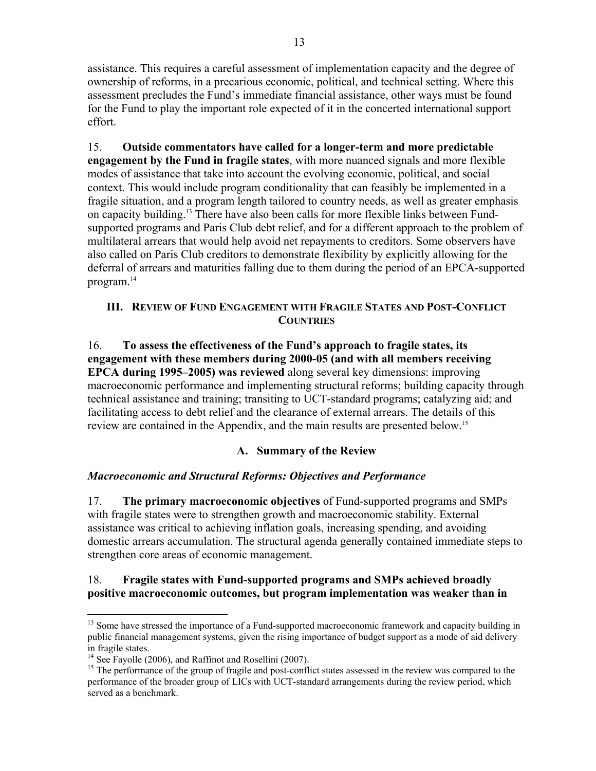assistance. This requires a careful assessment of implementation capacity and the degree of ownership of reforms, in a precarious economic, political, and technical setting. Where this assessment precludes the Fund's immediate financial assistance, other ways must be found for the Fund to play the important role expected of it in the concerted international support effort.

15. **Outside commentators have called for a longer-term and more predictable engagement by the Fund in fragile states**, with more nuanced signals and more flexible modes of assistance that take into account the evolving economic, political, and social context. This would include program conditionality that can feasibly be implemented in a fragile situation, and a program length tailored to country needs, as well as greater emphasis on capacity building.13 There have also been calls for more flexible links between Fundsupported programs and Paris Club debt relief, and for a different approach to the problem of multilateral arrears that would help avoid net repayments to creditors. Some observers have also called on Paris Club creditors to demonstrate flexibility by explicitly allowing for the deferral of arrears and maturities falling due to them during the period of an EPCA-supported program.14

## **III. REVIEW OF FUND ENGAGEMENT WITH FRAGILE STATES AND POST-CONFLICT COUNTRIES**

16. **To assess the effectiveness of the Fund's approach to fragile states, its engagement with these members during 2000-05 (and with all members receiving EPCA during 1995–2005) was reviewed** along several key dimensions: improving macroeconomic performance and implementing structural reforms; building capacity through technical assistance and training; transiting to UCT-standard programs; catalyzing aid; and facilitating access to debt relief and the clearance of external arrears. The details of this review are contained in the Appendix, and the main results are presented below.15

# **A. Summary of the Review**

## *Macroeconomic and Structural Reforms: Objectives and Performance*

17. **The primary macroeconomic objectives** of Fund-supported programs and SMPs with fragile states were to strengthen growth and macroeconomic stability. External assistance was critical to achieving inflation goals, increasing spending, and avoiding domestic arrears accumulation. The structural agenda generally contained immediate steps to strengthen core areas of economic management.

## 18. **Fragile states with Fund-supported programs and SMPs achieved broadly positive macroeconomic outcomes, but program implementation was weaker than in**

1

<sup>&</sup>lt;sup>13</sup> Some have stressed the importance of a Fund-supported macroeconomic framework and capacity building in public financial management systems, given the rising importance of budget support as a mode of aid delivery in fragile states.

<sup>&</sup>lt;sup>14</sup> See Fayolle (2006), and Raffinot and Rosellini (2007).

<sup>&</sup>lt;sup>15</sup> The performance of the group of fragile and post-conflict states assessed in the review was compared to the performance of the broader group of LICs with UCT-standard arrangements during the review period, which served as a benchmark.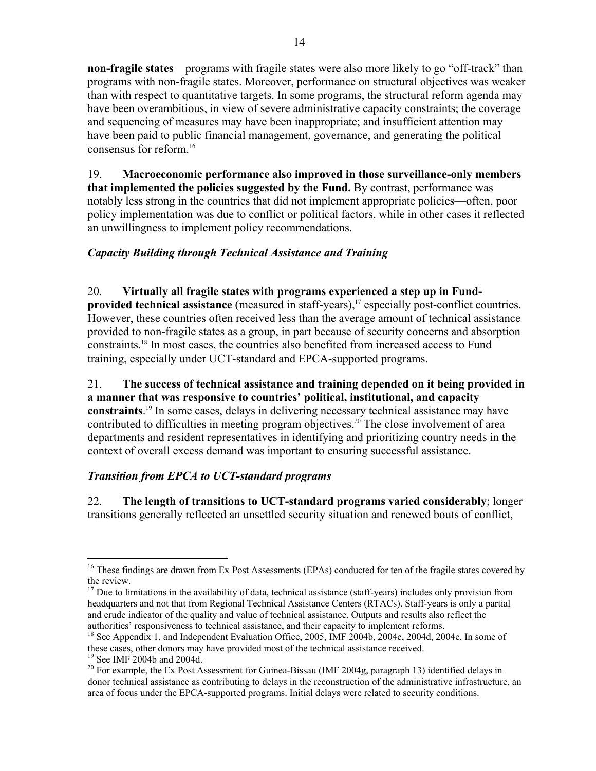**non-fragile states**—programs with fragile states were also more likely to go "off-track" than programs with non-fragile states. Moreover, performance on structural objectives was weaker than with respect to quantitative targets. In some programs, the structural reform agenda may have been overambitious, in view of severe administrative capacity constraints; the coverage and sequencing of measures may have been inappropriate; and insufficient attention may have been paid to public financial management, governance, and generating the political consensus for reform.16

19. **Macroeconomic performance also improved in those surveillance-only members that implemented the policies suggested by the Fund.** By contrast, performance was notably less strong in the countries that did not implement appropriate policies—often, poor policy implementation was due to conflict or political factors, while in other cases it reflected an unwillingness to implement policy recommendations.

# *Capacity Building through Technical Assistance and Training*

## 20. **Virtually all fragile states with programs experienced a step up in Fund-**

**provided technical assistance** (measured in staff-years),<sup>17</sup> especially post-conflict countries. However, these countries often received less than the average amount of technical assistance provided to non-fragile states as a group, in part because of security concerns and absorption constraints.18 In most cases, the countries also benefited from increased access to Fund training, especially under UCT-standard and EPCA-supported programs.

21. **The success of technical assistance and training depended on it being provided in a manner that was responsive to countries' political, institutional, and capacity constraints**. 19 In some cases, delays in delivering necessary technical assistance may have contributed to difficulties in meeting program objectives.<sup>20</sup> The close involvement of area departments and resident representatives in identifying and prioritizing country needs in the context of overall excess demand was important to ensuring successful assistance.

## *Transition from EPCA to UCT-standard programs*

22. **The length of transitions to UCT-standard programs varied considerably**; longer transitions generally reflected an unsettled security situation and renewed bouts of conflict,

 $\overline{a}$ <sup>16</sup> These findings are drawn from Ex Post Assessments (EPAs) conducted for ten of the fragile states covered by the review.

 $17$  Due to limitations in the availability of data, technical assistance (staff-years) includes only provision from headquarters and not that from Regional Technical Assistance Centers (RTACs). Staff-years is only a partial and crude indicator of the quality and value of technical assistance. Outputs and results also reflect the authorities' responsiveness to technical assistance, and their capacity to implement reforms.

<sup>&</sup>lt;sup>18</sup> See Appendix 1, and Independent Evaluation Office, 2005, IMF 2004b, 2004c, 2004d, 2004e. In some of these cases, other donors may have provided most of the technical assistance received.<br><sup>19</sup> See IMF 2004b and 2004d.

 $20$  For example, the Ex Post Assessment for Guinea-Bissau (IMF 2004g, paragraph 13) identified delays in donor technical assistance as contributing to delays in the reconstruction of the administrative infrastructure, an area of focus under the EPCA-supported programs. Initial delays were related to security conditions.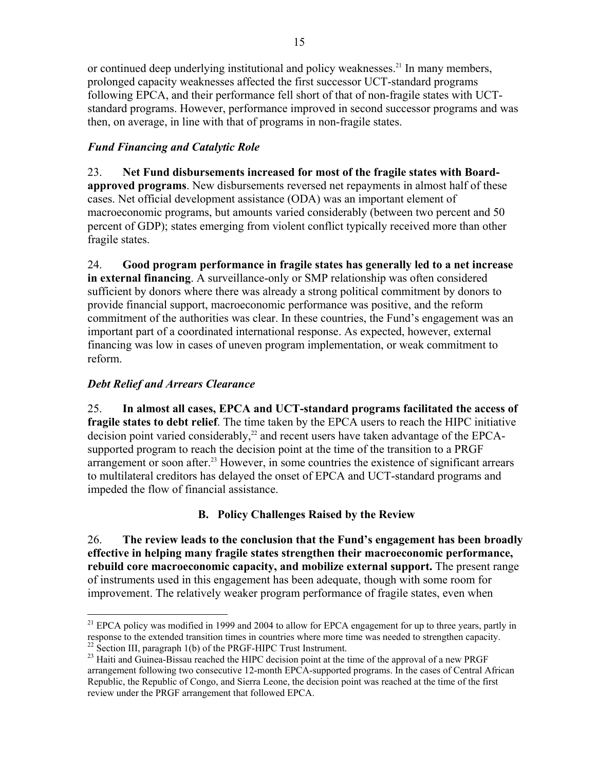or continued deep underlying institutional and policy weaknesses.<sup>21</sup> In many members, prolonged capacity weaknesses affected the first successor UCT-standard programs following EPCA, and their performance fell short of that of non-fragile states with UCTstandard programs. However, performance improved in second successor programs and was then, on average, in line with that of programs in non-fragile states.

# *Fund Financing and Catalytic Role*

23. **Net Fund disbursements increased for most of the fragile states with Board-**

**approved programs**. New disbursements reversed net repayments in almost half of these cases. Net official development assistance (ODA) was an important element of macroeconomic programs, but amounts varied considerably (between two percent and 50 percent of GDP); states emerging from violent conflict typically received more than other fragile states.

24. **Good program performance in fragile states has generally led to a net increase in external financing**. A surveillance-only or SMP relationship was often considered sufficient by donors where there was already a strong political commitment by donors to provide financial support, macroeconomic performance was positive, and the reform commitment of the authorities was clear. In these countries, the Fund's engagement was an important part of a coordinated international response. As expected, however, external financing was low in cases of uneven program implementation, or weak commitment to reform.

## *Debt Relief and Arrears Clearance*

 $\overline{a}$ 

25. **In almost all cases, EPCA and UCT-standard programs facilitated the access of fragile states to debt relief**. The time taken by the EPCA users to reach the HIPC initiative decision point varied considerably,<sup>22</sup> and recent users have taken advantage of the EPCAsupported program to reach the decision point at the time of the transition to a PRGF arrangement or soon after.<sup>23</sup> However, in some countries the existence of significant arrears to multilateral creditors has delayed the onset of EPCA and UCT-standard programs and impeded the flow of financial assistance.

# **B. Policy Challenges Raised by the Review**

26. **The review leads to the conclusion that the Fund's engagement has been broadly effective in helping many fragile states strengthen their macroeconomic performance, rebuild core macroeconomic capacity, and mobilize external support.** The present range of instruments used in this engagement has been adequate, though with some room for improvement. The relatively weaker program performance of fragile states, even when

<sup>&</sup>lt;sup>21</sup> EPCA policy was modified in 1999 and 2004 to allow for EPCA engagement for up to three years, partly in response to the extended transition times in countries where more time was needed to strengthen capacity.  $\frac{22 \text{ Section III}}{22 \text{ Section III}}$ , paragraph 1(b) of the PRGF-HIPC Trust Instrument.

<sup>&</sup>lt;sup>23</sup> Haiti and Guinea-Bissau reached the HIPC decision point at the time of the approval of a new PRGF arrangement following two consecutive 12-month EPCA-supported programs. In the cases of Central African Republic, the Republic of Congo, and Sierra Leone, the decision point was reached at the time of the first review under the PRGF arrangement that followed EPCA.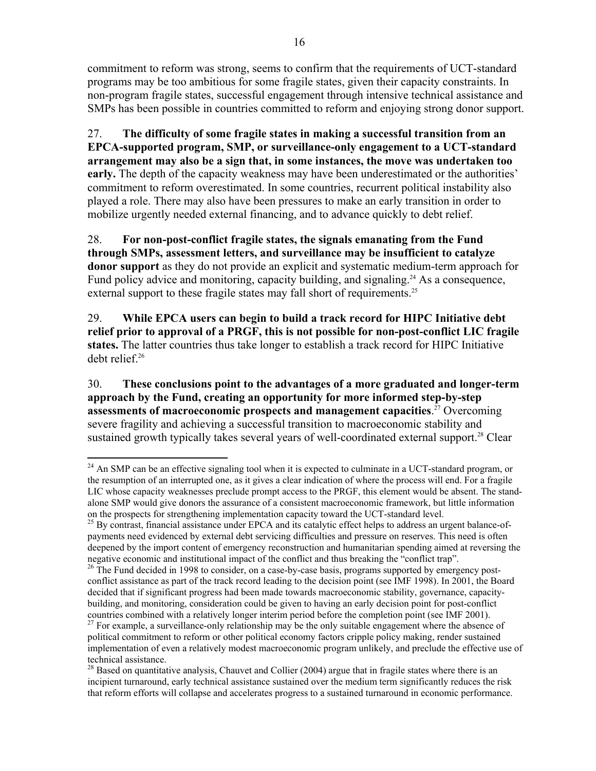commitment to reform was strong, seems to confirm that the requirements of UCT-standard programs may be too ambitious for some fragile states, given their capacity constraints. In non-program fragile states, successful engagement through intensive technical assistance and SMPs has been possible in countries committed to reform and enjoying strong donor support.

27. **The difficulty of some fragile states in making a successful transition from an EPCA-supported program, SMP, or surveillance-only engagement to a UCT-standard arrangement may also be a sign that, in some instances, the move was undertaken too early.** The depth of the capacity weakness may have been underestimated or the authorities' commitment to reform overestimated. In some countries, recurrent political instability also played a role. There may also have been pressures to make an early transition in order to mobilize urgently needed external financing, and to advance quickly to debt relief.

28. **For non-post-conflict fragile states, the signals emanating from the Fund through SMPs, assessment letters, and surveillance may be insufficient to catalyze donor support** as they do not provide an explicit and systematic medium-term approach for Fund policy advice and monitoring, capacity building, and signaling.<sup>24</sup> As a consequence, external support to these fragile states may fall short of requirements.<sup>25</sup>

29. **While EPCA users can begin to build a track record for HIPC Initiative debt relief prior to approval of a PRGF, this is not possible for non-post-conflict LIC fragile states.** The latter countries thus take longer to establish a track record for HIPC Initiative debt relief.<sup>26</sup>

30. **These conclusions point to the advantages of a more graduated and longer-term approach by the Fund, creating an opportunity for more informed step-by-step assessments of macroeconomic prospects and management capacities**. 27 Overcoming severe fragility and achieving a successful transition to macroeconomic stability and sustained growth typically takes several years of well-coordinated external support.<sup>28</sup> Clear

<sup>1</sup>  $24$  An SMP can be an effective signaling tool when it is expected to culminate in a UCT-standard program, or the resumption of an interrupted one, as it gives a clear indication of where the process will end. For a fragile LIC whose capacity weaknesses preclude prompt access to the PRGF, this element would be absent. The standalone SMP would give donors the assurance of a consistent macroeconomic framework, but little information on the prospects for strengthening implementation capacity toward the UCT-standard level.

 $^{25}$  By contrast, financial assistance under EPCA and its catalytic effect helps to address an urgent balance-ofpayments need evidenced by external debt servicing difficulties and pressure on reserves. This need is often deepened by the import content of emergency reconstruction and humanitarian spending aimed at reversing the negative economic and institutional impact of the conflict and thus breaking the "conflict trap".<br><sup>26</sup> The Fund decided in 1998 to consider, on a case-by-case basis, programs supported by emergency post-

conflict assistance as part of the track record leading to the decision point (see IMF 1998). In 2001, the Board decided that if significant progress had been made towards macroeconomic stability, governance, capacitybuilding, and monitoring, consideration could be given to having an early decision point for post-conflict countries combined with a relatively longer interim period before the completion point (see IMF 2001).<br><sup>27</sup> For example, a surveillance-only relationship may be the only suitable engagement where the absence of

political commitment to reform or other political economy factors cripple policy making, render sustained implementation of even a relatively modest macroeconomic program unlikely, and preclude the effective use of technical assistance.

 $28$  Based on quantitative analysis, Chauvet and Collier (2004) argue that in fragile states where there is an incipient turnaround, early technical assistance sustained over the medium term significantly reduces the risk that reform efforts will collapse and accelerates progress to a sustained turnaround in economic performance.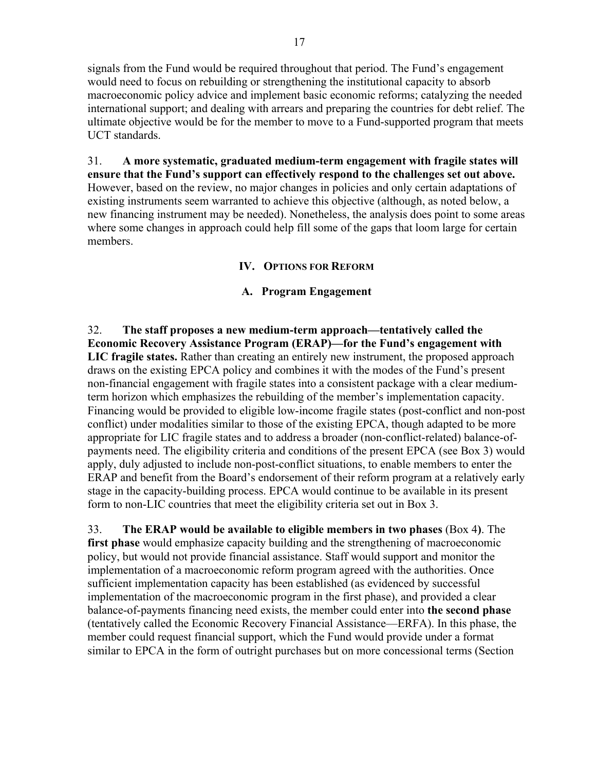signals from the Fund would be required throughout that period. The Fund's engagement would need to focus on rebuilding or strengthening the institutional capacity to absorb macroeconomic policy advice and implement basic economic reforms; catalyzing the needed international support; and dealing with arrears and preparing the countries for debt relief. The ultimate objective would be for the member to move to a Fund-supported program that meets UCT standards.

31. **A more systematic, graduated medium-term engagement with fragile states will ensure that the Fund's support can effectively respond to the challenges set out above.** However, based on the review, no major changes in policies and only certain adaptations of existing instruments seem warranted to achieve this objective (although, as noted below, a new financing instrument may be needed). Nonetheless, the analysis does point to some areas where some changes in approach could help fill some of the gaps that loom large for certain members.

## **IV. OPTIONS FOR REFORM**

### **A. Program Engagement**

32. **The staff proposes a new medium-term approach—tentatively called the Economic Recovery Assistance Program (ERAP)—for the Fund's engagement with LIC fragile states.** Rather than creating an entirely new instrument, the proposed approach draws on the existing EPCA policy and combines it with the modes of the Fund's present non-financial engagement with fragile states into a consistent package with a clear mediumterm horizon which emphasizes the rebuilding of the member's implementation capacity. Financing would be provided to eligible low-income fragile states (post-conflict and non-post conflict) under modalities similar to those of the existing EPCA, though adapted to be more appropriate for LIC fragile states and to address a broader (non-conflict-related) balance-ofpayments need. The eligibility criteria and conditions of the present EPCA (see Box 3) would apply, duly adjusted to include non-post-conflict situations, to enable members to enter the ERAP and benefit from the Board's endorsement of their reform program at a relatively early stage in the capacity-building process. EPCA would continue to be available in its present form to non-LIC countries that meet the eligibility criteria set out in Box 3.

33. **The ERAP would be available to eligible members in two phases** (Box 4**)**. The **first phase** would emphasize capacity building and the strengthening of macroeconomic policy, but would not provide financial assistance. Staff would support and monitor the implementation of a macroeconomic reform program agreed with the authorities. Once sufficient implementation capacity has been established (as evidenced by successful implementation of the macroeconomic program in the first phase), and provided a clear balance-of-payments financing need exists, the member could enter into **the second phase** (tentatively called the Economic Recovery Financial Assistance—ERFA). In this phase, the member could request financial support, which the Fund would provide under a format similar to EPCA in the form of outright purchases but on more concessional terms (Section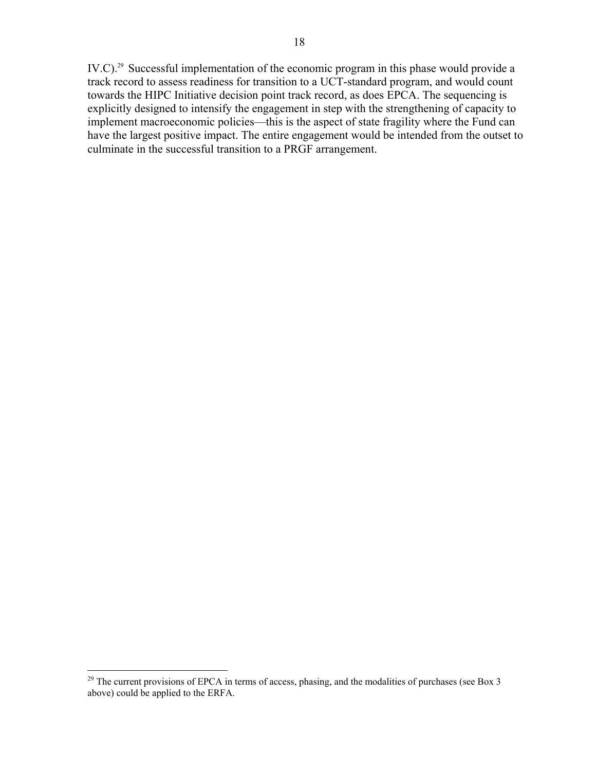IV.C).<sup>29</sup> Successful implementation of the economic program in this phase would provide a track record to assess readiness for transition to a UCT-standard program, and would count towards the HIPC Initiative decision point track record, as does EPCA. The sequencing is explicitly designed to intensify the engagement in step with the strengthening of capacity to implement macroeconomic policies—this is the aspect of state fragility where the Fund can have the largest positive impact. The entire engagement would be intended from the outset to culminate in the successful transition to a PRGF arrangement.

 $\overline{a}$ 

 $^{29}$  The current provisions of EPCA in terms of access, phasing, and the modalities of purchases (see Box 3) above) could be applied to the ERFA.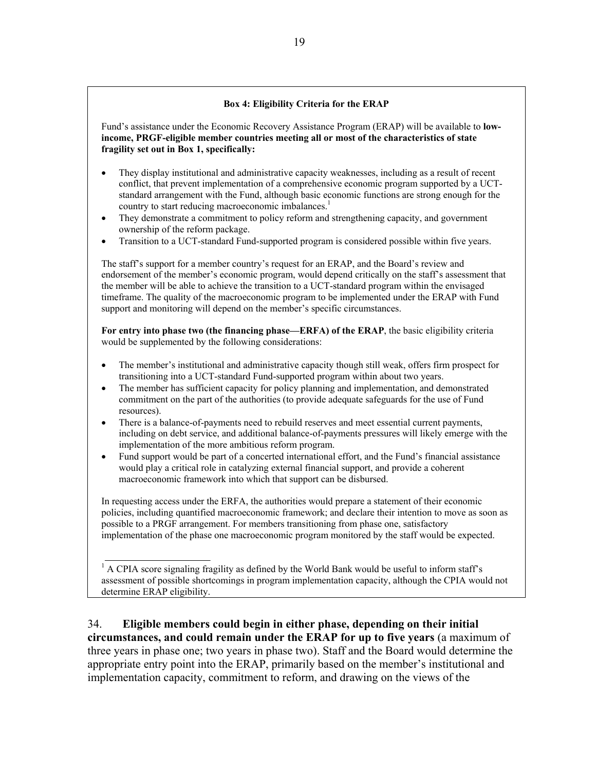#### **Box 4: Eligibility Criteria for the ERAP**

Fund's assistance under the Economic Recovery Assistance Program (ERAP) will be available to **lowincome, PRGF-eligible member countries meeting all or most of the characteristics of state fragility set out in Box 1, specifically:**

- They display institutional and administrative capacity weaknesses, including as a result of recent conflict, that prevent implementation of a comprehensive economic program supported by a UCTstandard arrangement with the Fund, although basic economic functions are strong enough for the country to start reducing macroeconomic imbalances.<sup>1</sup>
- They demonstrate a commitment to policy reform and strengthening capacity, and government ownership of the reform package.
- Transition to a UCT-standard Fund-supported program is considered possible within five years.

The staff's support for a member country's request for an ERAP, and the Board's review and endorsement of the member's economic program, would depend critically on the staff's assessment that the member will be able to achieve the transition to a UCT-standard program within the envisaged timeframe. The quality of the macroeconomic program to be implemented under the ERAP with Fund support and monitoring will depend on the member's specific circumstances.

**For entry into phase two (the financing phase—ERFA) of the ERAP**, the basic eligibility criteria would be supplemented by the following considerations:

- The member's institutional and administrative capacity though still weak, offers firm prospect for transitioning into a UCT-standard Fund-supported program within about two years.
- The member has sufficient capacity for policy planning and implementation, and demonstrated commitment on the part of the authorities (to provide adequate safeguards for the use of Fund resources).
- There is a balance-of-payments need to rebuild reserves and meet essential current payments, including on debt service, and additional balance-of-payments pressures will likely emerge with the implementation of the more ambitious reform program.
- Fund support would be part of a concerted international effort, and the Fund's financial assistance would play a critical role in catalyzing external financial support, and provide a coherent macroeconomic framework into which that support can be disbursed.

In requesting access under the ERFA, the authorities would prepare a statement of their economic policies, including quantified macroeconomic framework; and declare their intention to move as soon as possible to a PRGF arrangement. For members transitioning from phase one, satisfactory implementation of the phase one macroeconomic program monitored by the staff would be expected.

<sup>1</sup> A CPIA score signaling fragility as defined by the World Bank would be useful to inform staff's assessment of possible shortcomings in program implementation capacity, although the CPIA would not determine ERAP eligibility.

34. **Eligible members could begin in either phase, depending on their initial circumstances, and could remain under the ERAP for up to five years** (a maximum of three years in phase one; two years in phase two). Staff and the Board would determine the appropriate entry point into the ERAP, primarily based on the member's institutional and implementation capacity, commitment to reform, and drawing on the views of the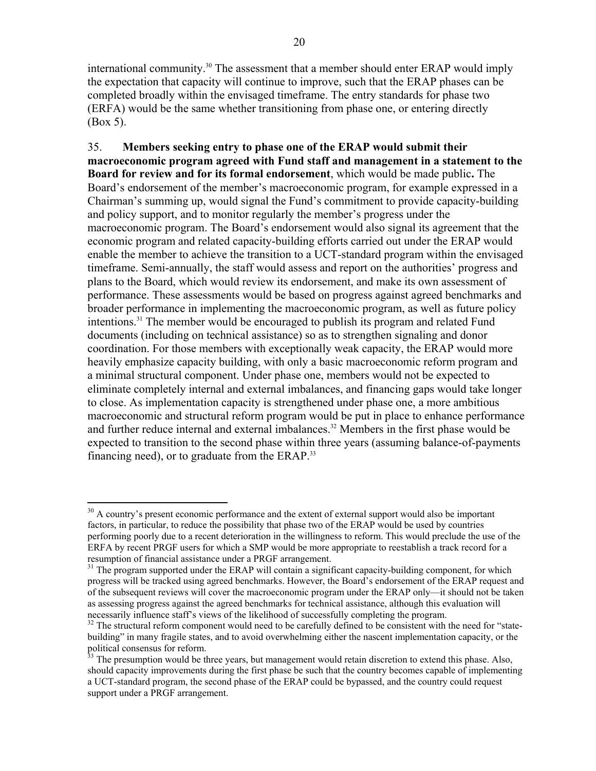international community.<sup>30</sup> The assessment that a member should enter ERAP would imply the expectation that capacity will continue to improve, such that the ERAP phases can be completed broadly within the envisaged timeframe. The entry standards for phase two (ERFA) would be the same whether transitioning from phase one, or entering directly (Box 5).

35. **Members seeking entry to phase one of the ERAP would submit their macroeconomic program agreed with Fund staff and management in a statement to the Board for review and for its formal endorsement**, which would be made public**.** The Board's endorsement of the member's macroeconomic program, for example expressed in a Chairman's summing up, would signal the Fund's commitment to provide capacity-building and policy support, and to monitor regularly the member's progress under the macroeconomic program. The Board's endorsement would also signal its agreement that the economic program and related capacity-building efforts carried out under the ERAP would enable the member to achieve the transition to a UCT-standard program within the envisaged timeframe. Semi-annually, the staff would assess and report on the authorities' progress and plans to the Board, which would review its endorsement, and make its own assessment of performance. These assessments would be based on progress against agreed benchmarks and broader performance in implementing the macroeconomic program, as well as future policy intentions.31 The member would be encouraged to publish its program and related Fund documents (including on technical assistance) so as to strengthen signaling and donor coordination. For those members with exceptionally weak capacity, the ERAP would more heavily emphasize capacity building, with only a basic macroeconomic reform program and a minimal structural component. Under phase one, members would not be expected to eliminate completely internal and external imbalances, and financing gaps would take longer to close. As implementation capacity is strengthened under phase one, a more ambitious macroeconomic and structural reform program would be put in place to enhance performance and further reduce internal and external imbalances.<sup>32</sup> Members in the first phase would be expected to transition to the second phase within three years (assuming balance-of-payments financing need), or to graduate from the ERAP.33

 $\overline{a}$ 

 $30$  A country's present economic performance and the extent of external support would also be important factors, in particular, to reduce the possibility that phase two of the ERAP would be used by countries performing poorly due to a recent deterioration in the willingness to reform. This would preclude the use of the ERFA by recent PRGF users for which a SMP would be more appropriate to reestablish a track record for a resumption of financial assistance under a PRGF arrangement.<br><sup>31</sup> The program supported under the ERAP will contain a significant capacity-building component, for which

progress will be tracked using agreed benchmarks. However, the Board's endorsement of the ERAP request and of the subsequent reviews will cover the macroeconomic program under the ERAP only—it should not be taken as assessing progress against the agreed benchmarks for technical assistance, although this evaluation will necessarily influence staff's views of the likelihood of successfully completing the program.

 $32$  The structural reform component would need to be carefully defined to be consistent with the need for "statebuilding" in many fragile states, and to avoid overwhelming either the nascent implementation capacity, or the political consensus for reform.

<sup>&</sup>lt;sup>33</sup> The presumption would be three years, but management would retain discretion to extend this phase. Also, should capacity improvements during the first phase be such that the country becomes capable of implementing a UCT-standard program, the second phase of the ERAP could be bypassed, and the country could request support under a PRGF arrangement.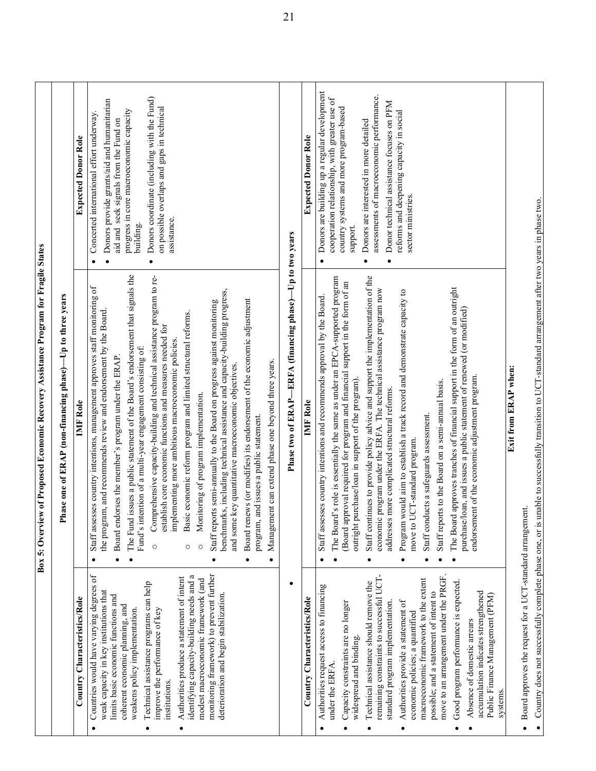|                                                                                                                                                                                                                                                                                                                                                                                                                                                                                                                   | Box 5: Overview of Proposed Economic Recovery Assistance Program for Fragile States                                                                                                                                                                                                                                                                                                                                                                                                                                                                                                                                                                                                                                                                                                                                                                                                                                                                                                                                                                                                    |                                                                                                                                                                                                                                                                                                                              |
|-------------------------------------------------------------------------------------------------------------------------------------------------------------------------------------------------------------------------------------------------------------------------------------------------------------------------------------------------------------------------------------------------------------------------------------------------------------------------------------------------------------------|----------------------------------------------------------------------------------------------------------------------------------------------------------------------------------------------------------------------------------------------------------------------------------------------------------------------------------------------------------------------------------------------------------------------------------------------------------------------------------------------------------------------------------------------------------------------------------------------------------------------------------------------------------------------------------------------------------------------------------------------------------------------------------------------------------------------------------------------------------------------------------------------------------------------------------------------------------------------------------------------------------------------------------------------------------------------------------------|------------------------------------------------------------------------------------------------------------------------------------------------------------------------------------------------------------------------------------------------------------------------------------------------------------------------------|
|                                                                                                                                                                                                                                                                                                                                                                                                                                                                                                                   | $-Up$ to three years<br>hase one of ERAP (non-financing phase)-<br>≏                                                                                                                                                                                                                                                                                                                                                                                                                                                                                                                                                                                                                                                                                                                                                                                                                                                                                                                                                                                                                   |                                                                                                                                                                                                                                                                                                                              |
| Country Characteristics/Role                                                                                                                                                                                                                                                                                                                                                                                                                                                                                      | <b>MF</b> Role                                                                                                                                                                                                                                                                                                                                                                                                                                                                                                                                                                                                                                                                                                                                                                                                                                                                                                                                                                                                                                                                         | <b>Expected Donor Role</b>                                                                                                                                                                                                                                                                                                   |
| Countries would have varying degrees of<br>monitoring framework) to prevent further<br>identifying capacity-building needs and a<br>Authorities produce a statement of intent<br>modest macroeconomic framework (and<br>Technical assistance programs can help<br>weak capacity in key institutions that<br>deterioration and begin stabilization.<br>limits basic economic functions and<br>coherent economic planning, and<br>improve the performance of key<br>weakens policy implementation.<br>institutions. | The Fund issues a public statement of the Board's endorsement that signals the<br>Comprehensive capacity-building and technical assistance program to re-<br>Staff assesses country intentions, management approves staff monitoring of<br>benchmarks, including technical assistance and capacity-building progress,<br>Board renews (or modifies) its endorsement of the economic adjustment<br>Staff reports semi-annually to the Board on progress against monitoring<br>the program, and recommends review and endorsement by the Board.<br>Basic economic reform program and limited structural reforms.<br>establish core economic functions and measures needed for<br>implementing more ambitious macroeconomic policies.<br>Fund's intention of a multi-year engagement consisting of:<br>Board endorses the member's program under the ERAP<br>Management can extend phase one beyond three years.<br>and some key quantitative macroeconomic objectives.<br>Monitoring of program implementation.<br>and issues a public statement.<br>program,<br>$\circ$<br>$\circ$<br>O | Donors coordinate (including with the Fund)<br>Donors provide grants/aid and humanitarian<br>on possible overlaps and gaps in technical<br>progress in core macroeconomic capacity<br>Concerted international effort underway<br>aid and seek signals from the Fund on<br>assistance.<br>building.<br>$\bullet$<br>$\bullet$ |
|                                                                                                                                                                                                                                                                                                                                                                                                                                                                                                                   | Phase two of ERAP—ERFA (financing phase)—Up to two years                                                                                                                                                                                                                                                                                                                                                                                                                                                                                                                                                                                                                                                                                                                                                                                                                                                                                                                                                                                                                               |                                                                                                                                                                                                                                                                                                                              |
| Country Characteristics/Role                                                                                                                                                                                                                                                                                                                                                                                                                                                                                      | <b>IMF</b> Role                                                                                                                                                                                                                                                                                                                                                                                                                                                                                                                                                                                                                                                                                                                                                                                                                                                                                                                                                                                                                                                                        | <b>Expected Donor Role</b>                                                                                                                                                                                                                                                                                                   |
| Authorities request access to financing<br>Capacity constraints are no longer<br>widespread and binding.<br>under the ERFA                                                                                                                                                                                                                                                                                                                                                                                        | The Board's role is essentially the same as under an EPCA-supported program<br>(Board approval required for program and financial support in the form of an<br>Staff assesses country intentions and recommends approval by the Board.<br>outright purchase/loan in support of the program).                                                                                                                                                                                                                                                                                                                                                                                                                                                                                                                                                                                                                                                                                                                                                                                           | Donors are building up a regular development<br>cooperation relationship, with greater use of<br>country systems and more program-based<br>support.                                                                                                                                                                          |
| remaining constraints to successful UCT-<br>move to an arrangement under the PRGF.<br>macroeconomic framework to the extent<br>Good program performance is expected.<br>Technical assistance should remove the<br>possible; and a statement of intent to<br>accumulation indicates strengthened<br>Public Finance Management (PFM)<br>Authorities provide a statement of<br>standard program implementation<br>economic policies; a quantified<br>Absence of domestic arrears<br>systems                          | Staff continues to provide policy advice and support the implementation of the<br>The Board approves tranches of financial support in the form of an outright<br>program under the ERFA. The technical assistance program now<br>Program would aim to establish a track record and demonstrate capacity to<br>purchase/loan, and issues a public statement of renewed (or modified)<br>endorsement of the economic adjustment program<br>Staff reports to the Board on a semi-annual basis.<br>more complicated structural reforms.<br>Staff conducts a safeguards assessment.<br>move to UCT-standard program.<br>economic<br>addresses                                                                                                                                                                                                                                                                                                                                                                                                                                               | assessments of macroeconomic performance.<br>Donor technical assistance focuses on PFM<br>reforms and deepening capacity in social<br>Donors are interested in more detailed<br>sector ministries.<br>٠<br>٠                                                                                                                 |
| Board approves the request for a UCT-standard arrangement.<br>$\bullet$                                                                                                                                                                                                                                                                                                                                                                                                                                           | Exit from ERAP when:                                                                                                                                                                                                                                                                                                                                                                                                                                                                                                                                                                                                                                                                                                                                                                                                                                                                                                                                                                                                                                                                   |                                                                                                                                                                                                                                                                                                                              |
|                                                                                                                                                                                                                                                                                                                                                                                                                                                                                                                   | Country does not successfully complete phase one, or is unable to successfully transition to UCT-standard arrangement after two years in phase two.                                                                                                                                                                                                                                                                                                                                                                                                                                                                                                                                                                                                                                                                                                                                                                                                                                                                                                                                    |                                                                                                                                                                                                                                                                                                                              |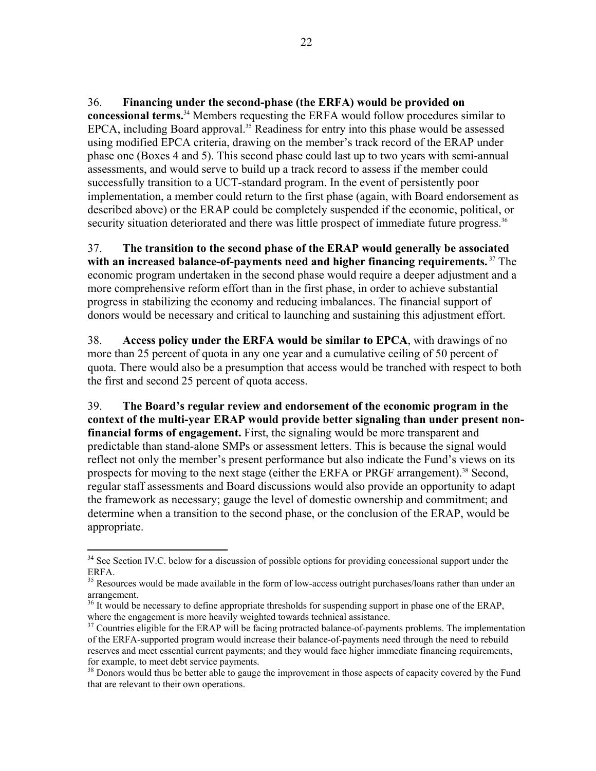36. **Financing under the second-phase (the ERFA) would be provided on concessional terms.**<sup>34</sup> Members requesting the ERFA would follow procedures similar to EPCA, including Board approval.<sup>35</sup> Readiness for entry into this phase would be assessed using modified EPCA criteria, drawing on the member's track record of the ERAP under phase one (Boxes 4 and 5). This second phase could last up to two years with semi-annual assessments, and would serve to build up a track record to assess if the member could successfully transition to a UCT-standard program. In the event of persistently poor implementation, a member could return to the first phase (again, with Board endorsement as described above) or the ERAP could be completely suspended if the economic, political, or security situation deteriorated and there was little prospect of immediate future progress.<sup>36</sup>

37. **The transition to the second phase of the ERAP would generally be associated with an increased balance-of-payments need and higher financing requirements.**<sup>37</sup> The economic program undertaken in the second phase would require a deeper adjustment and a more comprehensive reform effort than in the first phase, in order to achieve substantial progress in stabilizing the economy and reducing imbalances. The financial support of donors would be necessary and critical to launching and sustaining this adjustment effort.

38. **Access policy under the ERFA would be similar to EPCA**, with drawings of no more than 25 percent of quota in any one year and a cumulative ceiling of 50 percent of quota. There would also be a presumption that access would be tranched with respect to both the first and second 25 percent of quota access.

39. **The Board's regular review and endorsement of the economic program in the context of the multi-year ERAP would provide better signaling than under present nonfinancial forms of engagement.** First, the signaling would be more transparent and predictable than stand-alone SMPs or assessment letters. This is because the signal would reflect not only the member's present performance but also indicate the Fund's views on its prospects for moving to the next stage (either the ERFA or PRGF arrangement).<sup>38</sup> Second, regular staff assessments and Board discussions would also provide an opportunity to adapt the framework as necessary; gauge the level of domestic ownership and commitment; and determine when a transition to the second phase, or the conclusion of the ERAP, would be appropriate.

 $\overline{a}$ <sup>34</sup> See Section IV.C. below for a discussion of possible options for providing concessional support under the ERFA.

<sup>&</sup>lt;sup>35</sup> Resources would be made available in the form of low-access outright purchases/loans rather than under an arrangement.

<sup>&</sup>lt;sup>36</sup> It would be necessary to define appropriate thresholds for suspending support in phase one of the ERAP, where the engagement is more heavily weighted towards technical assistance.<br><sup>37</sup> Countries eligible for the ERAP will be facing protracted balance-of-payments problems. The implementation

of the ERFA-supported program would increase their balance-of-payments need through the need to rebuild reserves and meet essential current payments; and they would face higher immediate financing requirements, for example, to meet debt service payments.

<sup>&</sup>lt;sup>38</sup> Donors would thus be better able to gauge the improvement in those aspects of capacity covered by the Fund that are relevant to their own operations.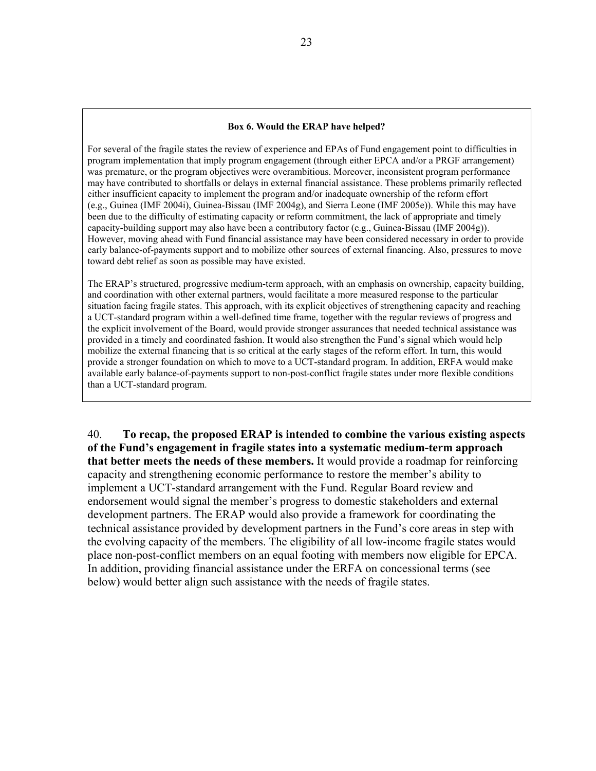#### **Box 6. Would the ERAP have helped?**

For several of the fragile states the review of experience and EPAs of Fund engagement point to difficulties in program implementation that imply program engagement (through either EPCA and/or a PRGF arrangement) was premature, or the program objectives were overambitious. Moreover, inconsistent program performance may have contributed to shortfalls or delays in external financial assistance. These problems primarily reflected either insufficient capacity to implement the program and/or inadequate ownership of the reform effort (e.g., Guinea (IMF 2004i), Guinea-Bissau (IMF 2004g), and Sierra Leone (IMF 2005e)). While this may have been due to the difficulty of estimating capacity or reform commitment, the lack of appropriate and timely capacity-building support may also have been a contributory factor (e.g., Guinea-Bissau (IMF 2004g)). However, moving ahead with Fund financial assistance may have been considered necessary in order to provide early balance-of-payments support and to mobilize other sources of external financing. Also, pressures to move toward debt relief as soon as possible may have existed.

The ERAP's structured, progressive medium-term approach, with an emphasis on ownership, capacity building, and coordination with other external partners, would facilitate a more measured response to the particular situation facing fragile states. This approach, with its explicit objectives of strengthening capacity and reaching a UCT-standard program within a well-defined time frame, together with the regular reviews of progress and the explicit involvement of the Board, would provide stronger assurances that needed technical assistance was provided in a timely and coordinated fashion. It would also strengthen the Fund's signal which would help mobilize the external financing that is so critical at the early stages of the reform effort. In turn, this would provide a stronger foundation on which to move to a UCT-standard program. In addition, ERFA would make available early balance-of-payments support to non-post-conflict fragile states under more flexible conditions than a UCT-standard program.

40. **To recap, the proposed ERAP is intended to combine the various existing aspects of the Fund's engagement in fragile states into a systematic medium-term approach that better meets the needs of these members.** It would provide a roadmap for reinforcing capacity and strengthening economic performance to restore the member's ability to implement a UCT-standard arrangement with the Fund. Regular Board review and endorsement would signal the member's progress to domestic stakeholders and external development partners. The ERAP would also provide a framework for coordinating the technical assistance provided by development partners in the Fund's core areas in step with the evolving capacity of the members. The eligibility of all low-income fragile states would place non-post-conflict members on an equal footing with members now eligible for EPCA. In addition, providing financial assistance under the ERFA on concessional terms (see below) would better align such assistance with the needs of fragile states.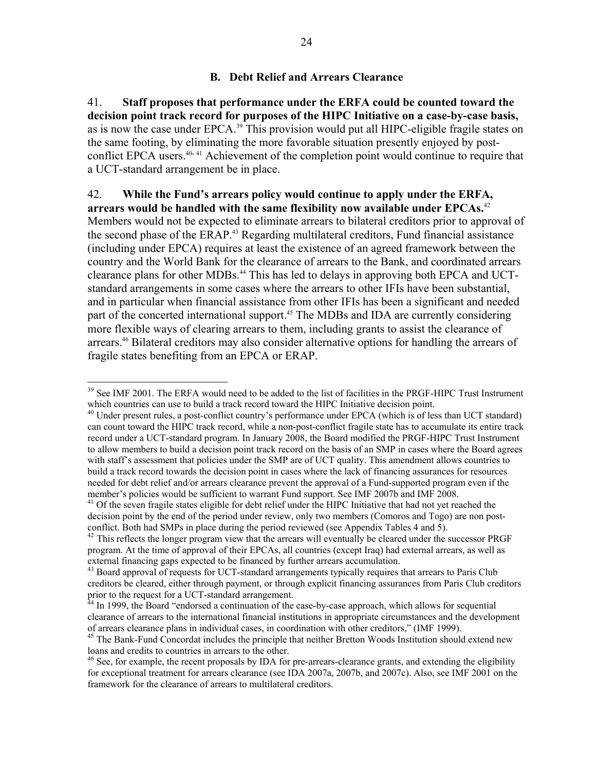### **B. Debt Relief and Arrears Clearance**

41. **Staff proposes that performance under the ERFA could be counted toward the decision point track record for purposes of the HIPC Initiative on a case-by-case basis,**  as is now the case under EPCA.<sup>39</sup> This provision would put all HIPC-eligible fragile states on the same footing, by eliminating the more favorable situation presently enjoyed by postconflict EPCA users.<sup>40, 41</sup> Achievement of the completion point would continue to require that a UCT-standard arrangement be in place.

#### 42. **While the Fund's arrears policy would continue to apply under the ERFA, arrears would be handled with the same flexibility now available under EPCAs.**<sup>42</sup>

Members would not be expected to eliminate arrears to bilateral creditors prior to approval of the second phase of the ERAP.<sup>43</sup> Regarding multilateral creditors, Fund financial assistance (including under EPCA) requires at least the existence of an agreed framework between the country and the World Bank for the clearance of arrears to the Bank, and coordinated arrears clearance plans for other MDBs.<sup>44</sup> This has led to delays in approving both EPCA and UCTstandard arrangements in some cases where the arrears to other IFIs have been substantial, and in particular when financial assistance from other IFIs has been a significant and needed part of the concerted international support.<sup>45</sup> The MDBs and IDA are currently considering more flexible ways of clearing arrears to them, including grants to assist the clearance of arrears.<sup>46</sup> Bilateral creditors may also consider alternative options for handling the arrears of fragile states benefiting from an EPCA or ERAP.

 $\overline{a}$ 

<sup>&</sup>lt;sup>39</sup> See IMF 2001. The ERFA would need to be added to the list of facilities in the PRGF-HIPC Trust Instrument which countries can use to build a track record toward the HIPC Initiative decision point.<br><sup>40</sup> Under present rules, a post-conflict country's performance under EPCA (which is of less than UCT standard)

can count toward the HIPC track record, while a non-post-conflict fragile state has to accumulate its entire track record under a UCT-standard program. In January 2008, the Board modified the PRGF-HIPC Trust Instrument to allow members to build a decision point track record on the basis of an SMP in cases where the Board agrees with staff's assessment that policies under the SMP are of UCT quality. This amendment allows countries to build a track record towards the decision point in cases where the lack of financing assurances for resources needed for debt relief and/or arrears clearance prevent the approval of a Fund-supported program even if the member's policies would be sufficient to warrant Fund support. See IMF 2007b and IMF 2008.

<sup>&</sup>lt;sup>41</sup> Of the seven fragile states eligible for debt relief under the HIPC Initiative that had not yet reached the decision point by the end of the period under review, only two members (Comoros and Togo) are non postconflict. Both had SMPs in place during the period reviewed (see Appendix Tables 4 and 5). 42 This reflects the longer program view that the arrears will eventually be cleared under the successor PRGF

program. At the time of approval of their EPCAs, all countries (except Iraq) had external arrears, as well as external financing gaps expected to be financed by further arrears accumulation.

<sup>&</sup>lt;sup>43</sup> Board approval of requests for UCT-standard arrangements typically requires that arrears to Paris Club creditors be cleared, either through payment, or through explicit financing assurances from Paris Club creditors prior to the request for a UCT-standard arrangement.

<sup>&</sup>lt;sup>44</sup> In 1999, the Board "endorsed a continuation of the case-by-case approach, which allows for sequential clearance of arrears to the international financial institutions in appropriate circumstances and the development of arrears clearance plans in individual cases, in coordination with other creditors," (IMF 1999). 45 The Bank-Fund Concordat includes the principle that neither Bretton Woods Institution should extend new

loans and credits to countries in arrears to the other.

<sup>&</sup>lt;sup>46</sup> See, for example, the recent proposals by IDA for pre-arrears-clearance grants, and extending the eligibility for exceptional treatment for arrears clearance (see IDA 2007a, 2007b, and 2007c). Also, see IMF 2001 on the framework for the clearance of arrears to multilateral creditors.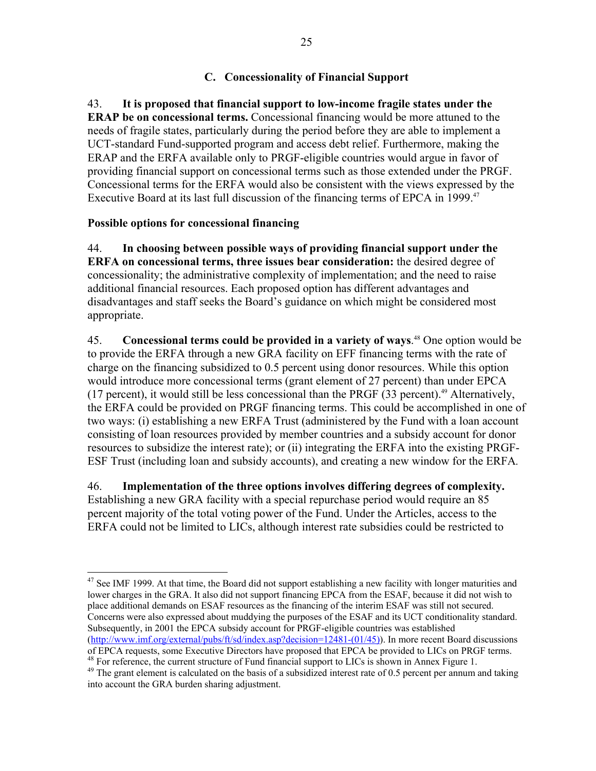## **C. Concessionality of Financial Support**

43. **It is proposed that financial support to low-income fragile states under the ERAP be on concessional terms.** Concessional financing would be more attuned to the needs of fragile states, particularly during the period before they are able to implement a UCT-standard Fund-supported program and access debt relief. Furthermore, making the ERAP and the ERFA available only to PRGF-eligible countries would argue in favor of providing financial support on concessional terms such as those extended under the PRGF. Concessional terms for the ERFA would also be consistent with the views expressed by the Executive Board at its last full discussion of the financing terms of EPCA in 1999.<sup>47</sup>

### **Possible options for concessional financing**

 $\overline{a}$ 

44. **In choosing between possible ways of providing financial support under the ERFA on concessional terms, three issues bear consideration:** the desired degree of concessionality; the administrative complexity of implementation; and the need to raise additional financial resources. Each proposed option has different advantages and disadvantages and staff seeks the Board's guidance on which might be considered most appropriate.

45. **Concessional terms could be provided in a variety of ways**. 48 One option would be to provide the ERFA through a new GRA facility on EFF financing terms with the rate of charge on the financing subsidized to 0.5 percent using donor resources. While this option would introduce more concessional terms (grant element of 27 percent) than under EPCA (17 percent), it would still be less concessional than the PRGF  $(33$  percent).<sup>49</sup> Alternatively, the ERFA could be provided on PRGF financing terms. This could be accomplished in one of two ways: (i) establishing a new ERFA Trust (administered by the Fund with a loan account consisting of loan resources provided by member countries and a subsidy account for donor resources to subsidize the interest rate); or (ii) integrating the ERFA into the existing PRGF-ESF Trust (including loan and subsidy accounts), and creating a new window for the ERFA*.*

46. **Implementation of the three options involves differing degrees of complexity.**  Establishing a new GRA facility with a special repurchase period would require an 85 percent majority of the total voting power of the Fund. Under the Articles, access to the ERFA could not be limited to LICs, although interest rate subsidies could be restricted to

 $47$  See IMF 1999. At that time, the Board did not support establishing a new facility with longer maturities and lower charges in the GRA. It also did not support financing EPCA from the ESAF, because it did not wish to place additional demands on ESAF resources as the financing of the interim ESAF was still not secured. Concerns were also expressed about muddying the purposes of the ESAF and its UCT conditionality standard. Subsequently, in 2001 the EPCA subsidy account for PRGF-eligible countries was established (http://www.imf.org/external/pubs/ft/sd/index.asp?decision=12481-(01/45)). In more recent Board discussions

of EPCA requests, some Executive Directors have proposed that EPCA be provided to LICs on PRGF terms. <sup>48</sup> For reference, the current structure of Fund financial support to LICs is shown in Annex Figure 1.

 $49$  The grant element is calculated on the basis of a subsidized interest rate of 0.5 percent per annum and taking into account the GRA burden sharing adjustment.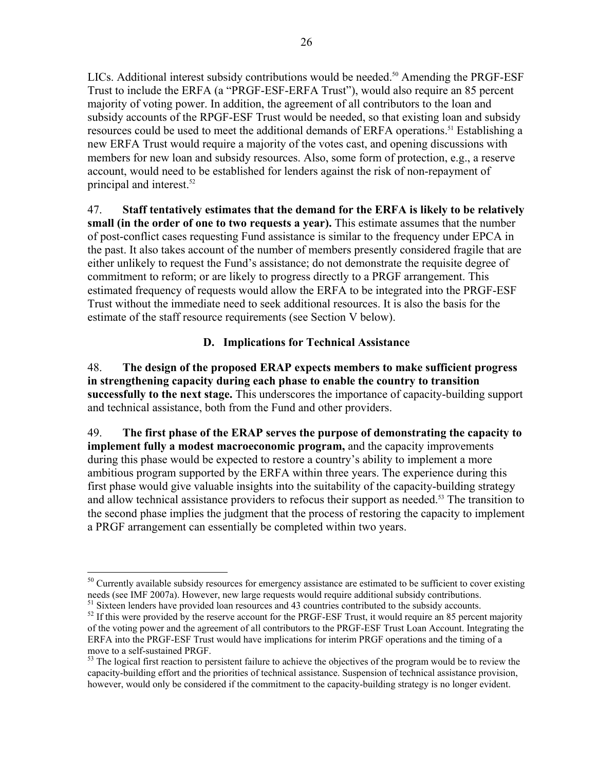LICs. Additional interest subsidy contributions would be needed.<sup>50</sup> Amending the PRGF-ESF Trust to include the ERFA (a "PRGF-ESF-ERFA Trust"), would also require an 85 percent majority of voting power. In addition, the agreement of all contributors to the loan and subsidy accounts of the RPGF-ESF Trust would be needed, so that existing loan and subsidy resources could be used to meet the additional demands of ERFA operations.<sup>51</sup> Establishing a new ERFA Trust would require a majority of the votes cast, and opening discussions with members for new loan and subsidy resources. Also, some form of protection, e.g., a reserve account, would need to be established for lenders against the risk of non-repayment of

principal and interest.52

 $\overline{a}$ 

47. **Staff tentatively estimates that the demand for the ERFA is likely to be relatively small (in the order of one to two requests a year).** This estimate assumes that the number of post-conflict cases requesting Fund assistance is similar to the frequency under EPCA in the past. It also takes account of the number of members presently considered fragile that are either unlikely to request the Fund's assistance; do not demonstrate the requisite degree of commitment to reform; or are likely to progress directly to a PRGF arrangement. This estimated frequency of requests would allow the ERFA to be integrated into the PRGF-ESF Trust without the immediate need to seek additional resources. It is also the basis for the estimate of the staff resource requirements (see Section V below).

## **D. Implications for Technical Assistance**

48. **The design of the proposed ERAP expects members to make sufficient progress in strengthening capacity during each phase to enable the country to transition successfully to the next stage.** This underscores the importance of capacity-building support and technical assistance, both from the Fund and other providers.

49. **The first phase of the ERAP serves the purpose of demonstrating the capacity to implement fully a modest macroeconomic program,** and the capacity improvements during this phase would be expected to restore a country's ability to implement a more ambitious program supported by the ERFA within three years. The experience during this first phase would give valuable insights into the suitability of the capacity-building strategy and allow technical assistance providers to refocus their support as needed.<sup>53</sup> The transition to the second phase implies the judgment that the process of restoring the capacity to implement a PRGF arrangement can essentially be completed within two years.

<sup>&</sup>lt;sup>50</sup> Currently available subsidy resources for emergency assistance are estimated to be sufficient to cover existing needs (see IMF 2007a). However, new large requests would require additional subsidy contributions.<br><sup>51</sup> Sixteen lenders have provided loan resources and 43 countries contributed to the subsidy accounts.

 $52$  If this were provided by the reserve account for the PRGF-ESF Trust, it would require an 85 percent majority of the voting power and the agreement of all contributors to the PRGF-ESF Trust Loan Account. Integrating the ERFA into the PRGF-ESF Trust would have implications for interim PRGF operations and the timing of a move to a self-sustained PRGF.

 $53$  The logical first reaction to persistent failure to achieve the objectives of the program would be to review the capacity-building effort and the priorities of technical assistance. Suspension of technical assistance provision, however, would only be considered if the commitment to the capacity-building strategy is no longer evident.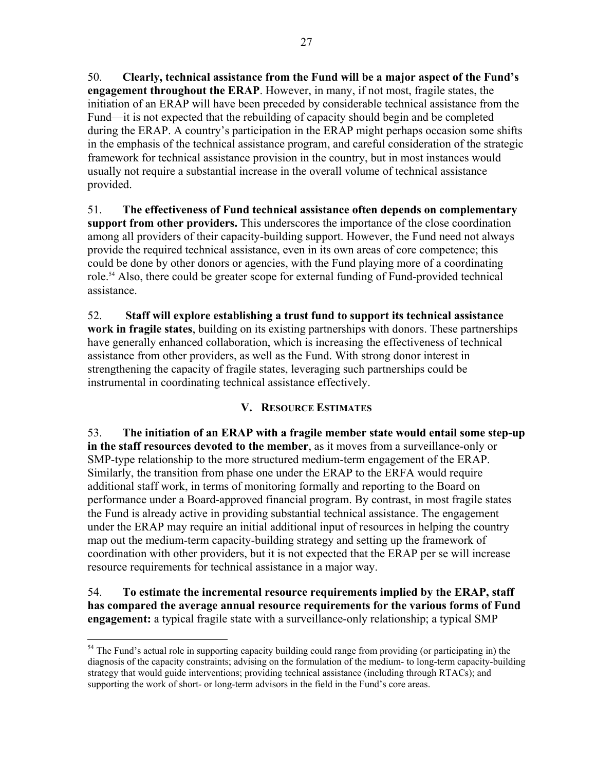50. **Clearly, technical assistance from the Fund will be a major aspect of the Fund's engagement throughout the ERAP**. However, in many, if not most, fragile states, the initiation of an ERAP will have been preceded by considerable technical assistance from the Fund—it is not expected that the rebuilding of capacity should begin and be completed during the ERAP. A country's participation in the ERAP might perhaps occasion some shifts in the emphasis of the technical assistance program, and careful consideration of the strategic framework for technical assistance provision in the country, but in most instances would usually not require a substantial increase in the overall volume of technical assistance provided.

51. **The effectiveness of Fund technical assistance often depends on complementary support from other providers.** This underscores the importance of the close coordination among all providers of their capacity-building support. However, the Fund need not always provide the required technical assistance, even in its own areas of core competence; this could be done by other donors or agencies, with the Fund playing more of a coordinating role.<sup>54</sup> Also, there could be greater scope for external funding of Fund-provided technical assistance.

52. **Staff will explore establishing a trust fund to support its technical assistance work in fragile states**, building on its existing partnerships with donors. These partnerships have generally enhanced collaboration, which is increasing the effectiveness of technical assistance from other providers, as well as the Fund. With strong donor interest in strengthening the capacity of fragile states, leveraging such partnerships could be instrumental in coordinating technical assistance effectively.

# **V. RESOURCE ESTIMATES**

53. **The initiation of an ERAP with a fragile member state would entail some step-up in the staff resources devoted to the member**, as it moves from a surveillance-only or SMP-type relationship to the more structured medium-term engagement of the ERAP. Similarly, the transition from phase one under the ERAP to the ERFA would require additional staff work, in terms of monitoring formally and reporting to the Board on performance under a Board-approved financial program. By contrast, in most fragile states the Fund is already active in providing substantial technical assistance. The engagement under the ERAP may require an initial additional input of resources in helping the country map out the medium-term capacity-building strategy and setting up the framework of coordination with other providers, but it is not expected that the ERAP per se will increase resource requirements for technical assistance in a major way.

54. **To estimate the incremental resource requirements implied by the ERAP, staff has compared the average annual resource requirements for the various forms of Fund engagement:** a typical fragile state with a surveillance-only relationship; a typical SMP

1

<sup>&</sup>lt;sup>54</sup> The Fund's actual role in supporting capacity building could range from providing (or participating in) the diagnosis of the capacity constraints; advising on the formulation of the medium- to long-term capacity-building strategy that would guide interventions; providing technical assistance (including through RTACs); and supporting the work of short- or long-term advisors in the field in the Fund's core areas.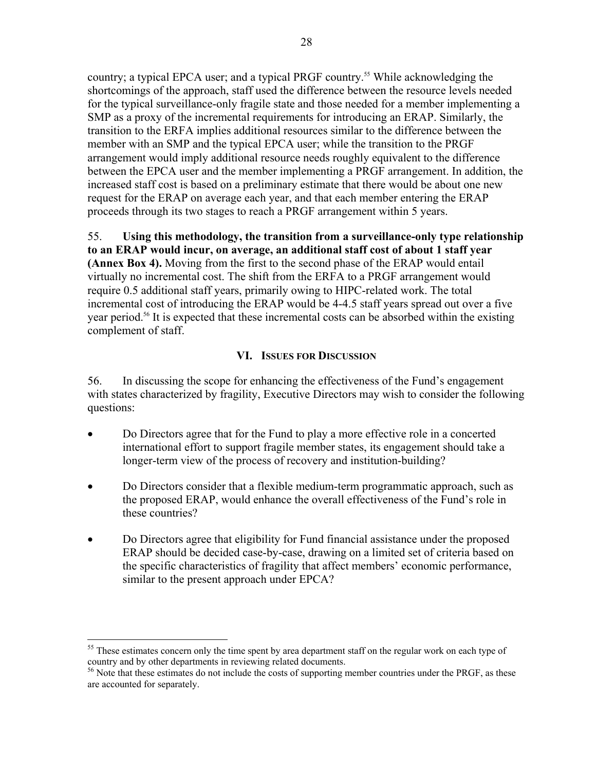country; a typical EPCA user; and a typical PRGF country.<sup>55</sup> While acknowledging the shortcomings of the approach, staff used the difference between the resource levels needed for the typical surveillance-only fragile state and those needed for a member implementing a SMP as a proxy of the incremental requirements for introducing an ERAP. Similarly, the transition to the ERFA implies additional resources similar to the difference between the member with an SMP and the typical EPCA user; while the transition to the PRGF arrangement would imply additional resource needs roughly equivalent to the difference between the EPCA user and the member implementing a PRGF arrangement. In addition, the increased staff cost is based on a preliminary estimate that there would be about one new request for the ERAP on average each year, and that each member entering the ERAP proceeds through its two stages to reach a PRGF arrangement within 5 years.

55. **Using this methodology, the transition from a surveillance-only type relationship to an ERAP would incur, on average, an additional staff cost of about 1 staff year (Annex Box 4).** Moving from the first to the second phase of the ERAP would entail virtually no incremental cost. The shift from the ERFA to a PRGF arrangement would require 0.5 additional staff years, primarily owing to HIPC-related work. The total incremental cost of introducing the ERAP would be 4-4.5 staff years spread out over a five year period.<sup>56</sup> It is expected that these incremental costs can be absorbed within the existing complement of staff.

### **VI. ISSUES FOR DISCUSSION**

56. In discussing the scope for enhancing the effectiveness of the Fund's engagement with states characterized by fragility, Executive Directors may wish to consider the following questions:

- Do Directors agree that for the Fund to play a more effective role in a concerted international effort to support fragile member states, its engagement should take a longer-term view of the process of recovery and institution-building?
- Do Directors consider that a flexible medium-term programmatic approach, such as the proposed ERAP, would enhance the overall effectiveness of the Fund's role in these countries?
- Do Directors agree that eligibility for Fund financial assistance under the proposed ERAP should be decided case-by-case, drawing on a limited set of criteria based on the specific characteristics of fragility that affect members' economic performance, similar to the present approach under EPCA?

1

<sup>&</sup>lt;sup>55</sup> These estimates concern only the time spent by area department staff on the regular work on each type of country and by other departments in reviewing related documents.

<sup>&</sup>lt;sup>56</sup> Note that these estimates do not include the costs of supporting member countries under the PRGF, as these are accounted for separately.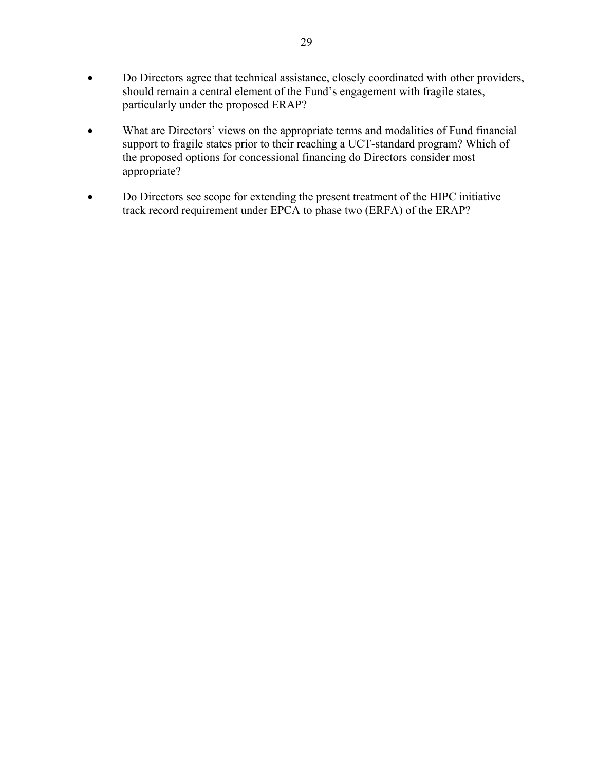- Do Directors agree that technical assistance, closely coordinated with other providers, should remain a central element of the Fund's engagement with fragile states, particularly under the proposed ERAP?
- What are Directors' views on the appropriate terms and modalities of Fund financial support to fragile states prior to their reaching a UCT-standard program? Which of the proposed options for concessional financing do Directors consider most appropriate?
- Do Directors see scope for extending the present treatment of the HIPC initiative track record requirement under EPCA to phase two (ERFA) of the ERAP?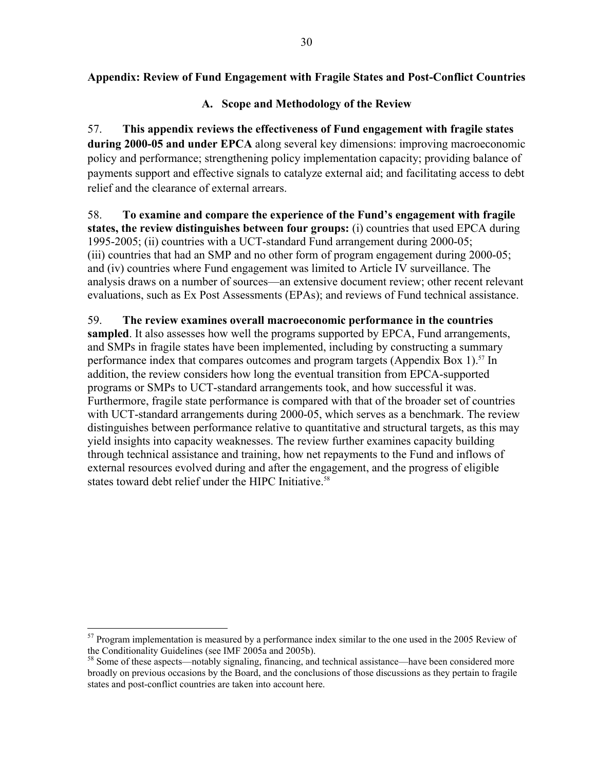## **Appendix: Review of Fund Engagement with Fragile States and Post-Conflict Countries**

### **A. Scope and Methodology of the Review**

57. **This appendix reviews the effectiveness of Fund engagement with fragile states during 2000-05 and under EPCA** along several key dimensions: improving macroeconomic policy and performance; strengthening policy implementation capacity; providing balance of payments support and effective signals to catalyze external aid; and facilitating access to debt relief and the clearance of external arrears.

58. **To examine and compare the experience of the Fund's engagement with fragile states, the review distinguishes between four groups:** (i) countries that used EPCA during 1995-2005; (ii) countries with a UCT-standard Fund arrangement during 2000-05; (iii) countries that had an SMP and no other form of program engagement during 2000-05; and (iv) countries where Fund engagement was limited to Article IV surveillance. The analysis draws on a number of sources—an extensive document review; other recent relevant evaluations, such as Ex Post Assessments (EPAs); and reviews of Fund technical assistance.

59. **The review examines overall macroeconomic performance in the countries sampled**. It also assesses how well the programs supported by EPCA, Fund arrangements, and SMPs in fragile states have been implemented, including by constructing a summary performance index that compares outcomes and program targets (Appendix Box 1).<sup>57</sup> In addition, the review considers how long the eventual transition from EPCA-supported programs or SMPs to UCT-standard arrangements took, and how successful it was. Furthermore, fragile state performance is compared with that of the broader set of countries with UCT-standard arrangements during 2000-05, which serves as a benchmark. The review distinguishes between performance relative to quantitative and structural targets, as this may yield insights into capacity weaknesses. The review further examines capacity building through technical assistance and training, how net repayments to the Fund and inflows of external resources evolved during and after the engagement, and the progress of eligible states toward debt relief under the HIPC Initiative.<sup>58</sup>

 $\overline{a}$ 

 $57$  Program implementation is measured by a performance index similar to the one used in the 2005 Review of the Conditionality Guidelines (see IMF 2005a and 2005b).

<sup>58</sup> Some of these aspects—notably signaling, financing, and technical assistance—have been considered more broadly on previous occasions by the Board, and the conclusions of those discussions as they pertain to fragile states and post-conflict countries are taken into account here.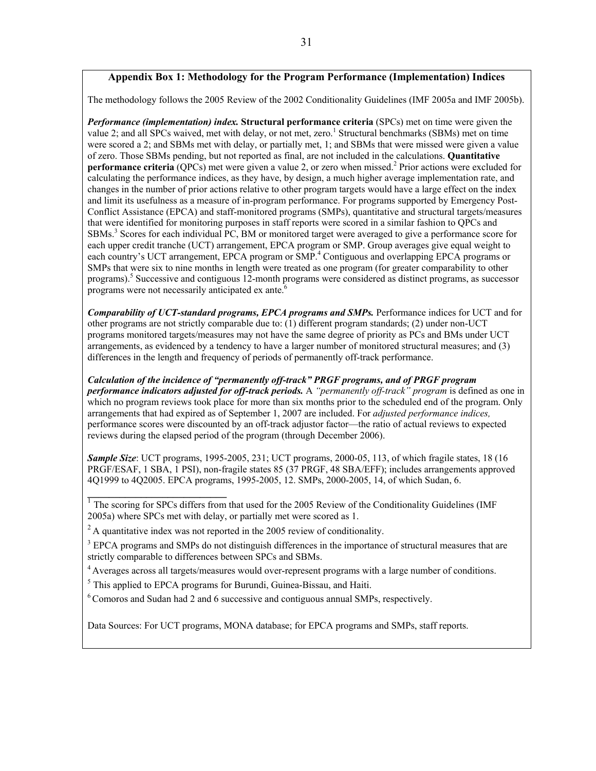#### **Appendix Box 1: Methodology for the Program Performance (Implementation) Indices**

The methodology follows the 2005 Review of the 2002 Conditionality Guidelines (IMF 2005a and IMF 2005b).

*Performance (implementation) index.* **Structural performance criteria** (SPCs) met on time were given the value 2; and all SPCs waived, met with delay, or not met, zero.<sup>1</sup> Structural benchmarks (SBMs) met on time were scored a 2; and SBMs met with delay, or partially met, 1; and SBMs that were missed were given a value of zero. Those SBMs pending, but not reported as final, are not included in the calculations. **Quantitative performance criteria** (QPCs) met were given a value 2, or zero when missed.<sup>2</sup> Prior actions were excluded for calculating the performance indices, as they have, by design, a much higher average implementation rate, and changes in the number of prior actions relative to other program targets would have a large effect on the index and limit its usefulness as a measure of in-program performance. For programs supported by Emergency Post-Conflict Assistance (EPCA) and staff-monitored programs (SMPs), quantitative and structural targets/measures that were identified for monitoring purposes in staff reports were scored in a similar fashion to QPCs and SBMs.<sup>3</sup> Scores for each individual PC, BM or monitored target were averaged to give a performance score for each upper credit tranche (UCT) arrangement, EPCA program or SMP. Group averages give equal weight to each country's UCT arrangement, EPCA program or SMP.<sup>4</sup> Contiguous and overlapping EPCA programs or SMPs that were six to nine months in length were treated as one program (for greater comparability to other programs).<sup>5</sup> Successive and contiguous 12-month programs were considered as distinct programs, as successor programs were not necessarily anticipated ex ante. $6$ 

*Comparability of UCT-standard programs, EPCA programs and SMPs.* Performance indices for UCT and for other programs are not strictly comparable due to: (1) different program standards; (2) under non-UCT programs monitored targets/measures may not have the same degree of priority as PCs and BMs under UCT arrangements, as evidenced by a tendency to have a larger number of monitored structural measures; and (3) differences in the length and frequency of periods of permanently off-track performance.

*Calculation of the incidence of "permanently off-track" PRGF programs, and of PRGF program performance indicators adjusted for off-track periods.* A *"permanently off-track" program* is defined as one in which no program reviews took place for more than six months prior to the scheduled end of the program. Only arrangements that had expired as of September 1, 2007 are included. For *adjusted performance indices,* performance scores were discounted by an off-track adjustor factor—the ratio of actual reviews to expected reviews during the elapsed period of the program (through December 2006).

*Sample Size*: UCT programs, 1995-2005, 231; UCT programs, 2000-05, 113, of which fragile states, 18 (16 PRGF/ESAF, 1 SBA, 1 PSI), non-fragile states 85 (37 PRGF, 48 SBA/EFF); includes arrangements approved 4Q1999 to 4Q2005. EPCA programs, 1995-2005, 12. SMPs, 2000-2005, 14, of which Sudan, 6.

<sup>1</sup> The scoring for SPCs differs from that used for the 2005 Review of the Conditionality Guidelines (IMF 2005a) where SPCs met with delay, or partially met were scored as 1.

 $2 A$  quantitative index was not reported in the 2005 review of conditionality.

**\_\_\_\_\_\_\_\_\_\_\_\_\_\_\_\_\_\_\_\_\_\_\_\_\_\_** 

<sup>3</sup> EPCA programs and SMPs do not distinguish differences in the importance of structural measures that are strictly comparable to differences between SPCs and SBMs.

<sup>4</sup> Averages across all targets/measures would over-represent programs with a large number of conditions.

 $<sup>5</sup>$  This applied to EPCA programs for Burundi, Guinea-Bissau, and Haiti.</sup>

6 Comoros and Sudan had 2 and 6 successive and contiguous annual SMPs, respectively.

Data Sources: For UCT programs, MONA database; for EPCA programs and SMPs, staff reports.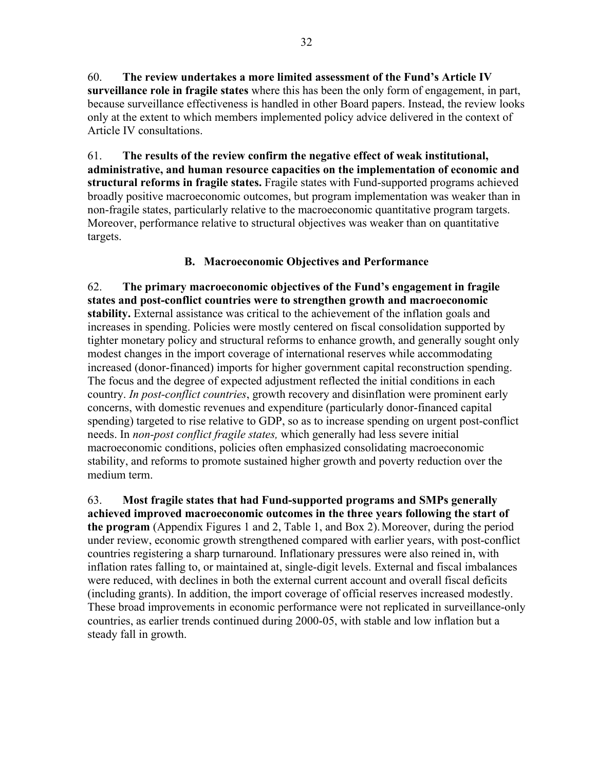60. **The review undertakes a more limited assessment of the Fund's Article IV surveillance role in fragile states** where this has been the only form of engagement, in part, because surveillance effectiveness is handled in other Board papers. Instead, the review looks only at the extent to which members implemented policy advice delivered in the context of Article IV consultations.

61. **The results of the review confirm the negative effect of weak institutional, administrative, and human resource capacities on the implementation of economic and structural reforms in fragile states.** Fragile states with Fund-supported programs achieved broadly positive macroeconomic outcomes, but program implementation was weaker than in non-fragile states, particularly relative to the macroeconomic quantitative program targets. Moreover, performance relative to structural objectives was weaker than on quantitative targets.

## **B. Macroeconomic Objectives and Performance**

62. **The primary macroeconomic objectives of the Fund's engagement in fragile states and post-conflict countries were to strengthen growth and macroeconomic stability.** External assistance was critical to the achievement of the inflation goals and increases in spending. Policies were mostly centered on fiscal consolidation supported by tighter monetary policy and structural reforms to enhance growth, and generally sought only modest changes in the import coverage of international reserves while accommodating increased (donor-financed) imports for higher government capital reconstruction spending. The focus and the degree of expected adjustment reflected the initial conditions in each country. *In post-conflict countries*, growth recovery and disinflation were prominent early concerns, with domestic revenues and expenditure (particularly donor-financed capital spending) targeted to rise relative to GDP, so as to increase spending on urgent post-conflict needs. In *non-post conflict fragile states,* which generally had less severe initial macroeconomic conditions, policies often emphasized consolidating macroeconomic stability, and reforms to promote sustained higher growth and poverty reduction over the medium term.

63. **Most fragile states that had Fund-supported programs and SMPs generally achieved improved macroeconomic outcomes in the three years following the start of the program** (Appendix Figures 1 and 2, Table 1, and Box 2).Moreover, during the period under review, economic growth strengthened compared with earlier years, with post-conflict countries registering a sharp turnaround. Inflationary pressures were also reined in, with inflation rates falling to, or maintained at, single-digit levels. External and fiscal imbalances were reduced, with declines in both the external current account and overall fiscal deficits (including grants). In addition, the import coverage of official reserves increased modestly. These broad improvements in economic performance were not replicated in surveillance-only countries, as earlier trends continued during 2000-05, with stable and low inflation but a steady fall in growth.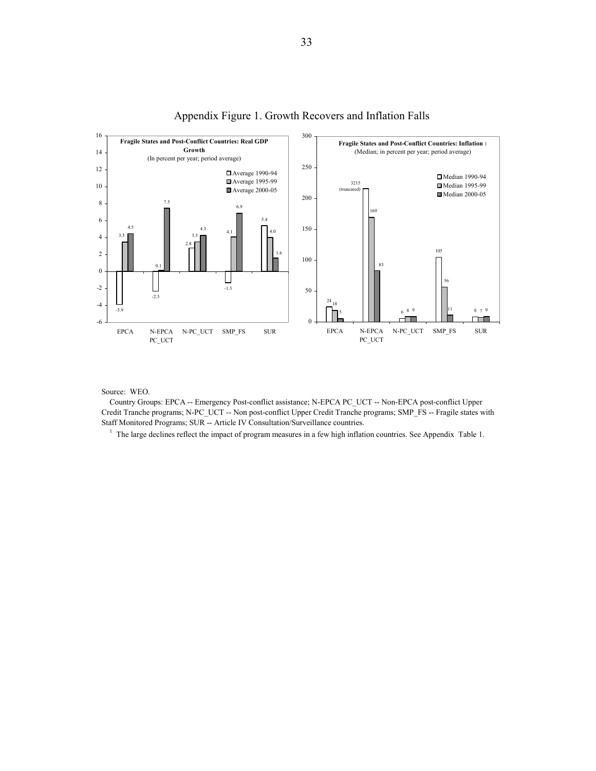

### Appendix Figure 1. Growth Recovers and Inflation Falls

Source: WEO.

 Country Groups: EPCA -- Emergency Post-conflict assistance; N-EPCA PC\_UCT -- Non-EPCA post-conflict Upper Credit Tranche programs; N-PC\_UCT -- Non post-conflict Upper Credit Tranche programs; SMP\_FS -- Fragile states with Staff Monitored Programs; SUR -- Article IV Consultation/Surveillance countries.

<sup>1</sup> The large declines reflect the impact of program measures in a few high inflation countries. See Appendix Table 1.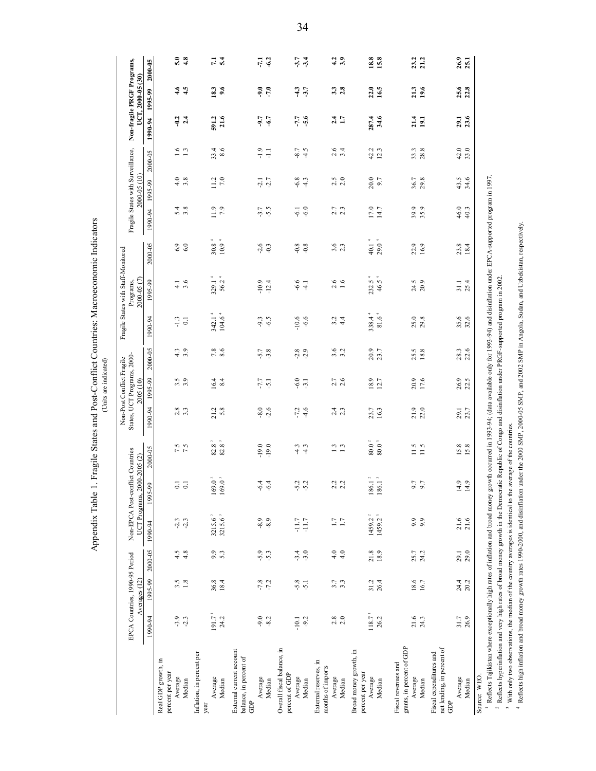Appendix Table 1. Fragile States and Post-Conflict Countries: Macroeconomic Indicators Appendix Table 1. Fragile States and Post-Conflict Countries: Macroeconomic Indicators (Units are indicated)

(Units are indicated)

|                                                                                                                                                                                                          | EPCA Countries, 1990-95 Period | Averages (12)           |                  |                                            | Non-EPCA Post-conflict Countries<br>UCT Programs, 2000-2005 (2) |                                                       |                         | States, UCT Programs, 2000-<br>Non-Post Conflict Fragile<br>2005 (10) |                  |                                          | Fragile States with Staff-Monitored<br>2000-05 (7)<br>Programs, |                                        |                   | Fragile States with Surveillance,<br>2000-05 (10) |                  |                     | Non-fragile PRGF Programs,<br>UCT, 2000-05 (30) |               |
|----------------------------------------------------------------------------------------------------------------------------------------------------------------------------------------------------------|--------------------------------|-------------------------|------------------|--------------------------------------------|-----------------------------------------------------------------|-------------------------------------------------------|-------------------------|-----------------------------------------------------------------------|------------------|------------------------------------------|-----------------------------------------------------------------|----------------------------------------|-------------------|---------------------------------------------------|------------------|---------------------|-------------------------------------------------|---------------|
|                                                                                                                                                                                                          | 1990-94                        | 1995-99                 | 2000-05          | 1990-94                                    | 1995-99                                                         | 2000-05                                               | 1990-94                 | 1995-99                                                               | 2000-05          | 1990-94                                  | 1995-99                                                         | 2000-05                                | 1990-94           | 1995-99                                           | 2000-05          | 1990-94             | 1995-99                                         | $2000 - 05$   |
| Real GDP growth, in<br>percent per year<br>Average                                                                                                                                                       | $-3.9$                         |                         |                  |                                            |                                                                 |                                                       |                         |                                                                       |                  |                                          |                                                                 |                                        |                   |                                                   |                  |                     |                                                 | 5.0           |
| Median                                                                                                                                                                                                   | $-2.3$                         | $3.\overline{5}$<br>1.8 | $4.5$<br>$4.8$   | $-2.3$                                     | $\overline{5}$ $\overline{5}$                                   | 7.5                                                   | $2.\overline{8}$<br>3.3 | $\begin{array}{c} 3.5 \\ 3.9 \end{array}$                             | $4.3$<br>3.9     | $\frac{13}{10}$                          | $\frac{4.1}{3.6}$                                               | $6.9$<br>$6.0$                         | $5.\overline{8}$  | $4.0$<br>3.8                                      | 1.6              | $-9.4$              | 4.5                                             | 4.8           |
| Inflation, in percent per<br>$\begin{array}{c} \Lambda \text{verage} \\ \text{Median} \end{array}$<br>year                                                                                               | $191.7-1$<br>24.2              | $\frac{36.8}{18.4}$     | 9.3              | $3215.6^{2}$<br>$3215.6^{3}$               | $\frac{169.0^2}{169.0^3}$                                       | $\begin{array}{c} 82.8 \\ 82.8 \end{array}$ :         | $21.2$<br>5.8           | $16.4$<br>8.4                                                         | $7.8$<br>8.6     | 342.1 <sup>4</sup><br>104.6 <sup>4</sup> | $329.14$<br>$56.24$                                             | $30.84$<br>10.9 <sup>4</sup>           | $\frac{0.9}{7.9}$ | $11.2$<br>7.0                                     | $33.4$<br>8.6    | $591.2$<br>$21.6$   | $\frac{18.3}{9.6}$                              | 7.1           |
| External current account<br>balance, in percent of<br>Average<br>Median<br>GDP                                                                                                                           | $-9.0$<br>$-8.2$               | $-7.8$<br>$-7.2$        | $-5.9$<br>$-5.3$ | $-8.9$<br>$-8.9$                           | $-6.4$<br>$-6.4$                                                | $-19.0$<br>$-19.0$                                    | $-8.0$<br>$-2.6$        | $-7.7$<br>$-5.1$                                                      | $-5.7$<br>$-3.8$ | $-6.5$<br>$-9.3$                         | $-10.9$<br>$-12.4$                                              | $-2.6$<br>$-0.3$                       | $-3.7$<br>$-5.5$  | $-2.7$<br>$-2.1$                                  | $-1.9$<br>Ę      | $-9.7$<br>$-6.7$    | $-9.0$<br>$-7.0$                                | $-6.2$<br>171 |
| Overall fiscal balance, in<br>percent of GDP<br>Average<br>Median                                                                                                                                        | $-9.2$<br>$-10.1$              | $-5.8$                  | $-3.0$           | $-11.7$<br>$-11.7$                         | $-5.2$                                                          | $-4.3$<br>$-4.3$                                      | $-7.2$<br>$-4.6$        | 6.0                                                                   | $-2.8$<br>$-2.9$ | $-10.6$<br>$-6.6$                        | $-6.6$<br>$-4.1$                                                | 0.8                                    | $-6.0$<br>$-6.1$  | $-6.8$<br>$-4.3$                                  | $-4.5$<br>$-8.7$ | $-5.6$              | 3.7                                             | 3.7           |
| External reserves, in<br>months of imports<br>Average<br>Median                                                                                                                                          | $2.8$<br>$2.0$                 | 3.7                     | 4.0<br>4.0       | $\frac{17}{17}$                            | $2.2$<br>$2.2$                                                  | $\frac{13}{13}$                                       | 2.3                     | $2.7$<br>2.6                                                          | $3.\overline{2}$ | $3.\overline{4}$<br>4.4                  | $2.6$<br>1.6                                                    | $3.\overline{3}$                       | $2.7$<br>$2.3$    | $2.5$<br>$2.0$                                    | $2.6$<br>$3.4$   | $2.4$<br>1.7        | $3.\overline{3}$<br>$3.\overline{8}$            | 4.2<br>3.9    |
| Broad money growth, in<br>percent per year<br>Average<br>Median                                                                                                                                          | $118.7-1$<br>26.2              | 31.2<br>26.4            | 21.8             | 1459.2 <sup>2</sup><br>1459.2 <sup>3</sup> | $\frac{186.1^2}{186.1^3}$                                       | $\begin{smallmatrix} 80.0 \ 80.0 \end{smallmatrix}^2$ | 23.7<br>16.3            | 18.9<br>12.7                                                          | 20.9<br>23.7     | $338.4^{4}$<br>$81.6\,{}^4$              | 232.5 <sup>4</sup><br>46.5                                      | 40.1 <sup>4</sup><br>29.0 <sup>4</sup> | 17.0<br>14.7      | 20.0<br>9.7                                       | 42.2<br>12.3     | 287.4<br>34.6       | 16.5<br>22.0                                    | 18.8<br>15.8  |
| grants, in percent of GDP<br>Fiscal revenues and<br>Average<br>Median                                                                                                                                    | 21.6<br>24.3                   | 18.6<br>16.7            | 24.2<br>25.7     | $9.9$<br>9.9                               | 5.7                                                             | 11.5<br>11.5                                          | $21.9$<br>$22.0$        | 20.9<br>17.6                                                          | 25.5<br>18.8     | 25.0<br>29.8                             | 24.5<br>20.9                                                    | 22.9<br>16.9                           | 39.9<br>35.9      | 36.7<br>29.8                                      | $33.3$<br>$28.8$ | $\frac{21.4}{19.1}$ | 19.6<br>21.3                                    | 23.2<br>21.2  |
| net lending, in percent of<br>Fiscal expenditures and<br>Average<br>Median<br>GDP                                                                                                                        | 31.7<br>26.9                   | 24.4<br>20.2            | 29.0<br>29.1     | $21.6$<br>$21.6$                           | 4.9                                                             | 15.8                                                  | 29.1<br>23.7            | 26.9<br>22.5                                                          | 28.3<br>22.6     | 35.6<br>32.6                             | 25.4<br>31.1                                                    | 23.8<br>18.4                           | $46.0$<br>40.3    | 43.5<br>34.6                                      | $42.0$<br>33.0   | 29.1<br>23.6        | <b>25.6</b><br>22.8                             | 26.9<br>25.1  |
| $^1$ Beflexe Tailbeton where exceptionally high retes of inflation and head money moving in 1002.01: (data available only for 1002.04) and disinflation under EDCA. europeration in 1007<br>Source: WEO. |                                |                         |                  |                                            |                                                                 |                                                       |                         |                                                                       |                  |                                          |                                                                 |                                        |                   |                                                   |                  |                     |                                                 |               |

1 Reflects Tajikistan where exceptionally high rates of inflation and broad money growth occurred in 1993-94; (data available only for 1993-94) and disinflation under EPCA-supported program in 1997.

' Reflects Tajikistan where exceptionally high rates of inflation and broad money growth occurred in 1993-94; (data available only for 1993-94) and disinflation under EPCA-supported program in 1997.<br><sup>2</sup> Reflects hyperinfla 2 Reflects hyperinflation and very high rates of broad money growth in the Democratic Republic of Congo and disinflation under PRGF-supported program in 2002.

<sup>3</sup> With only two observations, the median of the country averages is identical to the average of the countries.

 $\frac{1}{3}$  With only two observations, the median of the country averages is identical to the average of the countries.<br>  $\frac{1}{4}$  Memberships in that is the median of the country averages is identical to the average of th 4 Reflects high inflation and broad money growth rates 1990-2000, and disinflation under the 2000 SMP, 2000-05 SMP, and 2002 SMP in Angola, Sudan, and Uzbekistan, respectively.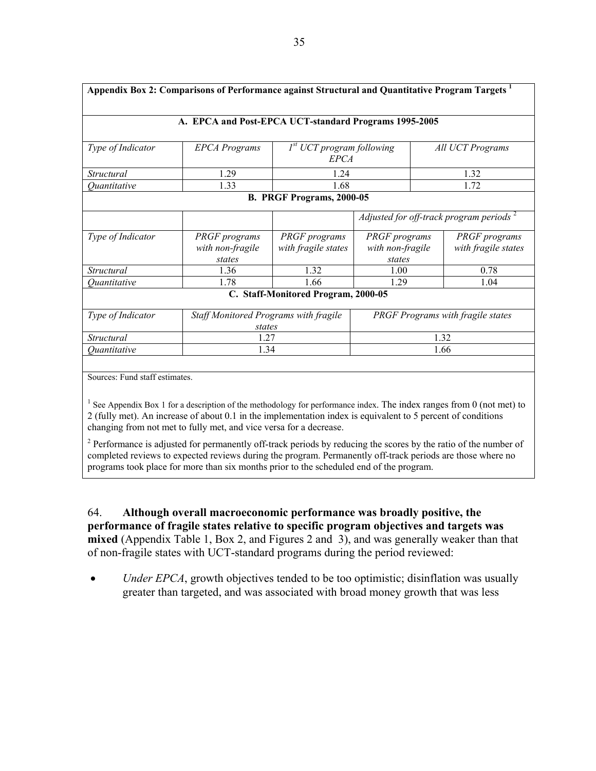| Appendix Box 2: Comparisons of Performance against Structural and Quantitative Program Targets <sup>1</sup> |                                                                                                                                                                                                                                                                                                           |                                                      |                                                    |                                             |  |  |  |  |
|-------------------------------------------------------------------------------------------------------------|-----------------------------------------------------------------------------------------------------------------------------------------------------------------------------------------------------------------------------------------------------------------------------------------------------------|------------------------------------------------------|----------------------------------------------------|---------------------------------------------|--|--|--|--|
|                                                                                                             | A. EPCA and Post-EPCA UCT-standard Programs 1995-2005                                                                                                                                                                                                                                                     |                                                      |                                                    |                                             |  |  |  |  |
| Type of Indicator                                                                                           | <b>EPCA Programs</b>                                                                                                                                                                                                                                                                                      | 1 <sup>st</sup> UCT program following<br><b>EPCA</b> |                                                    | All UCT Programs                            |  |  |  |  |
| Structural                                                                                                  | 1.29                                                                                                                                                                                                                                                                                                      | 1.24                                                 |                                                    | 1.32                                        |  |  |  |  |
| Quantitative                                                                                                | 1.33                                                                                                                                                                                                                                                                                                      | 1.68                                                 |                                                    | 1.72                                        |  |  |  |  |
|                                                                                                             |                                                                                                                                                                                                                                                                                                           | B. PRGF Programs, 2000-05                            |                                                    |                                             |  |  |  |  |
|                                                                                                             |                                                                                                                                                                                                                                                                                                           |                                                      | Adjusted for off-track program periods $2$         |                                             |  |  |  |  |
| Type of Indicator                                                                                           | <b>PRGF</b> programs<br>with non-fragile<br>states                                                                                                                                                                                                                                                        | <b>PRGF</b> programs<br>with fragile states          | <b>PRGF</b> programs<br>with non-fragile<br>states | <b>PRGF</b> programs<br>with fragile states |  |  |  |  |
| Structural                                                                                                  | 1.36<br>1.32<br>1.00<br>0.78                                                                                                                                                                                                                                                                              |                                                      |                                                    |                                             |  |  |  |  |
| 1.66<br>1.78<br>1.29<br>1.04<br>Ouantitative                                                                |                                                                                                                                                                                                                                                                                                           |                                                      |                                                    |                                             |  |  |  |  |
|                                                                                                             |                                                                                                                                                                                                                                                                                                           | C. Staff-Monitored Program, 2000-05                  |                                                    |                                             |  |  |  |  |
| Type of Indicator                                                                                           | Staff Monitored Programs with fragile<br>states                                                                                                                                                                                                                                                           |                                                      |                                                    | PRGF Programs with fragile states           |  |  |  |  |
| Structural                                                                                                  | 1.27                                                                                                                                                                                                                                                                                                      |                                                      | 1.32                                               |                                             |  |  |  |  |
| Ouantitative                                                                                                | 1.34                                                                                                                                                                                                                                                                                                      |                                                      | 1.66                                               |                                             |  |  |  |  |
|                                                                                                             |                                                                                                                                                                                                                                                                                                           |                                                      |                                                    |                                             |  |  |  |  |
| Sources: Fund staff estimates.                                                                              |                                                                                                                                                                                                                                                                                                           |                                                      |                                                    |                                             |  |  |  |  |
|                                                                                                             | See Appendix Box 1 for a description of the methodology for performance index. The index ranges from 0 (not met) to<br>2 (fully met). An increase of about 0.1 in the implementation index is equivalent to 5 percent of conditions<br>changing from not met to fully met, and vice versa for a decrease. |                                                      |                                                    |                                             |  |  |  |  |

 $2^2$  Performance is adjusted for permanently off-track periods by reducing the scores by the ratio of the number of completed reviews to expected reviews during the program. Permanently off-track periods are those where no programs took place for more than six months prior to the scheduled end of the program.

64. **Although overall macroeconomic performance was broadly positive, the performance of fragile states relative to specific program objectives and targets was mixed** (Appendix Table 1, Box 2, and Figures 2 and 3), and was generally weaker than that of non-fragile states with UCT-standard programs during the period reviewed:

• *Under EPCA*, growth objectives tended to be too optimistic; disinflation was usually greater than targeted, and was associated with broad money growth that was less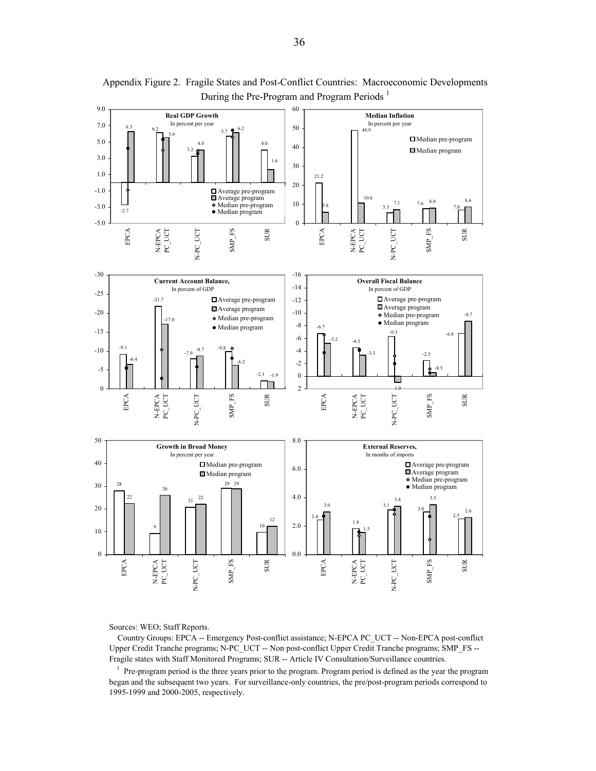

Appendix Figure 2. Fragile States and Post-Conflict Countries: Macroeconomic Developments During the Pre-Program and Program Periods<sup>1</sup>

Sources: WEO; Staff Reports.

 Country Groups: EPCA -- Emergency Post-conflict assistance; N-EPCA PC\_UCT -- Non-EPCA post-conflict Upper Credit Tranche programs; N-PC\_UCT -- Non post-conflict Upper Credit Tranche programs; SMP\_FS -- Fragile states with Staff Monitored Programs; SUR -- Article IV Consultation/Surveillance countries.

 $1$  Pre-program period is the three years prior to the program. Program period is defined as the year the program began and the subsequent two years. For surveillance-only countries, the pre/post-program periods correspond to 1995-1999 and 2000-2005, respectively.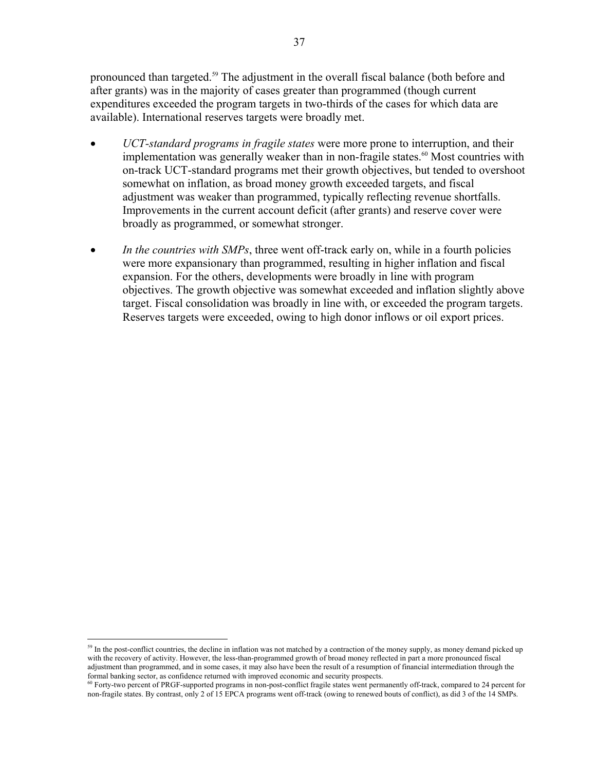pronounced than targeted.<sup>59</sup> The adjustment in the overall fiscal balance (both before and after grants) was in the majority of cases greater than programmed (though current expenditures exceeded the program targets in two-thirds of the cases for which data are available). International reserves targets were broadly met.

- *UCT-standard programs in fragile states* were more prone to interruption, and their implementation was generally weaker than in non-fragile states.<sup>60</sup> Most countries with on-track UCT-standard programs met their growth objectives, but tended to overshoot somewhat on inflation, as broad money growth exceeded targets, and fiscal adjustment was weaker than programmed, typically reflecting revenue shortfalls. Improvements in the current account deficit (after grants) and reserve cover were broadly as programmed, or somewhat stronger.
- In the countries with SMPs, three went off-track early on, while in a fourth policies were more expansionary than programmed, resulting in higher inflation and fiscal expansion. For the others, developments were broadly in line with program objectives. The growth objective was somewhat exceeded and inflation slightly above target. Fiscal consolidation was broadly in line with, or exceeded the program targets. Reserves targets were exceeded, owing to high donor inflows or oil export prices.

1

<sup>&</sup>lt;sup>59</sup> In the post-conflict countries, the decline in inflation was not matched by a contraction of the money supply, as money demand picked up with the recovery of activity. However, the less-than-programmed growth of broad money reflected in part a more pronounced fiscal adjustment than programmed, and in some cases, it may also have been the result of a resumption of financial intermediation through the formal banking sector, as confidence returned with improved economic and security pros

<sup>&</sup>lt;sup>60</sup> Forty-two percent of PRGF-supported programs in non-post-conflict fragile states went permanently off-track, compared to 24 percent for non-fragile states. By contrast, only 2 of 15 EPCA programs went off-track (owing to renewed bouts of conflict), as did 3 of the 14 SMPs.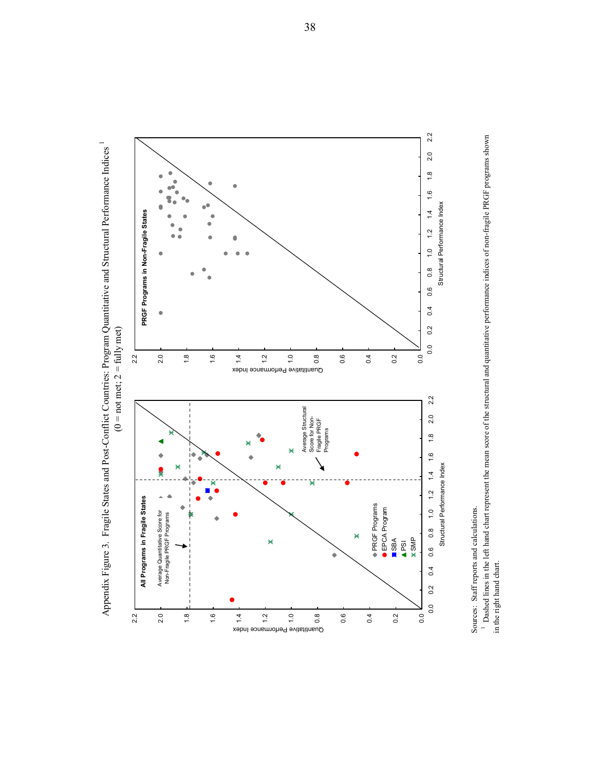



<sup>1</sup> Dashed lines in the left hand chart represent the mean score of the structural and quantitative performance indices of non-fragile PRGF programs shown 1 Dashed lines in the left hand chart represent the mean score of the structural and quantitative performance indices of non-fragile PRGF programs shown in the right hand chart. in the right hand chart.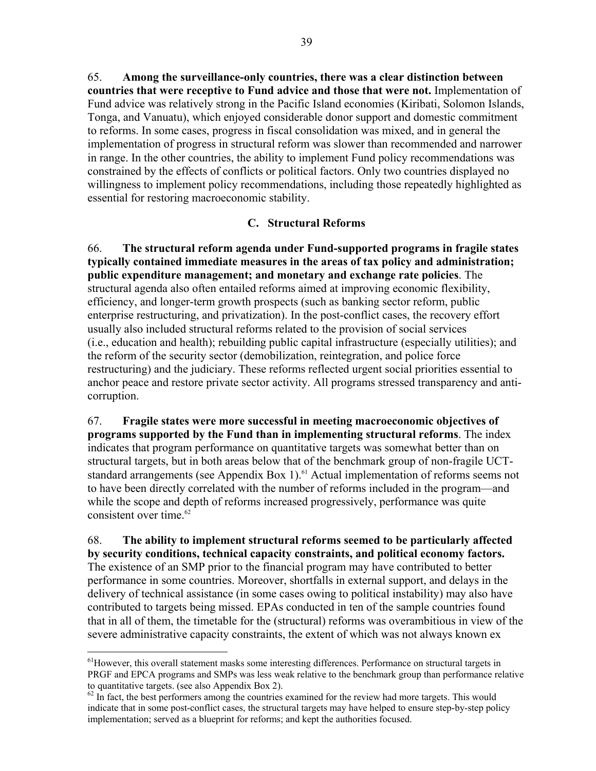65. **Among the surveillance-only countries, there was a clear distinction between countries that were receptive to Fund advice and those that were not.** Implementation of Fund advice was relatively strong in the Pacific Island economies (Kiribati, Solomon Islands, Tonga, and Vanuatu), which enjoyed considerable donor support and domestic commitment to reforms. In some cases, progress in fiscal consolidation was mixed, and in general the implementation of progress in structural reform was slower than recommended and narrower in range. In the other countries, the ability to implement Fund policy recommendations was constrained by the effects of conflicts or political factors. Only two countries displayed no willingness to implement policy recommendations, including those repeatedly highlighted as essential for restoring macroeconomic stability.

## **C. Structural Reforms**

66. **The structural reform agenda under Fund-supported programs in fragile states typically contained immediate measures in the areas of tax policy and administration; public expenditure management; and monetary and exchange rate policies**. The structural agenda also often entailed reforms aimed at improving economic flexibility, efficiency, and longer-term growth prospects (such as banking sector reform, public enterprise restructuring, and privatization). In the post-conflict cases, the recovery effort usually also included structural reforms related to the provision of social services (i.e., education and health); rebuilding public capital infrastructure (especially utilities); and the reform of the security sector (demobilization, reintegration, and police force restructuring) and the judiciary. These reforms reflected urgent social priorities essential to anchor peace and restore private sector activity. All programs stressed transparency and anticorruption.

67. **Fragile states were more successful in meeting macroeconomic objectives of programs supported by the Fund than in implementing structural reforms**. The index indicates that program performance on quantitative targets was somewhat better than on structural targets, but in both areas below that of the benchmark group of non-fragile UCTstandard arrangements (see Appendix Box 1).<sup>61</sup> Actual implementation of reforms seems not to have been directly correlated with the number of reforms included in the program—and while the scope and depth of reforms increased progressively, performance was quite consistent over time.<sup>62</sup>

68. **The ability to implement structural reforms seemed to be particularly affected by security conditions, technical capacity constraints, and political economy factors.**  The existence of an SMP prior to the financial program may have contributed to better performance in some countries. Moreover, shortfalls in external support, and delays in the delivery of technical assistance (in some cases owing to political instability) may also have contributed to targets being missed. EPAs conducted in ten of the sample countries found that in all of them, the timetable for the (structural) reforms was overambitious in view of the severe administrative capacity constraints, the extent of which was not always known ex

 $\overline{a}$ 

<sup>&</sup>lt;sup>61</sup>However, this overall statement masks some interesting differences. Performance on structural targets in PRGF and EPCA programs and SMPs was less weak relative to the benchmark group than performance relative to quantitative targets. (see also Appendix Box 2).

 $62$  In fact, the best performers among the countries examined for the review had more targets. This would indicate that in some post-conflict cases, the structural targets may have helped to ensure step-by-step policy implementation; served as a blueprint for reforms; and kept the authorities focused.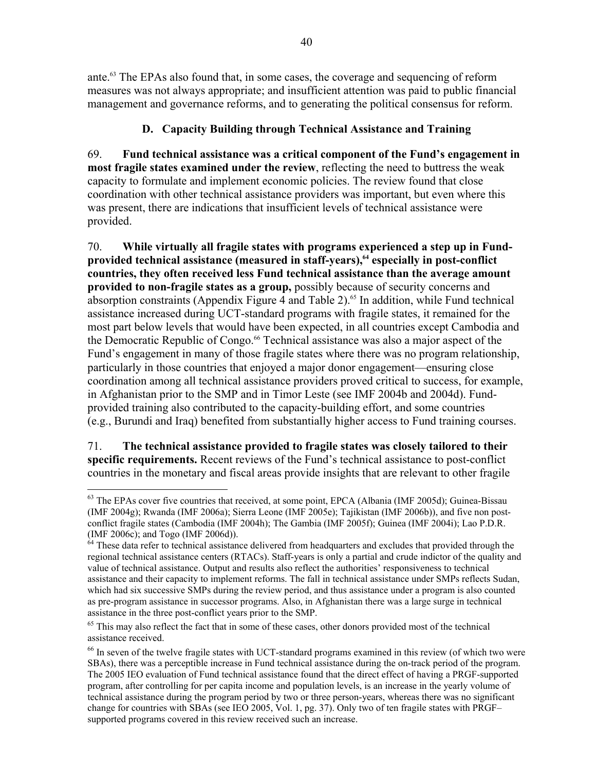ante.<sup>63</sup> The EPAs also found that, in some cases, the coverage and sequencing of reform measures was not always appropriate; and insufficient attention was paid to public financial management and governance reforms, and to generating the political consensus for reform.

# **D. Capacity Building through Technical Assistance and Training**

69. **Fund technical assistance was a critical component of the Fund's engagement in most fragile states examined under the review**, reflecting the need to buttress the weak capacity to formulate and implement economic policies. The review found that close coordination with other technical assistance providers was important, but even where this was present, there are indications that insufficient levels of technical assistance were provided.

70. **While virtually all fragile states with programs experienced a step up in Fund**provided technical assistance (measured in staff-years),<sup>64</sup> especially in post-conflict **countries, they often received less Fund technical assistance than the average amount provided to non-fragile states as a group,** possibly because of security concerns and absorption constraints (Appendix Figure 4 and Table 2).<sup>65</sup> In addition, while Fund technical assistance increased during UCT-standard programs with fragile states, it remained for the most part below levels that would have been expected, in all countries except Cambodia and the Democratic Republic of Congo.<sup>66</sup> Technical assistance was also a major aspect of the Fund's engagement in many of those fragile states where there was no program relationship, particularly in those countries that enjoyed a major donor engagement—ensuring close coordination among all technical assistance providers proved critical to success, for example, in Afghanistan prior to the SMP and in Timor Leste (see IMF 2004b and 2004d). Fundprovided training also contributed to the capacity-building effort, and some countries (e.g., Burundi and Iraq) benefited from substantially higher access to Fund training courses.

71. **The technical assistance provided to fragile states was closely tailored to their specific requirements.** Recent reviews of the Fund's technical assistance to post-conflict countries in the monetary and fiscal areas provide insights that are relevant to other fragile

<sup>1</sup> <sup>63</sup> The EPAs cover five countries that received, at some point, EPCA (Albania (IMF 2005d); Guinea-Bissau (IMF 2004g); Rwanda (IMF 2006a); Sierra Leone (IMF 2005e); Tajikistan (IMF 2006b)), and five non postconflict fragile states (Cambodia (IMF 2004h); The Gambia (IMF 2005f); Guinea (IMF 2004i); Lao P.D.R. (IMF 2006c); and Togo (IMF 2006d)).

<sup>&</sup>lt;sup>64</sup> These data refer to technical assistance delivered from headquarters and excludes that provided through the regional technical assistance centers (RTACs). Staff-years is only a partial and crude indictor of the quality and value of technical assistance. Output and results also reflect the authorities' responsiveness to technical assistance and their capacity to implement reforms. The fall in technical assistance under SMPs reflects Sudan, which had six successive SMPs during the review period, and thus assistance under a program is also counted as pre-program assistance in successor programs. Also, in Afghanistan there was a large surge in technical assistance in the three post-conflict years prior to the SMP.

 $65$  This may also reflect the fact that in some of these cases, other donors provided most of the technical assistance received.

<sup>&</sup>lt;sup>66</sup> In seven of the twelve fragile states with UCT-standard programs examined in this review (of which two were SBAs), there was a perceptible increase in Fund technical assistance during the on-track period of the program. The 2005 IEO evaluation of Fund technical assistance found that the direct effect of having a PRGF-supported program, after controlling for per capita income and population levels, is an increase in the yearly volume of technical assistance during the program period by two or three person-years, whereas there was no significant change for countries with SBAs (see IEO 2005, Vol. 1, pg. 37). Only two of ten fragile states with PRGF– supported programs covered in this review received such an increase.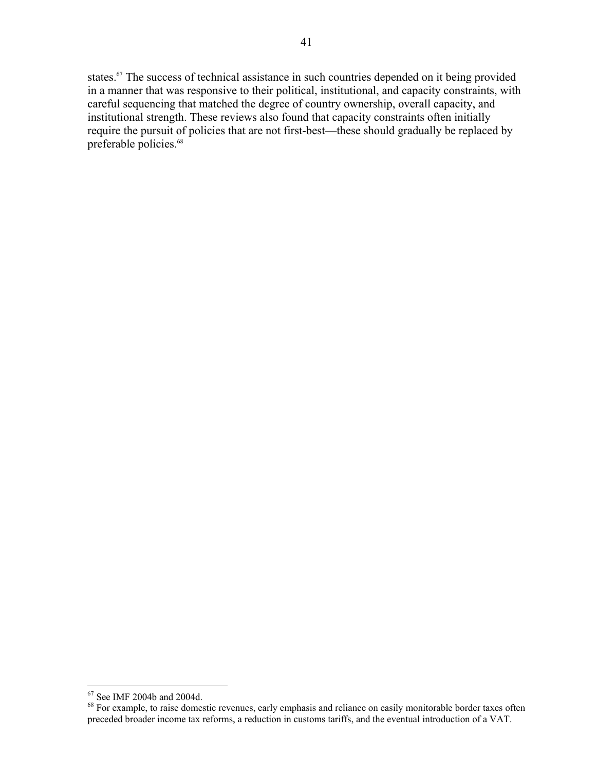states.<sup>67</sup> The success of technical assistance in such countries depended on it being provided in a manner that was responsive to their political, institutional, and capacity constraints, with careful sequencing that matched the degree of country ownership, overall capacity, and institutional strength. These reviews also found that capacity constraints often initially require the pursuit of policies that are not first-best—these should gradually be replaced by preferable policies.<sup>68</sup>

 $\overline{a}$ 

<sup>67</sup> See IMF 2004b and 2004d.

<sup>&</sup>lt;sup>68</sup> For example, to raise domestic revenues, early emphasis and reliance on easily monitorable border taxes often preceded broader income tax reforms, a reduction in customs tariffs, and the eventual introduction of a VAT.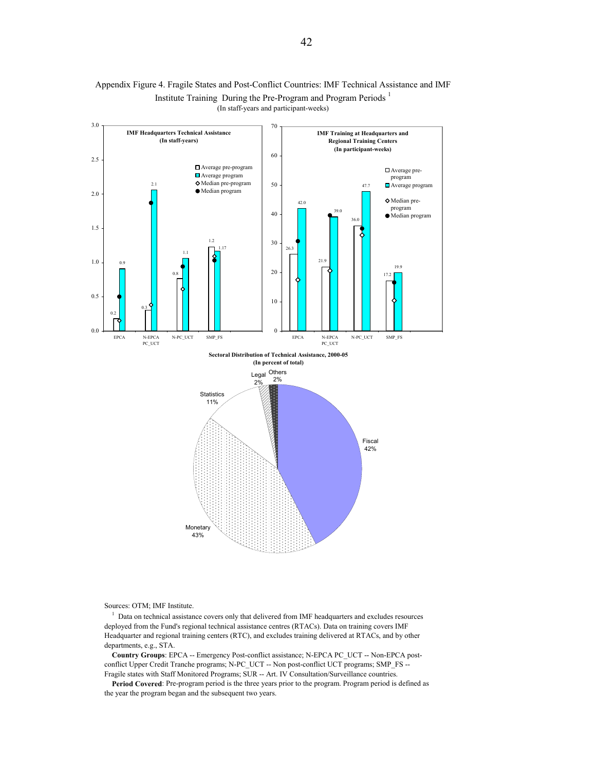

#### Appendix Figure 4. Fragile States and Post-Conflict Countries: IMF Technical Assistance and IMF Institute Training During the Pre-Program and Program Periods <sup>1</sup> (In staff-years and participant-weeks)

Sources: OTM; IMF Institute.

<sup>1</sup> Data on technical assistance covers only that delivered from IMF headquarters and excludes resources deployed from the Fund's regional technical assistance centres (RTACs). Data on training covers IMF Headquarter and regional training centers (RTC), and excludes training delivered at RTACs, and by other departments, e.g., STA.

 **Country Groups**: EPCA -- Emergency Post-conflict assistance; N-EPCA PC\_UCT -- Non-EPCA postconflict Upper Credit Tranche programs; N-PC\_UCT -- Non post-conflict UCT programs; SMP\_FS -- Fragile states with Staff Monitored Programs; SUR -- Art. IV Consultation/Surveillance countries.

 **Period Covered**: Pre-program period is the three years prior to the program. Program period is defined as the year the program began and the subsequent two years.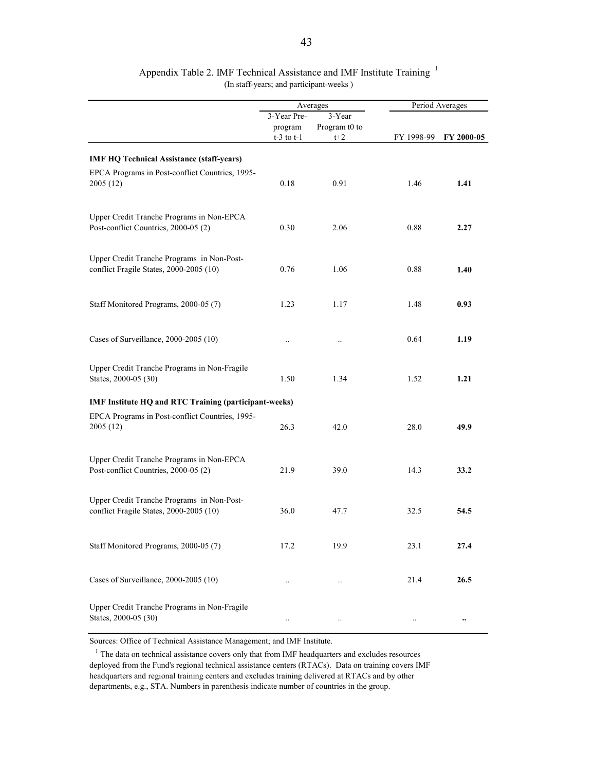|                                                                                       |                                          | Averages                         |            | Period Averages |
|---------------------------------------------------------------------------------------|------------------------------------------|----------------------------------|------------|-----------------|
|                                                                                       | 3-Year Pre-<br>program<br>$t-3$ to $t-1$ | 3-Year<br>Program t0 to<br>$t+2$ | FY 1998-99 | FY 2000-05      |
| <b>IMF HQ Technical Assistance (staff-years)</b>                                      |                                          |                                  |            |                 |
| EPCA Programs in Post-conflict Countries, 1995-<br>2005(12)                           | 0.18                                     | 0.91                             | 1.46       | 1.41            |
| Upper Credit Tranche Programs in Non-EPCA<br>Post-conflict Countries, 2000-05 (2)     | 0.30                                     | 2.06                             | 0.88       | 2.27            |
| Upper Credit Tranche Programs in Non-Post-<br>conflict Fragile States, 2000-2005 (10) | 0.76                                     | 1.06                             | 0.88       | 1.40            |
| Staff Monitored Programs, 2000-05 (7)                                                 | 1.23                                     | 1.17                             | 1.48       | 0.93            |
| Cases of Surveillance, 2000-2005 (10)                                                 |                                          |                                  | 0.64       | 1.19            |
| Upper Credit Tranche Programs in Non-Fragile<br>States, 2000-05 (30)                  | 1.50                                     | 1.34                             | 1.52       | 1.21            |
| IMF Institute HQ and RTC Training (participant-weeks)                                 |                                          |                                  |            |                 |
| EPCA Programs in Post-conflict Countries, 1995-<br>2005 (12)                          | 26.3                                     | 42.0                             | 28.0       | 49.9            |
| Upper Credit Tranche Programs in Non-EPCA<br>Post-conflict Countries, 2000-05 (2)     | 21.9                                     | 39.0                             | 14.3       | 33.2            |
| Upper Credit Tranche Programs in Non-Post-<br>conflict Fragile States, 2000-2005 (10) | 36.0                                     | 47.7                             | 32.5       | 54.5            |
| Staff Monitored Programs, 2000-05 (7)                                                 | 17.2                                     | 19.9                             | 23.1       | 27.4            |
| Cases of Surveillance, 2000-2005 (10)                                                 | $\ddotsc$                                |                                  | 21.4       | 26.5            |
| Upper Credit Tranche Programs in Non-Fragile<br>States, 2000-05 (30)                  |                                          |                                  |            |                 |

#### Appendix Table 2. IMF Technical Assistance and IMF Institute Training <sup>1</sup> (In staff-years; and participant-weeks )

Sources: Office of Technical Assistance Management; and IMF Institute.

 $1$  The data on technical assistance covers only that from IMF headquarters and excludes resources deployed from the Fund's regional technical assistance centers (RTACs). Data on training covers IMF headquarters and regional training centers and excludes training delivered at RTACs and by other departments, e.g., STA. Numbers in parenthesis indicate number of countries in the group.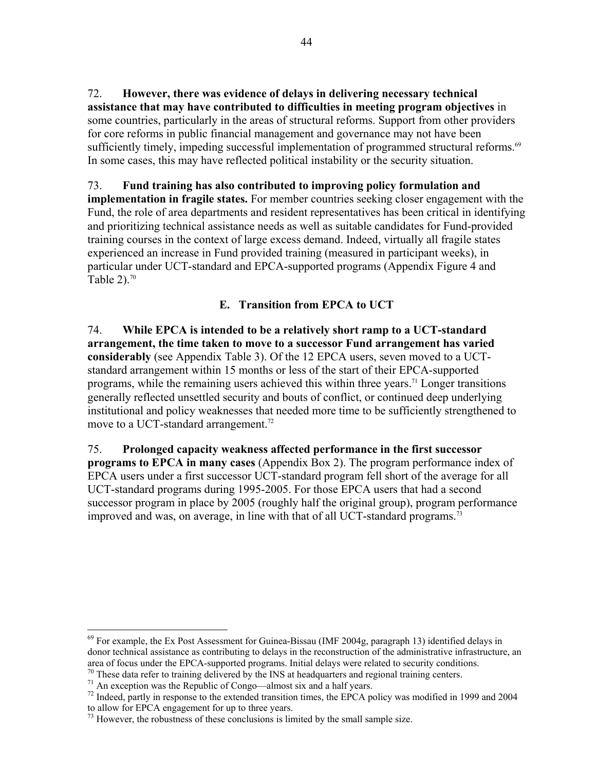72. **However, there was evidence of delays in delivering necessary technical assistance that may have contributed to difficulties in meeting program objectives** in some countries, particularly in the areas of structural reforms. Support from other providers for core reforms in public financial management and governance may not have been sufficiently timely, impeding successful implementation of programmed structural reforms.<sup>69</sup> In some cases, this may have reflected political instability or the security situation.

73. **Fund training has also contributed to improving policy formulation and implementation in fragile states.** For member countries seeking closer engagement with the Fund, the role of area departments and resident representatives has been critical in identifying and prioritizing technical assistance needs as well as suitable candidates for Fund-provided training courses in the context of large excess demand. Indeed, virtually all fragile states experienced an increase in Fund provided training (measured in participant weeks), in particular under UCT-standard and EPCA-supported programs (Appendix Figure 4 and Table  $2)$ .<sup>70</sup>

## **E. Transition from EPCA to UCT**

74. **While EPCA is intended to be a relatively short ramp to a UCT-standard arrangement, the time taken to move to a successor Fund arrangement has varied considerably** (see Appendix Table 3). Of the 12 EPCA users, seven moved to a UCTstandard arrangement within 15 months or less of the start of their EPCA-supported programs, while the remaining users achieved this within three years.<sup>71</sup> Longer transitions generally reflected unsettled security and bouts of conflict, or continued deep underlying institutional and policy weaknesses that needed more time to be sufficiently strengthened to move to a UCT-standard arrangement.<sup>72</sup>

75. **Prolonged capacity weakness affected performance in the first successor programs to EPCA in many cases** (Appendix Box 2). The program performance index of EPCA users under a first successor UCT-standard program fell short of the average for all UCT-standard programs during 1995-2005. For those EPCA users that had a second successor program in place by 2005 (roughly half the original group), program performance improved and was, on average, in line with that of all UCT-standard programs.<sup>73</sup>

1

 $69$  For example, the Ex Post Assessment for Guinea-Bissau (IMF 2004g, paragraph 13) identified delays in donor technical assistance as contributing to delays in the reconstruction of the administrative infrastructure, an area of focus under the EPCA-supported programs. Initial delays were related to security conditions. <sup>70</sup> These data refer to training delivered by the INS at headquarters and regional training centers.

 $71$  An exception was the Republic of Congo—almost six and a half years.

<sup>&</sup>lt;sup>72</sup> Indeed, partly in response to the extended transition times, the EPCA policy was modified in 1999 and 2004 to allow for EPCA engagement for up to three years.

 $^{73}$  However, the robustness of these conclusions is limited by the small sample size.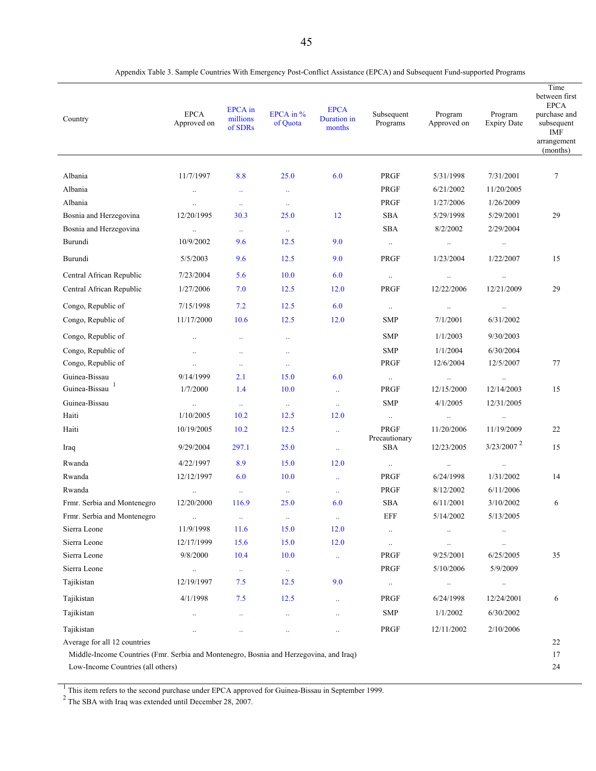| Country                                                                                | <b>EPCA</b><br>Approved on | <b>EPCA</b> in<br>millions<br>of SDRs | EPCA in %<br>of Quota       | <b>EPCA</b><br>Duration in<br>months | Subsequent<br>Programs       | Program<br>Approved on | Program<br><b>Expiry Date</b> | Time<br>between first<br><b>EPCA</b><br>purchase and<br>subsequent<br><b>IMF</b><br>arrangement<br>(months) |
|----------------------------------------------------------------------------------------|----------------------------|---------------------------------------|-----------------------------|--------------------------------------|------------------------------|------------------------|-------------------------------|-------------------------------------------------------------------------------------------------------------|
| Albania                                                                                | 11/7/1997                  | 8.8                                   | 25.0                        | 6.0                                  | PRGF                         | 5/31/1998              | 7/31/2001                     | 7                                                                                                           |
| Albania                                                                                | $\ddotsc$                  | $\ddotsc$                             | $\ddotsc$                   |                                      | <b>PRGF</b>                  | 6/21/2002              | 11/20/2005                    |                                                                                                             |
| Albania                                                                                | $\ldots$                   | $\ldots$                              | $\mathcal{L}_{\mathcal{F}}$ |                                      | <b>PRGF</b>                  | 1/27/2006              | 1/26/2009                     |                                                                                                             |
| Bosnia and Herzegovina                                                                 | 12/20/1995                 | 30.3                                  | 25.0                        | 12                                   | <b>SBA</b>                   | 5/29/1998              | 5/29/2001                     | 29                                                                                                          |
| Bosnia and Herzegovina                                                                 | $\ldots$                   | $\mathcal{L}_{\mathcal{F}}$           | $\mathbb{Z}^2$              |                                      | <b>SBA</b>                   | 8/2/2002               | 2/29/2004                     |                                                                                                             |
| Burundi                                                                                | 10/9/2002                  | 9.6                                   | 12.5                        | 9.0                                  | $\ddotsc$                    | $\ldots$               | $\ldots$                      |                                                                                                             |
| Burundi                                                                                | 5/5/2003                   | 9.6                                   | 12.5                        | 9.0                                  | <b>PRGF</b>                  | 1/23/2004              | 1/22/2007                     | 15                                                                                                          |
| Central African Republic                                                               | 7/23/2004                  | 5.6                                   | 10.0                        | 6.0                                  | $\ldots$                     | $\ldots$               | $\ldots$                      |                                                                                                             |
| Central African Republic                                                               | 1/27/2006                  | 7.0                                   | 12.5                        | 12.0                                 | <b>PRGF</b>                  | 12/22/2006             | 12/21/2009                    | 29                                                                                                          |
| Congo, Republic of                                                                     | 7/15/1998                  | 7.2                                   | 12.5                        | 6.0                                  | $\ldots$                     | $\ldots$               | $\ldots$                      |                                                                                                             |
| Congo, Republic of                                                                     | 11/17/2000                 | 10.6                                  | 12.5                        | 12.0                                 | <b>SMP</b>                   | 7/1/2001               | 6/31/2002                     |                                                                                                             |
| Congo, Republic of                                                                     | $\ldots$                   | $\ddotsc$                             | $\ddotsc$                   |                                      | <b>SMP</b>                   | 1/1/2003               | 9/30/2003                     |                                                                                                             |
| Congo, Republic of                                                                     | $\ldots$                   | $\ddotsc$                             | $\ddotsc$                   |                                      | <b>SMP</b>                   | 1/1/2004               | 6/30/2004                     |                                                                                                             |
| Congo, Republic of                                                                     | $\ldots$                   | $\ddotsc$                             | $\mathbb{Z}^2$              |                                      | <b>PRGF</b>                  | 12/6/2004              | 12/5/2007                     | 77                                                                                                          |
| Guinea-Bissau                                                                          | 9/14/1999                  | 2.1                                   | 15.0                        | 6.0                                  | $\ddotsc$                    | $\ldots$               | $\ldots$                      |                                                                                                             |
| Guinea-Bissau <sup>1</sup>                                                             | 1/7/2000                   | 1.4                                   | 10.0                        | $\Box$                               | <b>PRGF</b>                  | 12/15/2000             | 12/14/2003                    | 15                                                                                                          |
| Guinea-Bissau                                                                          | $\ldots$                   | $\ddot{\phantom{1}}$                  | $\mathbb{Z}^2$              | $\mathbb{Z}^2$                       | <b>SMP</b>                   | 4/1/2005               | 12/31/2005                    |                                                                                                             |
| Haiti                                                                                  | 1/10/2005                  | 10.2                                  | 12.5                        | 12.0                                 | $\ldots$                     | $\ldots$               | $\ldots$                      |                                                                                                             |
| Haiti                                                                                  | 10/19/2005                 | 10.2                                  | 12.5                        | $\mathbb{Z}^2$                       | <b>PRGF</b><br>Precautionary | 11/20/2006             | 11/19/2009                    | 22                                                                                                          |
| Iraq                                                                                   | 9/29/2004                  | 297.1                                 | 25.0                        | $\mathbb{Z}^2$                       | <b>SBA</b>                   | 12/23/2005             | $3/23/2007$ <sup>2</sup>      | 15                                                                                                          |
| Rwanda                                                                                 | 4/22/1997                  | 8.9                                   | 15.0                        | 12.0                                 | $\ldots$                     | $\ldots$               | $\ldots$                      |                                                                                                             |
| Rwanda                                                                                 | 12/12/1997                 | 6.0                                   | 10.0                        | $\ddotsc$                            | <b>PRGF</b>                  | 6/24/1998              | 1/31/2002                     | 14                                                                                                          |
| Rwanda                                                                                 | $\ldots$                   | $\mathbb{Z}_2$                        | $\mathbb{Z}^2$              | $\mathcal{L}_{\mathcal{F}}$          | <b>PRGF</b>                  | 8/12/2002              | 6/11/2006                     |                                                                                                             |
| Frmr. Serbia and Montenegro                                                            | 12/20/2000                 | 116.9                                 | 25.0                        | 6.0                                  | <b>SBA</b>                   | 6/11/2001              | 3/10/2002                     | 6                                                                                                           |
| Frmr. Serbia and Montenegro                                                            | $\cdot\cdot$               | $\ddotsc$                             | $\ddotsc$                   | $\ddotsc$                            | <b>EFF</b>                   | 5/14/2002              | 5/13/2005                     |                                                                                                             |
| Sierra Leone                                                                           | 11/9/1998                  | 11.6                                  | 15.0                        | 12.0                                 | $\ldots$                     | $\ddots$               | $\cdots$                      |                                                                                                             |
| Sierra Leone                                                                           | 12/17/1999                 | 15.6                                  | 15.0                        | 12.0                                 | $\ldots$                     | $\ldots$               | $\ldots$                      |                                                                                                             |
| Sierra Leone                                                                           | 9/8/2000                   | 10.4                                  | 10.0                        | $\Box$                               | PRGF                         | 9/25/2001              | 6/25/2005                     | 35                                                                                                          |
| Sierra Leone                                                                           | $\ldots$                   | $\ddotsc$                             | $\ddot{\phantom{1}}$        |                                      | PRGF                         | 5/10/2006              | 5/9/2009                      |                                                                                                             |
| Tajikistan                                                                             | 12/19/1997                 | 7.5                                   | 12.5                        | 9.0                                  | $\ldots$                     | $\cdots$               | $\cdots$                      |                                                                                                             |
| Tajikistan                                                                             | 4/1/1998                   | 7.5                                   | 12.5                        | u,                                   | PRGF                         | 6/24/1998              | 12/24/2001                    | 6                                                                                                           |
| Tajikistan                                                                             | $\ldots$                   | $\ddotsc$                             | $\mathbb{Z}^2$              | $\ddotsc$                            | <b>SMP</b>                   | 1/1/2002               | 6/30/2002                     |                                                                                                             |
| Tajikistan                                                                             | $\ddotsc$                  | $\ddotsc$                             | $\ddotsc$                   | $\ddotsc$                            | PRGF                         | 12/11/2002             | 2/10/2006                     |                                                                                                             |
| Average for all 12 countries                                                           |                            |                                       |                             |                                      |                              |                        |                               | 22                                                                                                          |
| Middle-Income Countries (Fmr. Serbia and Montenegro, Bosnia and Herzegovina, and Iraq) |                            |                                       |                             |                                      |                              |                        |                               | 17                                                                                                          |
| Low-Income Countries (all others)                                                      |                            |                                       |                             |                                      |                              |                        |                               | 24                                                                                                          |

Appendix Table 3. Sample Countries With Emergency Post-Conflict Assistance (EPCA) and Subsequent Fund-supported Programs

 $\frac{1}{T}$ <sup>1</sup> This item refers to the second purchase under EPCA approved for Guinea-Bissau in September 1999.<br><sup>2</sup> The SBA with Iraq was extended until December 28, 2007.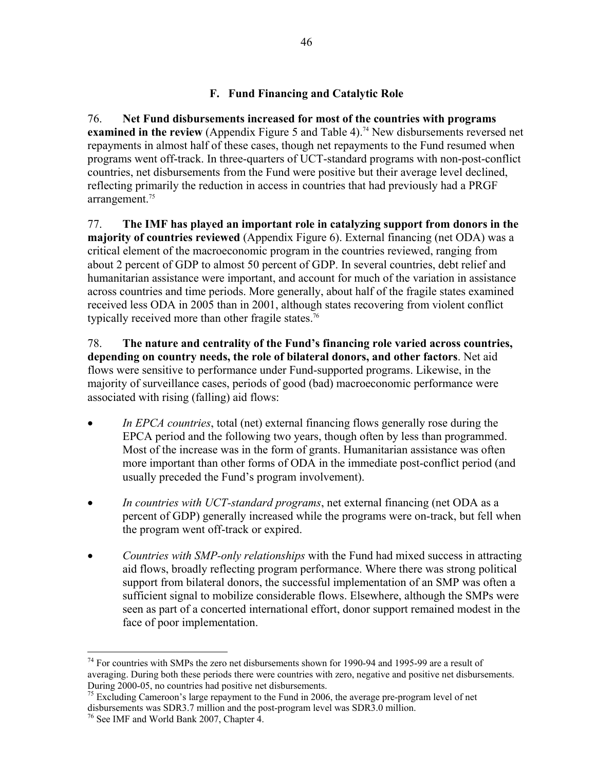## **F. Fund Financing and Catalytic Role**

76. **Net Fund disbursements increased for most of the countries with programs examined in the review** (Appendix Figure 5 and Table 4).<sup>74</sup> New disbursements reversed net repayments in almost half of these cases, though net repayments to the Fund resumed when programs went off-track. In three-quarters of UCT-standard programs with non-post-conflict countries, net disbursements from the Fund were positive but their average level declined, reflecting primarily the reduction in access in countries that had previously had a PRGF arrangement.<sup>75</sup>

77. **The IMF has played an important role in catalyzing support from donors in the majority of countries reviewed** (Appendix Figure 6). External financing (net ODA) was a critical element of the macroeconomic program in the countries reviewed, ranging from about 2 percent of GDP to almost 50 percent of GDP. In several countries, debt relief and humanitarian assistance were important, and account for much of the variation in assistance across countries and time periods. More generally, about half of the fragile states examined received less ODA in 2005 than in 2001, although states recovering from violent conflict typically received more than other fragile states.<sup>76</sup>

78. **The nature and centrality of the Fund's financing role varied across countries, depending on country needs, the role of bilateral donors, and other factors**. Net aid flows were sensitive to performance under Fund-supported programs. Likewise, in the majority of surveillance cases, periods of good (bad) macroeconomic performance were associated with rising (falling) aid flows:

- *In EPCA countries*, total (net) external financing flows generally rose during the EPCA period and the following two years, though often by less than programmed. Most of the increase was in the form of grants. Humanitarian assistance was often more important than other forms of ODA in the immediate post-conflict period (and usually preceded the Fund's program involvement).
- *In countries with UCT-standard programs*, net external financing (net ODA as a percent of GDP) generally increased while the programs were on-track, but fell when the program went off-track or expired.
- *Countries with SMP-only relationships* with the Fund had mixed success in attracting aid flows, broadly reflecting program performance. Where there was strong political support from bilateral donors, the successful implementation of an SMP was often a sufficient signal to mobilize considerable flows. Elsewhere, although the SMPs were seen as part of a concerted international effort, donor support remained modest in the face of poor implementation.

<sup>&</sup>lt;u>.</u>  $74$  For countries with SMPs the zero net disbursements shown for 1990-94 and 1995-99 are a result of averaging. During both these periods there were countries with zero, negative and positive net disbursements. During 2000-05, no countries had positive net disbursements.

<sup>&</sup>lt;sup>75</sup> Excluding Cameroon's large repayment to the Fund in 2006, the average pre-program level of net disbursements was SDR3.7 million and the post-program level was SDR3.0 million.

<sup>&</sup>lt;sup>76</sup> See IMF and World Bank 2007, Chapter 4.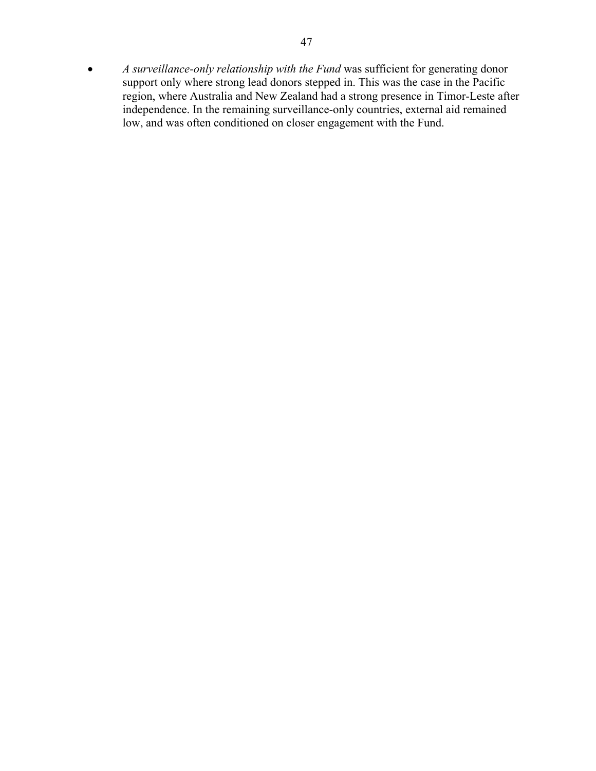• *A surveillance-only relationship with the Fund* was sufficient for generating donor support only where strong lead donors stepped in. This was the case in the Pacific region, where Australia and New Zealand had a strong presence in Timor-Leste after independence. In the remaining surveillance-only countries, external aid remained low, and was often conditioned on closer engagement with the Fund.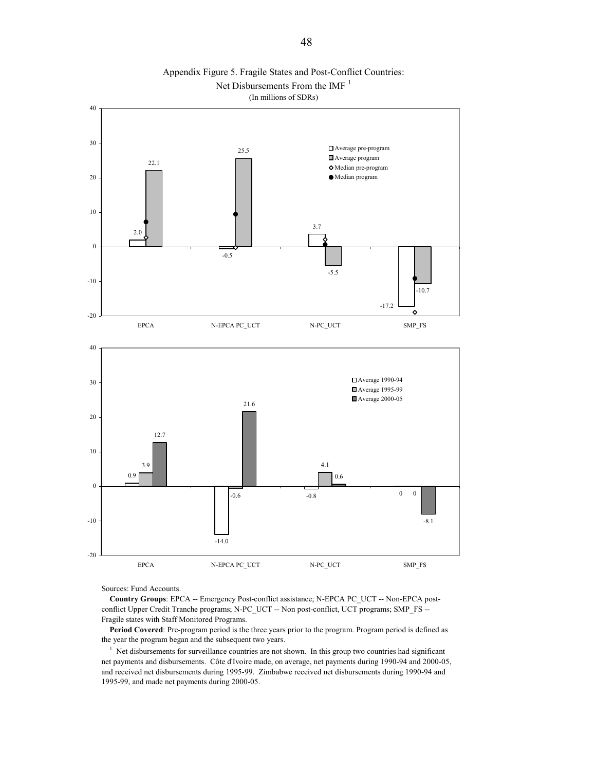



Sources: Fund Accounts.

 **Country Groups**: EPCA -- Emergency Post-conflict assistance; N-EPCA PC\_UCT -- Non-EPCA postconflict Upper Credit Tranche programs; N-PC\_UCT -- Non post-conflict, UCT programs; SMP\_FS --Fragile states with Staff Monitored Programs.

 **Period Covered**: Pre-program period is the three years prior to the program. Program period is defined as the year the program began and the subsequent two years.

<sup>1</sup> Net disbursements for surveillance countries are not shown. In this group two countries had significant net payments and disbursements. Côte d'Ivoire made, on average, net payments during 1990-94 and 2000-05, and received net disbursements during 1995-99. Zimbabwe received net disbursements during 1990-94 and 1995-99, and made net payments during 2000-05.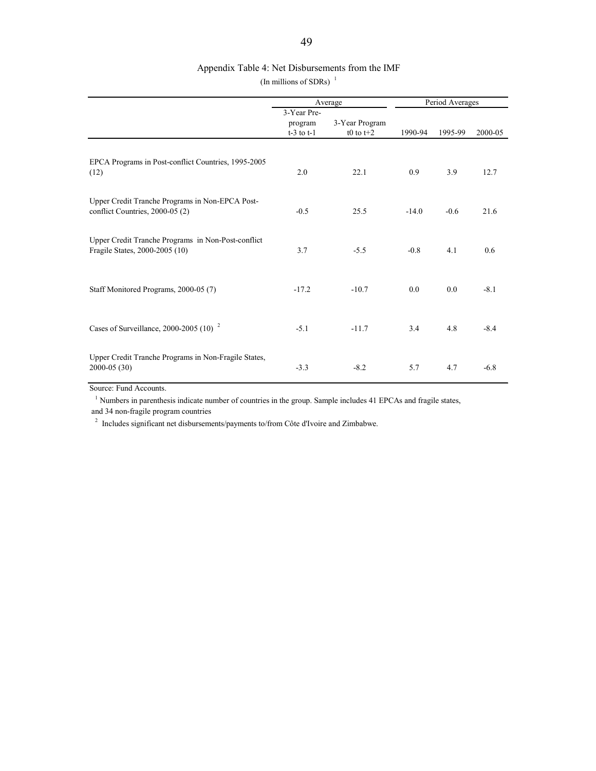#### Appendix Table 4: Net Disbursements from the IMF

(In millions of SDRs) $<sup>1</sup>$ </sup>

|                                                                                      |                                          | Average                       |         | Period Averages |         |
|--------------------------------------------------------------------------------------|------------------------------------------|-------------------------------|---------|-----------------|---------|
|                                                                                      | 3-Year Pre-<br>program<br>$t-3$ to $t-1$ | 3-Year Program<br>t0 to $t+2$ | 1990-94 | 1995-99         | 2000-05 |
| EPCA Programs in Post-conflict Countries, 1995-2005<br>(12)                          | 2.0                                      | 22.1                          | 0.9     | 3.9             | 12.7    |
| Upper Credit Tranche Programs in Non-EPCA Post-<br>conflict Countries, 2000-05 (2)   | $-0.5$                                   | 25.5                          | $-14.0$ | $-0.6$          | 21.6    |
| Upper Credit Tranche Programs in Non-Post-conflict<br>Fragile States, 2000-2005 (10) | 3.7                                      | $-5.5$                        | $-0.8$  | 4.1             | 0.6     |
| Staff Monitored Programs, 2000-05 (7)                                                | $-17.2$                                  | $-10.7$                       | 0.0     | 0.0             | $-8.1$  |
| Cases of Surveillance, 2000-2005 (10) $2$                                            | $-5.1$                                   | $-11.7$                       | 3.4     | 4.8             | $-8.4$  |
| Upper Credit Tranche Programs in Non-Fragile States,<br>$2000 - 05(30)$              | $-3.3$                                   | $-8.2$                        | 5.7     | 4.7             | $-6.8$  |

Source: Fund Accounts.

<sup>1</sup> Numbers in parenthesis indicate number of countries in the group. Sample includes 41 EPCAs and fragile states, and 34 non-fragile program countries

 $2$  Includes significant net disbursements/payments to/from Côte d'Ivoire and Zimbabwe.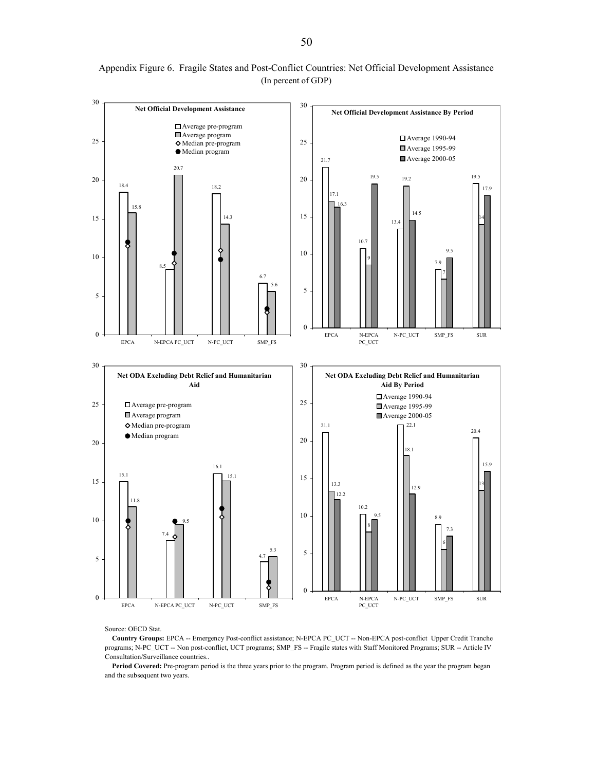

Appendix Figure 6. Fragile States and Post-Conflict Countries: Net Official Development Assistance (In percent of GDP)

Source: OECD Stat.

 **Country Groups:** EPCA -- Emergency Post-conflict assistance; N-EPCA PC\_UCT -- Non-EPCA post-conflict Upper Credit Tranche programs; N-PC\_UCT -- Non post-conflict, UCT programs; SMP\_FS -- Fragile states with Staff Monitored Programs; SUR -- Article IV Consultation/Surveillance countries..

Period Covered: Pre-program period is the three years prior to the program. Program period is defined as the year the program began and the subsequent two years.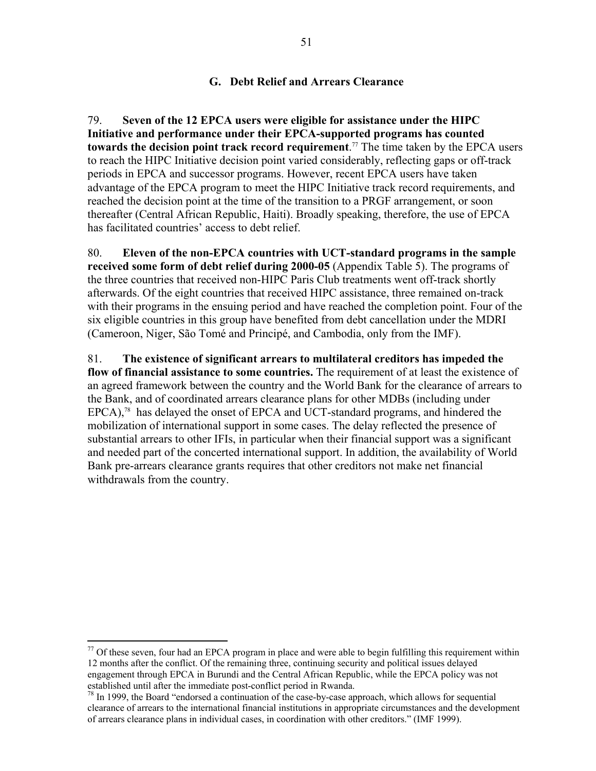### **G. Debt Relief and Arrears Clearance**

79. **Seven of the 12 EPCA users were eligible for assistance under the HIPC Initiative and performance under their EPCA-supported programs has counted towards the decision point track record requirement**. 77 The time taken by the EPCA users to reach the HIPC Initiative decision point varied considerably, reflecting gaps or off-track periods in EPCA and successor programs. However, recent EPCA users have taken advantage of the EPCA program to meet the HIPC Initiative track record requirements, and reached the decision point at the time of the transition to a PRGF arrangement, or soon thereafter (Central African Republic, Haiti). Broadly speaking, therefore, the use of EPCA has facilitated countries' access to debt relief.

80. **Eleven of the non-EPCA countries with UCT-standard programs in the sample received some form of debt relief during 2000-05** (Appendix Table 5). The programs of the three countries that received non-HIPC Paris Club treatments went off-track shortly afterwards. Of the eight countries that received HIPC assistance, three remained on-track with their programs in the ensuing period and have reached the completion point. Four of the six eligible countries in this group have benefited from debt cancellation under the MDRI (Cameroon, Niger, São Tomé and Principé, and Cambodia, only from the IMF).

81. **The existence of significant arrears to multilateral creditors has impeded the flow of financial assistance to some countries.** The requirement of at least the existence of an agreed framework between the country and the World Bank for the clearance of arrears to the Bank, and of coordinated arrears clearance plans for other MDBs (including under EPCA),<sup>78</sup> has delayed the onset of EPCA and UCT-standard programs, and hindered the mobilization of international support in some cases. The delay reflected the presence of substantial arrears to other IFIs, in particular when their financial support was a significant and needed part of the concerted international support. In addition, the availability of World Bank pre-arrears clearance grants requires that other creditors not make net financial withdrawals from the country.

 $\overline{a}$ 

 $77$  Of these seven, four had an EPCA program in place and were able to begin fulfilling this requirement within 12 months after the conflict. Of the remaining three, continuing security and political issues delayed engagement through EPCA in Burundi and the Central African Republic, while the EPCA policy was not established until after the immediate post-conflict period in Rwanda.

 $78$  In 1999, the Board "endorsed a continuation of the case-by-case approach, which allows for sequential clearance of arrears to the international financial institutions in appropriate circumstances and the development of arrears clearance plans in individual cases, in coordination with other creditors." (IMF 1999).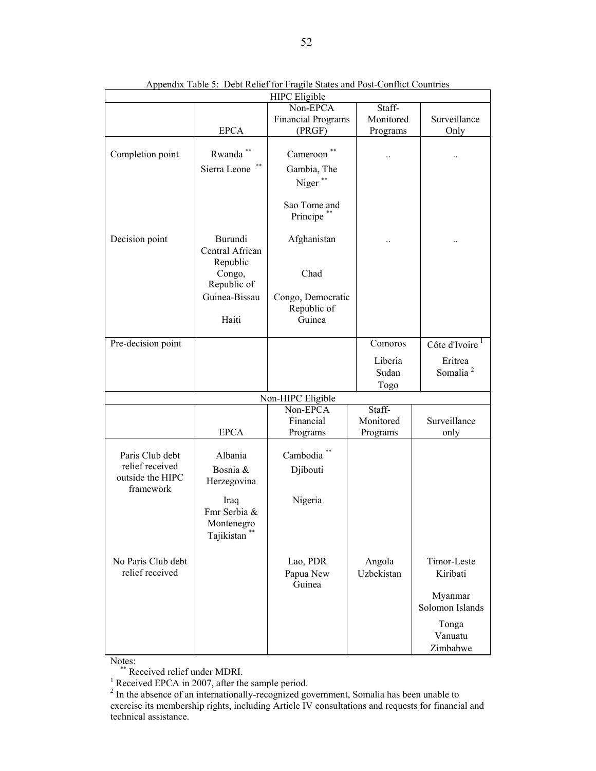|                                                  |                                                                | <b>HIPC</b> Eligible                       |                      |                              |  |  |  |
|--------------------------------------------------|----------------------------------------------------------------|--------------------------------------------|----------------------|------------------------------|--|--|--|
|                                                  |                                                                | Non-EPCA                                   | Staff-               |                              |  |  |  |
|                                                  |                                                                | <b>Financial Programs</b>                  | Monitored            | Surveillance                 |  |  |  |
|                                                  | <b>EPCA</b>                                                    | (PRGF)                                     | Programs             | Only                         |  |  |  |
| Completion point                                 | Rwanda<br>Sierra Leone                                         | Cameroon <sup>*</sup><br>Gambia, The       |                      |                              |  |  |  |
|                                                  |                                                                | Niger**                                    |                      |                              |  |  |  |
|                                                  |                                                                | Sao Tome and<br>Principe**                 |                      |                              |  |  |  |
| Decision point                                   | Burundi<br>Central African<br>Republic                         | Afghanistan                                |                      |                              |  |  |  |
|                                                  | Congo,<br>Republic of                                          | Chad                                       |                      |                              |  |  |  |
|                                                  | Guinea-Bissau<br>Haiti                                         | Congo, Democratic<br>Republic of<br>Guinea |                      |                              |  |  |  |
| Pre-decision point                               |                                                                |                                            | Comoros              | Côte d'Ivoire                |  |  |  |
|                                                  |                                                                |                                            |                      |                              |  |  |  |
|                                                  |                                                                |                                            | Liberia              | Eritrea                      |  |  |  |
|                                                  |                                                                |                                            | Sudan                | Somalia <sup>2</sup>         |  |  |  |
|                                                  |                                                                |                                            | Togo                 |                              |  |  |  |
| Non-HIPC Eligible                                |                                                                |                                            |                      |                              |  |  |  |
|                                                  |                                                                | Non-EPCA                                   | Staff-               |                              |  |  |  |
|                                                  |                                                                | Financial                                  | Monitored            | Surveillance                 |  |  |  |
|                                                  | <b>EPCA</b>                                                    | Programs                                   | Programs             | only                         |  |  |  |
| Paris Club debt                                  | Albania                                                        | Cambodia <sup>**</sup>                     |                      |                              |  |  |  |
| relief received<br>outside the HIPC<br>framework | Bosnia &<br>Herzegovina                                        | Djibouti                                   |                      |                              |  |  |  |
|                                                  | Iraq<br>Fmr Serbia &<br>Montenegro<br>$\ast\ast$<br>Tajikistan | Nigeria                                    |                      |                              |  |  |  |
| No Paris Club debt<br>relief received            |                                                                | Lao, PDR<br>Papua New<br>Guinea            | Angola<br>Uzbekistan | Timor-Leste<br>Kiribati      |  |  |  |
|                                                  |                                                                |                                            |                      | Myanmar<br>Solomon Islands   |  |  |  |
|                                                  |                                                                |                                            |                      | Tonga<br>Vanuatu<br>Zimbabwe |  |  |  |

Appendix Table 5: Debt Relief for Fragile States and Post-Conflict Countries

Notes:<br>\*\* Received relief under MDRI.<br><sup>1</sup> Received EDCA in 2007, efter the

<sup>1</sup> Received EPCA in 2007, after the sample period.<br><sup>2</sup> In the absence of an internationally-recognized government, Somalia has been unable to exercise its membership rights, including Article IV consultations and requests for financial and technical assistance.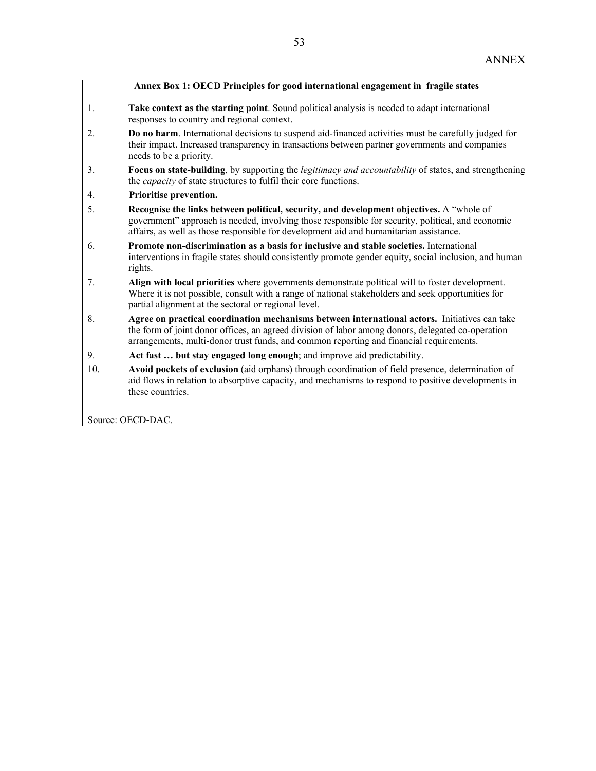#### **Annex Box 1: OECD Principles for good international engagement in fragile states**

- 1. **Take context as the starting point**. Sound political analysis is needed to adapt international responses to country and regional context.
- 2. **Do no harm**. International decisions to suspend aid-financed activities must be carefully judged for their impact. Increased transparency in transactions between partner governments and companies needs to be a priority.
- 3. **Focus on state-building**, by supporting the *legitimacy and accountability* of states, and strengthening the *capacity* of state structures to fulfil their core functions.
- 4. **Prioritise prevention.**
- 5. **Recognise the links between political, security, and development objectives.** A "whole of government" approach is needed, involving those responsible for security, political, and economic affairs, as well as those responsible for development aid and humanitarian assistance.
- 6. **Promote non-discrimination as a basis for inclusive and stable societies.** International interventions in fragile states should consistently promote gender equity, social inclusion, and human rights.
- 7. **Align with local priorities** where governments demonstrate political will to foster development. Where it is not possible, consult with a range of national stakeholders and seek opportunities for partial alignment at the sectoral or regional level.
- 8. **Agree on practical coordination mechanisms between international actors.** Initiatives can take the form of joint donor offices, an agreed division of labor among donors, delegated co-operation arrangements, multi-donor trust funds, and common reporting and financial requirements.
- 9. **Act fast … but stay engaged long enough**; and improve aid predictability.
- 10. **Avoid pockets of exclusion** (aid orphans) through coordination of field presence, determination of aid flows in relation to absorptive capacity, and mechanisms to respond to positive developments in these countries.

Source: OECD-DAC.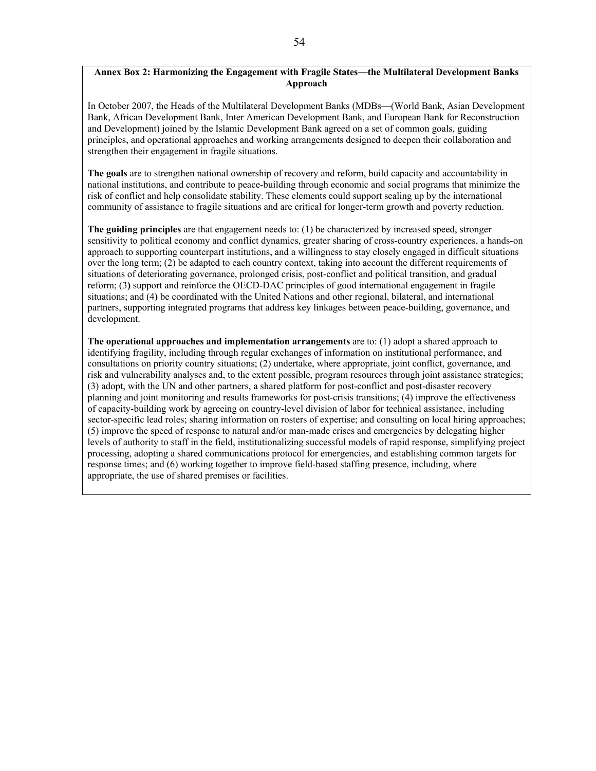#### **Annex Box 2: Harmonizing the Engagement with Fragile States—the Multilateral Development Banks Approach**

In October 2007, the Heads of the Multilateral Development Banks (MDBs—(World Bank, Asian Development Bank, African Development Bank, Inter American Development Bank, and European Bank for Reconstruction and Development) joined by the Islamic Development Bank agreed on a set of common goals, guiding principles, and operational approaches and working arrangements designed to deepen their collaboration and strengthen their engagement in fragile situations.

**The goals** are to strengthen national ownership of recovery and reform, build capacity and accountability in national institutions, and contribute to peace-building through economic and social programs that minimize the risk of conflict and help consolidate stability. These elements could support scaling up by the international community of assistance to fragile situations and are critical for longer-term growth and poverty reduction.

**The guiding principles** are that engagement needs to: (1) be characterized by increased speed, stronger sensitivity to political economy and conflict dynamics, greater sharing of cross-country experiences, a hands-on approach to supporting counterpart institutions, and a willingness to stay closely engaged in difficult situations over the long term; (2) be adapted to each country context, taking into account the different requirements of situations of deteriorating governance, prolonged crisis, post-conflict and political transition, and gradual reform; (3**)** support and reinforce the OECD-DAC principles of good international engagement in fragile situations; and (4**)** be coordinated with the United Nations and other regional, bilateral, and international partners, supporting integrated programs that address key linkages between peace-building, governance, and development.

**The operational approaches and implementation arrangements** are to: (1) adopt a shared approach to identifying fragility, including through regular exchanges of information on institutional performance, and consultations on priority country situations; (2) undertake, where appropriate, joint conflict, governance, and risk and vulnerability analyses and, to the extent possible, program resources through joint assistance strategies; (3) adopt, with the UN and other partners, a shared platform for post-conflict and post-disaster recovery planning and joint monitoring and results frameworks for post-crisis transitions; (4) improve the effectiveness of capacity-building work by agreeing on country-level division of labor for technical assistance, including sector-specific lead roles; sharing information on rosters of expertise; and consulting on local hiring approaches; (5) improve the speed of response to natural and/or man-made crises and emergencies by delegating higher levels of authority to staff in the field, institutionalizing successful models of rapid response, simplifying project processing, adopting a shared communications protocol for emergencies, and establishing common targets for response times; and (6) working together to improve field-based staffing presence, including, where appropriate, the use of shared premises or facilities.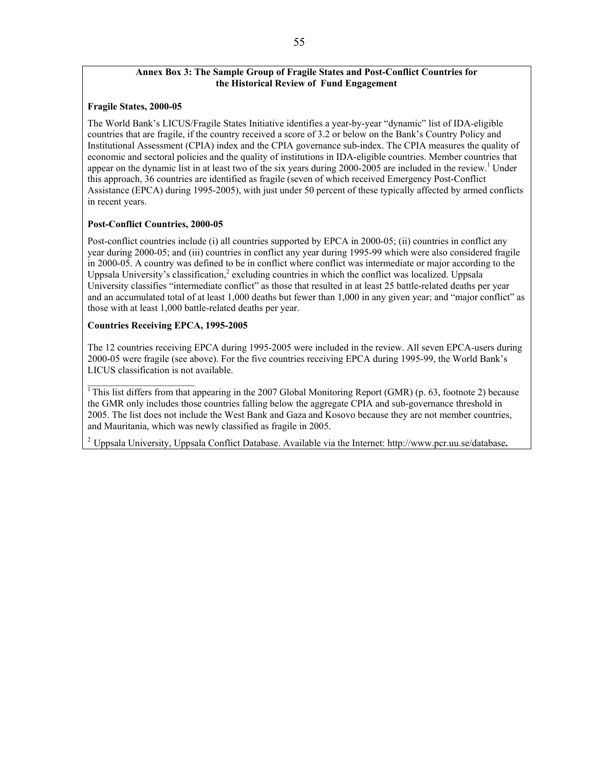#### **Annex Box 3: The Sample Group of Fragile States and Post-Conflict Countries for the Historical Review of Fund Engagement**

#### **Fragile States, 2000-05**

The World Bank's LICUS/Fragile States Initiative identifies a year-by-year "dynamic" list of IDA-eligible countries that are fragile, if the country received a score of 3.2 or below on the Bank's Country Policy and Institutional Assessment (CPIA) index and the CPIA governance sub-index. The CPIA measures the quality of economic and sectoral policies and the quality of institutions in IDA-eligible countries. Member countries that appear on the dynamic list in at least two of the six years during 2000-2005 are included in the review.<sup>1</sup> Under this approach, 36 countries are identified as fragile (seven of which received Emergency Post-Conflict Assistance (EPCA) during 1995-2005), with just under 50 percent of these typically affected by armed conflicts in recent years.

#### **Post-Conflict Countries, 2000-05**

Post-conflict countries include (i) all countries supported by EPCA in 2000-05; (ii) countries in conflict any year during 2000-05; and (iii) countries in conflict any year during 1995-99 which were also considered fragile in 2000-05. A country was defined to be in conflict where conflict was intermediate or major according to the Uppsala University's classification,<sup>2</sup> excluding countries in which the conflict was localized. Uppsala University classifies "intermediate conflict" as those that resulted in at least 25 battle-related deaths per year and an accumulated total of at least 1,000 deaths but fewer than 1,000 in any given year; and "major conflict" as those with at least 1,000 battle-related deaths per year.

#### **Countries Receiving EPCA, 1995-2005**

The 12 countries receiving EPCA during 1995-2005 were included in the review. All seven EPCA-users during 2000-05 were fragile (see above). For the five countries receiving EPCA during 1995-99, the World Bank's LICUS classification is not available.

 $\overline{1}$ This list differs from that appearing in the 2007 Global Monitoring Report (GMR) (p. 63, footnote 2) because the GMR only includes those countries falling below the aggregate CPIA and sub-governance threshold in 2005. The list does not include the West Bank and Gaza and Kosovo because they are not member countries, and Mauritania, which was newly classified as fragile in 2005.

<sup>2</sup> Uppsala University, Uppsala Conflict Database. Available via the Internet: http://www.pcr.uu.se/database**.**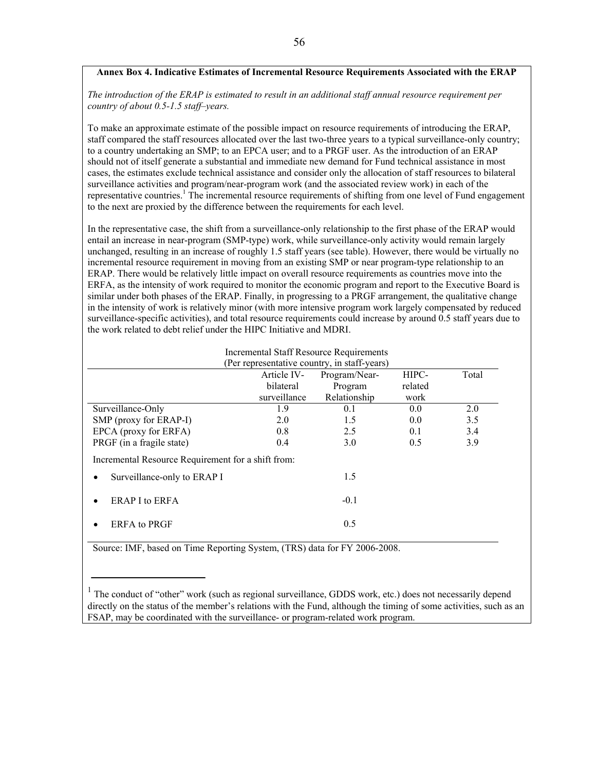#### **Annex Box 4. Indicative Estimates of Incremental Resource Requirements Associated with the ERAP**

*The introduction of the ERAP is estimated to result in an additional staff annual resource requirement per country of about 0.5-1.5 staff–years.* 

To make an approximate estimate of the possible impact on resource requirements of introducing the ERAP, staff compared the staff resources allocated over the last two-three years to a typical surveillance-only country; to a country undertaking an SMP; to an EPCA user; and to a PRGF user. As the introduction of an ERAP should not of itself generate a substantial and immediate new demand for Fund technical assistance in most cases, the estimates exclude technical assistance and consider only the allocation of staff resources to bilateral surveillance activities and program/near-program work (and the associated review work) in each of the representative countries.<sup>1</sup> The incremental resource requirements of shifting from one level of Fund engagement to the next are proxied by the difference between the requirements for each level.

In the representative case, the shift from a surveillance-only relationship to the first phase of the ERAP would entail an increase in near-program (SMP-type) work, while surveillance-only activity would remain largely unchanged, resulting in an increase of roughly 1.5 staff years (see table). However, there would be virtually no incremental resource requirement in moving from an existing SMP or near program-type relationship to an ERAP. There would be relatively little impact on overall resource requirements as countries move into the ERFA, as the intensity of work required to monitor the economic program and report to the Executive Board is similar under both phases of the ERAP. Finally, in progressing to a PRGF arrangement, the qualitative change in the intensity of work is relatively minor (with more intensive program work largely compensated by reduced surveillance-specific activities), and total resource requirements could increase by around 0.5 staff years due to the work related to debt relief under the HIPC Initiative and MDRI.

|                                                    |              | <b>Incremental Staff Resource Requirements</b> |         |       |
|----------------------------------------------------|--------------|------------------------------------------------|---------|-------|
|                                                    |              | (Per representative country, in staff-years)   |         |       |
|                                                    | Article IV-  | Program/Near-                                  | HIPC-   | Total |
|                                                    | bilateral    | Program                                        | related |       |
|                                                    | surveillance | Relationship                                   | work    |       |
| Surveillance-Only                                  | 1.9          | 0.1                                            | 0.0     | 2.0   |
| SMP (proxy for ERAP-I)                             | 2.0          | 1.5                                            | 0.0     | 3.5   |
| EPCA (proxy for ERFA)                              | 0.8          | 2.5                                            | 0.1     | 3.4   |
| PRGF (in a fragile state)                          | 0.4          | 3.0                                            | 0.5     | 3.9   |
| Incremental Resource Requirement for a shift from: |              |                                                |         |       |
| Surveillance-only to ERAP I                        |              | 1.5                                            |         |       |
| ERAP I to ERFA                                     |              | $-0.1$                                         |         |       |
| <b>ERFA</b> to PRGF                                |              | 0.5                                            |         |       |

Source: IMF, based on Time Reporting System, (TRS) data for FY 2006-2008.

<sup>&</sup>lt;sup>1</sup> The conduct of "other" work (such as regional surveillance, GDDS work, etc.) does not necessarily depend directly on the status of the member's relations with the Fund, although the timing of some activities, such as an FSAP, may be coordinated with the surveillance- or program-related work program.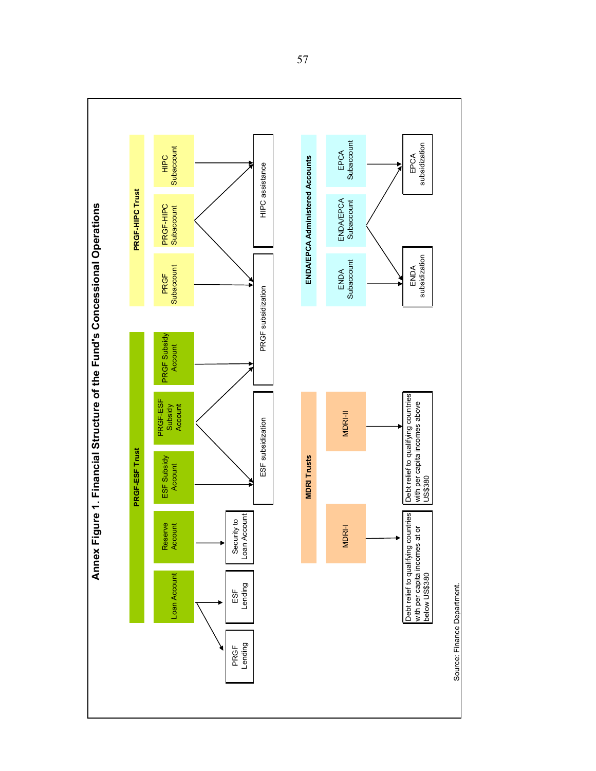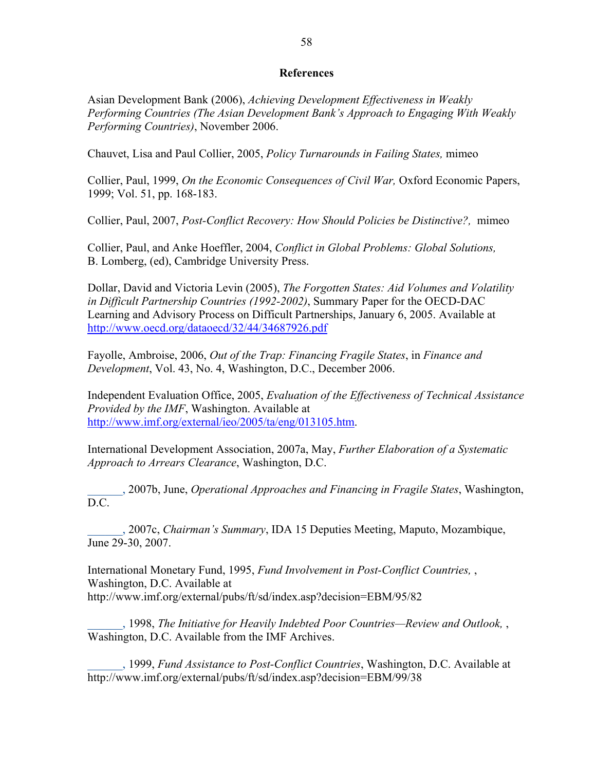#### **References**

Asian Development Bank (2006), *Achieving Development Effectiveness in Weakly Performing Countries (The Asian Development Bank's Approach to Engaging With Weakly Performing Countries)*, November 2006.

Chauvet, Lisa and Paul Collier, 2005, *Policy Turnarounds in Failing States,* mimeo

Collier, Paul, 1999, *On the Economic Consequences of Civil War,* Oxford Economic Papers, 1999; Vol. 51, pp. 168-183.

Collier, Paul, 2007, *Post-Conflict Recovery: How Should Policies be Distinctive?,* mimeo

Collier, Paul, and Anke Hoeffler, 2004, *Conflict in Global Problems: Global Solutions,*  B. Lomberg, (ed), Cambridge University Press.

Dollar, David and Victoria Levin (2005), *The Forgotten States: Aid Volumes and Volatility in Difficult Partnership Countries (1992-2002)*, Summary Paper for the OECD-DAC Learning and Advisory Process on Difficult Partnerships, January 6, 2005. Available at http://www.oecd.org/dataoecd/32/44/34687926.pdf

Fayolle, Ambroise, 2006, *Out of the Trap: Financing Fragile States*, in *Finance and Development*, Vol. 43, No. 4, Washington, D.C., December 2006.

Independent Evaluation Office, 2005, *Evaluation of the Effectiveness of Technical Assistance Provided by the IMF*, Washington. Available at http://www.imf.org/external/ieo/2005/ta/eng/013105.htm.

International Development Association, 2007a, May, *Further Elaboration of a Systematic Approach to Arrears Clearance*, Washington, D.C.

\_\_\_\_\_\_, 2007b, June, *Operational Approaches and Financing in Fragile States*, Washington,  $D.C$ 

\_\_\_\_\_\_, 2007c, *Chairman's Summary*, IDA 15 Deputies Meeting, Maputo, Mozambique, June 29-30, 2007.

International Monetary Fund, 1995, *Fund Involvement in Post-Conflict Countries,* , Washington, D.C. Available at http://www.imf.org/external/pubs/ft/sd/index.asp?decision=EBM/95/82

\_\_\_\_\_\_, 1998, *The Initiative for Heavily Indebted Poor Countries—Review and Outlook,* , Washington, D.C. Available from the IMF Archives.

\_\_\_\_\_\_, 1999, *Fund Assistance to Post-Conflict Countries*, Washington, D.C. Available at http://www.imf.org/external/pubs/ft/sd/index.asp?decision=EBM/99/38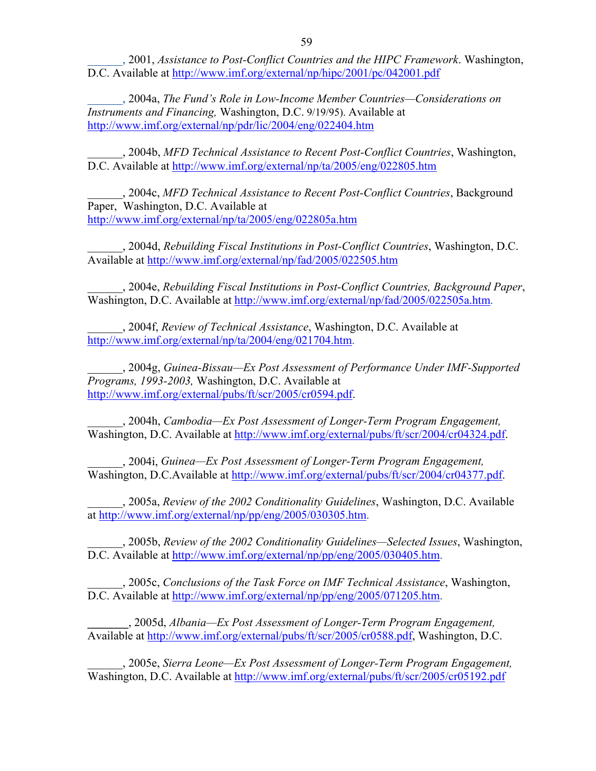\_\_\_\_\_\_, 2001, *Assistance to Post-Conflict Countries and the HIPC Framework*. Washington, D.C. Available at http://www.imf.org/external/np/hipc/2001/pc/042001.pdf

\_\_\_\_\_\_, 2004a, *The Fund's Role in Low-Income Member Countries—Considerations on Instruments and Financing,* Washington, D.C. 9/19/95). Available at http://www.imf.org/external/np/pdr/lic/2004/eng/022404.htm

\_\_\_\_\_\_, 2004b, *MFD Technical Assistance to Recent Post-Conflict Countries*, Washington, D.C. Available at http://www.imf.org/external/np/ta/2005/eng/022805.htm

\_\_\_\_\_\_, 2004c, *MFD Technical Assistance to Recent Post-Conflict Countries*, Background Paper, Washington, D.C. Available at http://www.imf.org/external/np/ta/2005/eng/022805a.htm

\_\_\_\_\_\_, 2004d, *Rebuilding Fiscal Institutions in Post-Conflict Countries*, Washington, D.C. Available at http://www.imf.org/external/np/fad/2005/022505.htm

\_\_\_\_\_\_, 2004e, *Rebuilding Fiscal Institutions in Post-Conflict Countries, Background Paper*, Washington, D.C. Available at http://www.imf.org/external/np/fad/2005/022505a.htm.

\_\_\_\_\_\_, 2004f, *Review of Technical Assistance*, Washington, D.C. Available at http://www.imf.org/external/np/ta/2004/eng/021704.htm.

\_\_\_\_\_\_, 2004g, *Guinea-Bissau—Ex Post Assessment of Performance Under IMF-Supported Programs, 1993-2003,* Washington, D.C. Available at http://www.imf.org/external/pubs/ft/scr/2005/cr0594.pdf.

\_\_\_\_\_\_, 2004h, *Cambodia—Ex Post Assessment of Longer-Term Program Engagement,*  Washington, D.C. Available at http://www.imf.org/external/pubs/ft/scr/2004/cr04324.pdf.

\_\_\_\_\_\_, 2004i, *Guinea—Ex Post Assessment of Longer-Term Program Engagement,*  Washington, D.C.Available at http://www.imf.org/external/pubs/ft/scr/2004/cr04377.pdf.

\_\_\_\_\_\_, 2005a, *Review of the 2002 Conditionality Guidelines*, Washington, D.C. Available at http://www.imf.org/external/np/pp/eng/2005/030305.htm.

\_\_\_\_\_\_, 2005b, *Review of the 2002 Conditionality Guidelines—Selected Issues*, Washington, D.C. Available at http://www.imf.org/external/np/pp/eng/2005/030405.htm.

\_\_\_\_\_\_, 2005c, *Conclusions of the Task Force on IMF Technical Assistance*, Washington, D.C. Available at http://www.imf.org/external/np/pp/eng/2005/071205.htm.

**\_\_\_\_\_\_\_**, 2005d, *Albania—Ex Post Assessment of Longer-Term Program Engagement,*  Available at http://www.imf.org/external/pubs/ft/scr/2005/cr0588.pdf, Washington, D.C.

\_\_\_\_\_\_, 2005e, *Sierra Leone—Ex Post Assessment of Longer-Term Program Engagement,*  Washington, D.C. Available at http://www.imf.org/external/pubs/ft/scr/2005/cr05192.pdf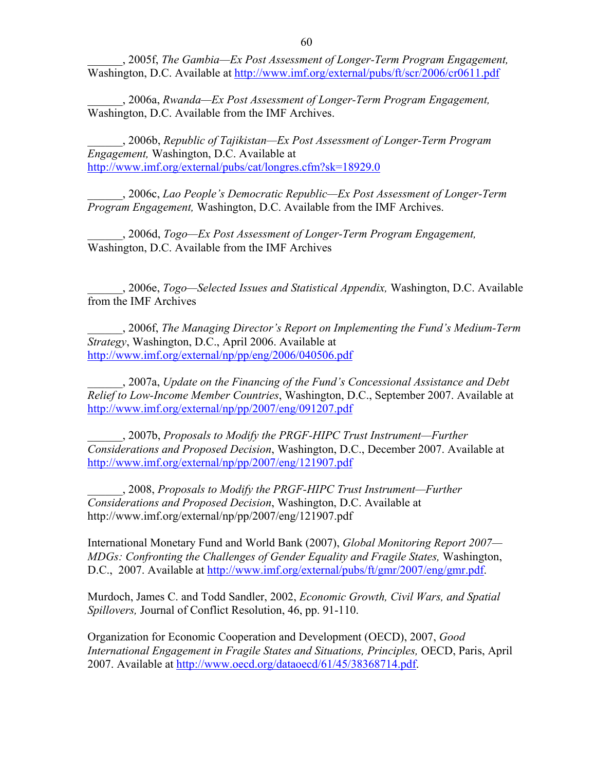\_\_\_\_\_\_, 2005f, *The Gambia—Ex Post Assessment of Longer-Term Program Engagement,*  Washington, D.C. Available at http://www.imf.org/external/pubs/ft/scr/2006/cr0611.pdf

\_\_\_\_\_\_, 2006a, *Rwanda—Ex Post Assessment of Longer-Term Program Engagement,* Washington, D.C. Available from the IMF Archives.

\_\_\_\_\_\_, 2006b, *Republic of Tajikistan—Ex Post Assessment of Longer-Term Program Engagement,* Washington, D.C. Available at http://www.imf.org/external/pubs/cat/longres.cfm?sk=18929.0

\_\_\_\_\_\_, 2006c, *Lao People's Democratic Republic—Ex Post Assessment of Longer-Term Program Engagement,* Washington, D.C. Available from the IMF Archives.

\_\_\_\_\_\_, 2006d, *Togo—Ex Post Assessment of Longer-Term Program Engagement,*  Washington, D.C. Available from the IMF Archives

\_\_\_\_\_\_, 2006e, *Togo—Selected Issues and Statistical Appendix,* Washington, D.C. Available from the IMF Archives

\_\_\_\_\_\_, 2006f, *The Managing Director's Report on Implementing the Fund's Medium-Term Strategy*, Washington, D.C., April 2006. Available at http://www.imf.org/external/np/pp/eng/2006/040506.pdf

\_\_\_\_\_\_, 2007a, *Update on the Financing of the Fund's Concessional Assistance and Debt Relief to Low-Income Member Countries*, Washington, D.C., September 2007. Available at http://www.imf.org/external/np/pp/2007/eng/091207.pdf

\_\_\_\_\_\_, 2007b, *Proposals to Modify the PRGF-HIPC Trust Instrument—Further Considerations and Proposed Decision*, Washington, D.C., December 2007. Available at http://www.imf.org/external/np/pp/2007/eng/121907.pdf

\_\_\_\_\_\_, 2008, *Proposals to Modify the PRGF-HIPC Trust Instrument—Further Considerations and Proposed Decision*, Washington, D.C. Available at http://www.imf.org/external/np/pp/2007/eng/121907.pdf

International Monetary Fund and World Bank (2007), *Global Monitoring Report 2007— MDGs: Confronting the Challenges of Gender Equality and Fragile States,* Washington, D.C., 2007. Available at http://www.imf.org/external/pubs/ft/gmr/2007/eng/gmr.pdf.

Murdoch, James C. and Todd Sandler, 2002, *Economic Growth, Civil Wars, and Spatial Spillovers,* Journal of Conflict Resolution, 46, pp. 91-110.

Organization for Economic Cooperation and Development (OECD), 2007, *Good International Engagement in Fragile States and Situations, Principles,* OECD, Paris, April 2007. Available at http://www.oecd.org/dataoecd/61/45/38368714.pdf.